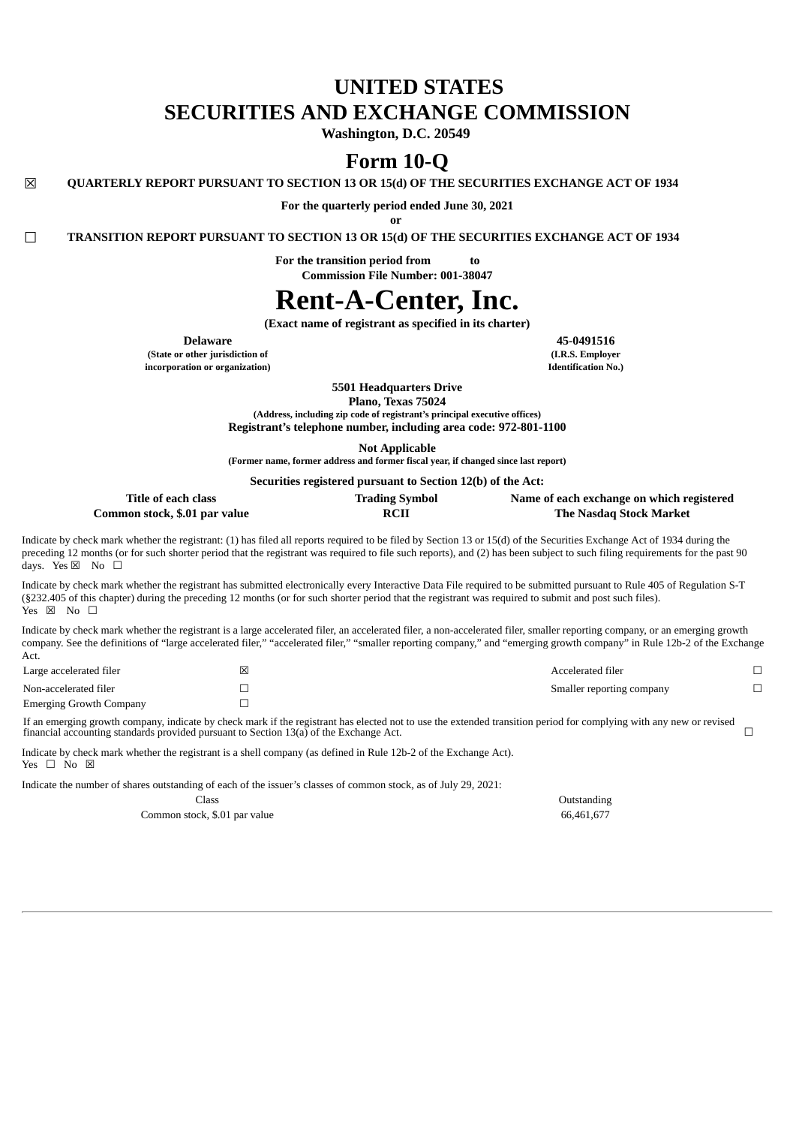# **UNITED STATES SECURITIES AND EXCHANGE COMMISSION**

**Washington, D.C. 20549**

## **Form 10-Q**

☒ **QUARTERLY REPORT PURSUANT TO SECTION 13 OR 15(d) OF THE SECURITIES EXCHANGE ACT OF 1934**

**For the quarterly period ended June 30, 2021**

**or**

☐ **TRANSITION REPORT PURSUANT TO SECTION 13 OR 15(d) OF THE SECURITIES EXCHANGE ACT OF 1934**

**For the transition period from to Commission File Number: 001-38047**

# **Rent-A-Center, Inc.**

**(Exact name of registrant as specified in its charter)**

**(State or other jurisdiction of (I.R.S. Employer incorporation or organization) Identification No.)**

**Delaware 45-0491516**

**5501 Headquarters Drive**

**Plano, Texas 75024**

**(Address, including zip code of registrant's principal executive offices)**

**Registrant's telephone number, including area code: 972-801-1100**

**Not Applicable**

**(Former name, former address and former fiscal year, if changed since last report)**

**Securities registered pursuant to Section 12(b) of the Act:**

| Title of each class           | <b>Trading Symbol</b> | Name of each exchange on which registered |
|-------------------------------|-----------------------|-------------------------------------------|
| Common stock, \$.01 par value | <b>RCII</b>           | <b>The Nasdaq Stock Market</b>            |

Indicate by check mark whether the registrant: (1) has filed all reports required to be filed by Section 13 or 15(d) of the Securities Exchange Act of 1934 during the preceding 12 months (or for such shorter period that the registrant was required to file such reports), and (2) has been subject to such filing requirements for the past 90 days. Yes  $\boxtimes$  No  $\Box$ 

Indicate by check mark whether the registrant has submitted electronically every Interactive Data File required to be submitted pursuant to Rule 405 of Regulation S-T (§232.405 of this chapter) during the preceding 12 months (or for such shorter period that the registrant was required to submit and post such files). Yes ⊠ No □

Indicate by check mark whether the registrant is a large accelerated filer, an accelerated filer, a non-accelerated filer, smaller reporting company, or an emerging growth company. See the definitions of "large accelerated filer," "accelerated filer," "smaller reporting company," and "emerging growth company" in Rule 12b-2 of the Exchange Act.

| Large accelerated filer        | Accelerated filer         |  |
|--------------------------------|---------------------------|--|
| Non-accelerated filer          | Smaller reporting company |  |
| <b>Emerging Growth Company</b> |                           |  |

If an emerging growth company, indicate by check mark if the registrant has elected not to use the extended transition period for complying with any new or revised financial accounting standards provided pursuant to Section 13(a) of the Exchange Act.  $□$ 

Indicate by check mark whether the registrant is a shell company (as defined in Rule 12b-2 of the Exchange Act). Yes □ No ⊠

Indicate the number of shares outstanding of each of the issuer's classes of common stock, as of July 29, 2021:

Class Outstanding Common stock, \$.01 par value 66,461,677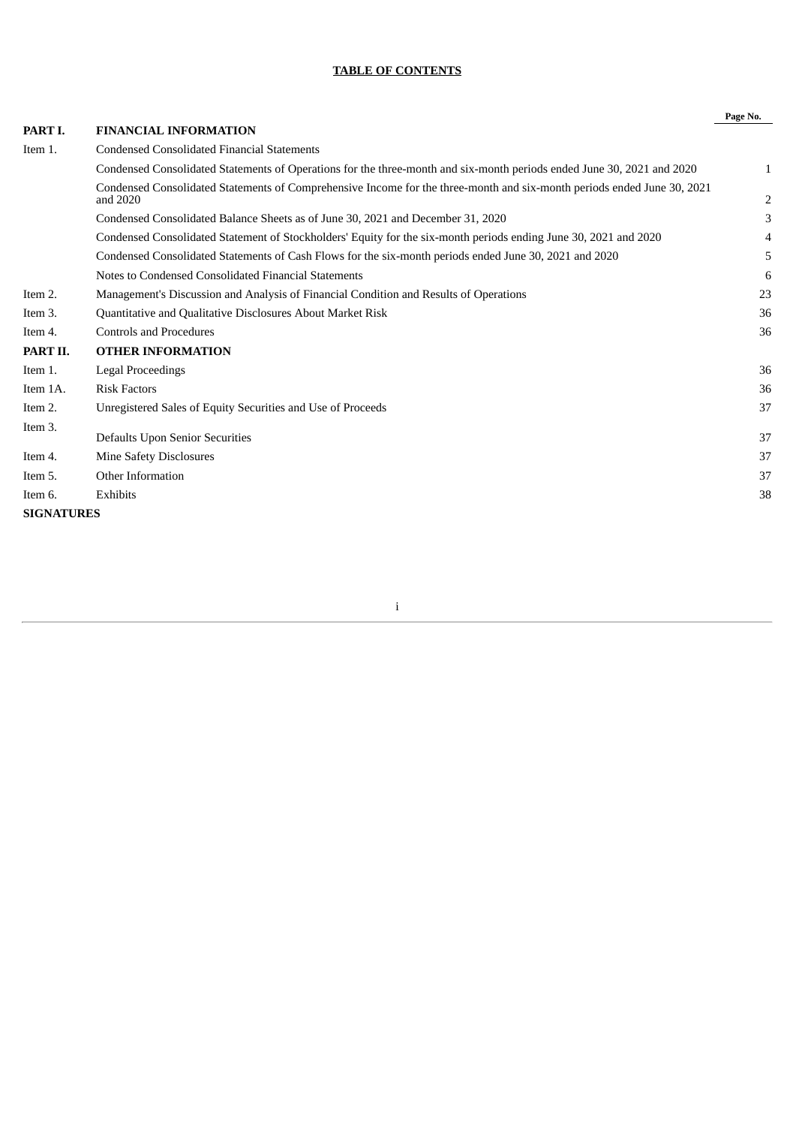## **TABLE OF CONTENTS**

|                   |                                                                                                                                     | Page No.       |
|-------------------|-------------------------------------------------------------------------------------------------------------------------------------|----------------|
| PART I.           | <b>FINANCIAL INFORMATION</b>                                                                                                        |                |
| Item 1.           | <b>Condensed Consolidated Financial Statements</b>                                                                                  |                |
|                   | Condensed Consolidated Statements of Operations for the three-month and six-month periods ended June 30, 2021 and 2020              | 1              |
|                   | Condensed Consolidated Statements of Comprehensive Income for the three-month and six-month periods ended June 30, 2021<br>and 2020 | $\overline{2}$ |
|                   | Condensed Consolidated Balance Sheets as of June 30, 2021 and December 31, 2020                                                     | 3              |
|                   | Condensed Consolidated Statement of Stockholders' Equity for the six-month periods ending June 30, 2021 and 2020                    | 4              |
|                   | Condensed Consolidated Statements of Cash Flows for the six-month periods ended June 30, 2021 and 2020                              | 5              |
|                   | Notes to Condensed Consolidated Financial Statements                                                                                | 6              |
| Item 2.           | Management's Discussion and Analysis of Financial Condition and Results of Operations                                               | 23             |
| Item 3.           | Quantitative and Qualitative Disclosures About Market Risk                                                                          | 36             |
| Item 4.           | <b>Controls and Procedures</b>                                                                                                      | 36             |
| PART II.          | <b>OTHER INFORMATION</b>                                                                                                            |                |
| Item 1.           | <b>Legal Proceedings</b>                                                                                                            | 36             |
| Item 1A.          | <b>Risk Factors</b>                                                                                                                 | 36             |
| Item 2.           | Unregistered Sales of Equity Securities and Use of Proceeds                                                                         | 37             |
| Item 3.           | Defaults Upon Senior Securities                                                                                                     | 37             |
| Item 4.           | <b>Mine Safety Disclosures</b>                                                                                                      | 37             |
| Item 5.           | Other Information                                                                                                                   | 37             |
| Item 6.           | Exhibits                                                                                                                            | 38             |
| <b>SIGNATURES</b> |                                                                                                                                     |                |

<span id="page-1-0"></span>i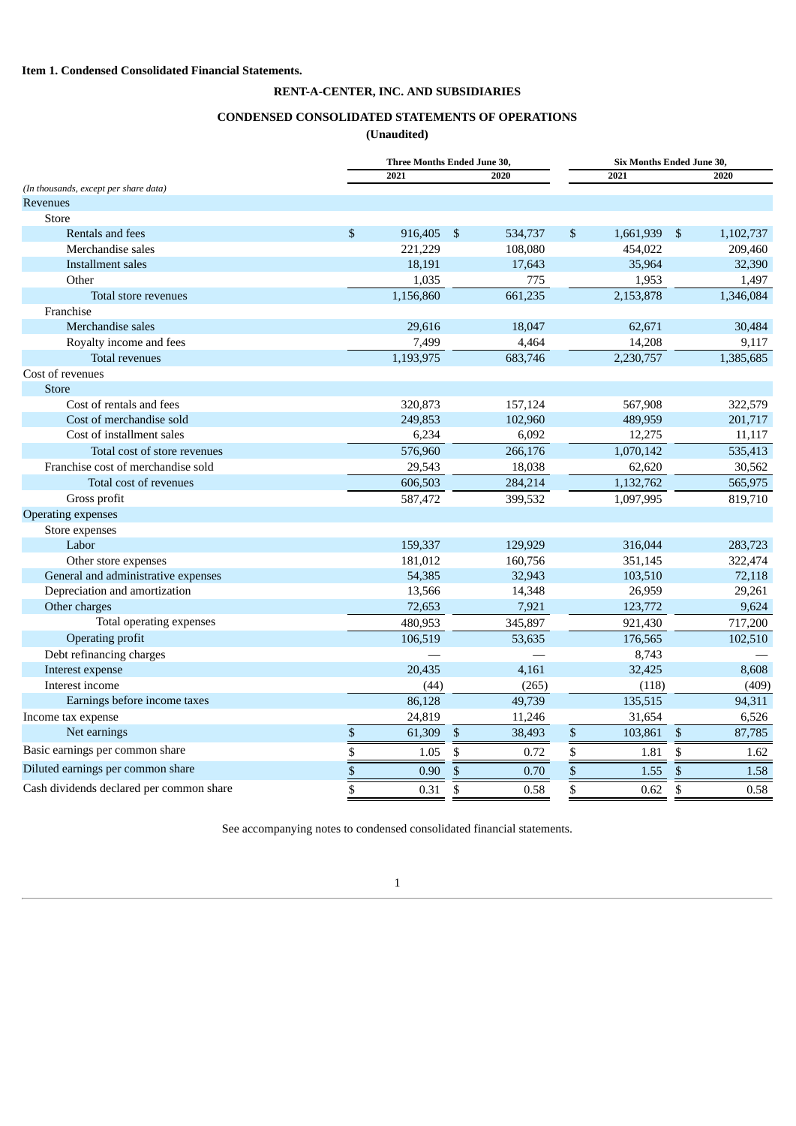## **CONDENSED CONSOLIDATED STATEMENTS OF OPERATIONS**

#### **(Unaudited)**

<span id="page-2-0"></span>

|                                          | Three Months Ended June 30, |            |         |              |           | <b>Six Months Ended June 30,</b> |           |  |
|------------------------------------------|-----------------------------|------------|---------|--------------|-----------|----------------------------------|-----------|--|
|                                          | 2021                        |            | 2020    |              | 2021      |                                  | 2020      |  |
| (In thousands, except per share data)    |                             |            |         |              |           |                                  |           |  |
| <b>Revenues</b>                          |                             |            |         |              |           |                                  |           |  |
| Store                                    |                             |            |         |              |           |                                  |           |  |
| Rentals and fees                         | \$<br>916,405               | \$         | 534,737 | \$           | 1,661,939 | \$                               | 1,102,737 |  |
| Merchandise sales                        | 221,229                     |            | 108,080 |              | 454,022   |                                  | 209,460   |  |
| <b>Installment sales</b>                 | 18,191                      |            | 17,643  |              | 35,964    |                                  | 32,390    |  |
| Other                                    | 1,035                       |            | 775     |              | 1,953     |                                  | 1,497     |  |
| Total store revenues                     | 1,156,860                   |            | 661,235 |              | 2,153,878 |                                  | 1,346,084 |  |
| Franchise                                |                             |            |         |              |           |                                  |           |  |
| Merchandise sales                        | 29,616                      |            | 18,047  |              | 62,671    |                                  | 30,484    |  |
| Royalty income and fees                  | 7,499                       |            | 4,464   |              | 14,208    |                                  | 9,117     |  |
| <b>Total revenues</b>                    | 1,193,975                   |            | 683,746 |              | 2,230,757 |                                  | 1,385,685 |  |
| Cost of revenues                         |                             |            |         |              |           |                                  |           |  |
| <b>Store</b>                             |                             |            |         |              |           |                                  |           |  |
| Cost of rentals and fees                 | 320,873                     |            | 157,124 |              | 567,908   |                                  | 322,579   |  |
| Cost of merchandise sold                 | 249,853                     |            | 102,960 |              | 489,959   |                                  | 201,717   |  |
| Cost of installment sales                | 6,234                       |            | 6,092   |              | 12,275    |                                  | 11,117    |  |
| Total cost of store revenues             | 576,960                     |            | 266,176 |              | 1,070,142 |                                  | 535,413   |  |
| Franchise cost of merchandise sold       | 29,543                      |            | 18,038  |              | 62,620    |                                  | 30,562    |  |
| Total cost of revenues                   | 606,503                     |            | 284,214 |              | 1,132,762 |                                  | 565,975   |  |
| Gross profit                             | 587,472                     |            | 399,532 |              | 1,097,995 |                                  | 819,710   |  |
| <b>Operating expenses</b>                |                             |            |         |              |           |                                  |           |  |
| Store expenses                           |                             |            |         |              |           |                                  |           |  |
| Labor                                    | 159,337                     |            | 129,929 |              | 316,044   |                                  | 283,723   |  |
| Other store expenses                     | 181,012                     |            | 160,756 |              | 351,145   |                                  | 322,474   |  |
| General and administrative expenses      | 54,385                      |            | 32,943  |              | 103,510   |                                  | 72,118    |  |
| Depreciation and amortization            | 13,566                      |            | 14,348  |              | 26,959    |                                  | 29,261    |  |
| Other charges                            | 72,653                      |            | 7,921   |              | 123,772   |                                  | 9,624     |  |
| Total operating expenses                 | 480,953                     |            | 345,897 |              | 921,430   |                                  | 717,200   |  |
| <b>Operating profit</b>                  | 106,519                     |            | 53,635  |              | 176,565   |                                  | 102,510   |  |
| Debt refinancing charges                 |                             |            |         |              | 8,743     |                                  |           |  |
| Interest expense                         | 20,435                      |            | 4,161   |              | 32,425    |                                  | 8,608     |  |
| Interest income                          | (44)                        |            | (265)   |              | (118)     |                                  | (409)     |  |
| Earnings before income taxes             | 86,128                      |            | 49,739  |              | 135,515   |                                  | 94,311    |  |
| Income tax expense                       | 24,819                      |            | 11,246  |              | 31,654    |                                  | 6,526     |  |
| Net earnings                             | \$<br>61,309                | $\sqrt{2}$ | 38,493  | $\mathbb{S}$ | 103,861   | $\sqrt{2}$                       | 87,785    |  |
| Basic earnings per common share          | \$<br>1.05                  | \$         | 0.72    | \$           | 1.81      | \$                               | 1.62      |  |
| Diluted earnings per common share        | \$<br>0.90                  | \$         | 0.70    | \$           | 1.55      | $\mathbb{S}$                     | 1.58      |  |
| Cash dividends declared per common share | \$<br>0.31                  | \$         | 0.58    | \$           | 0.62      | \$                               | 0.58      |  |

<span id="page-2-1"></span>See accompanying notes to condensed consolidated financial statements.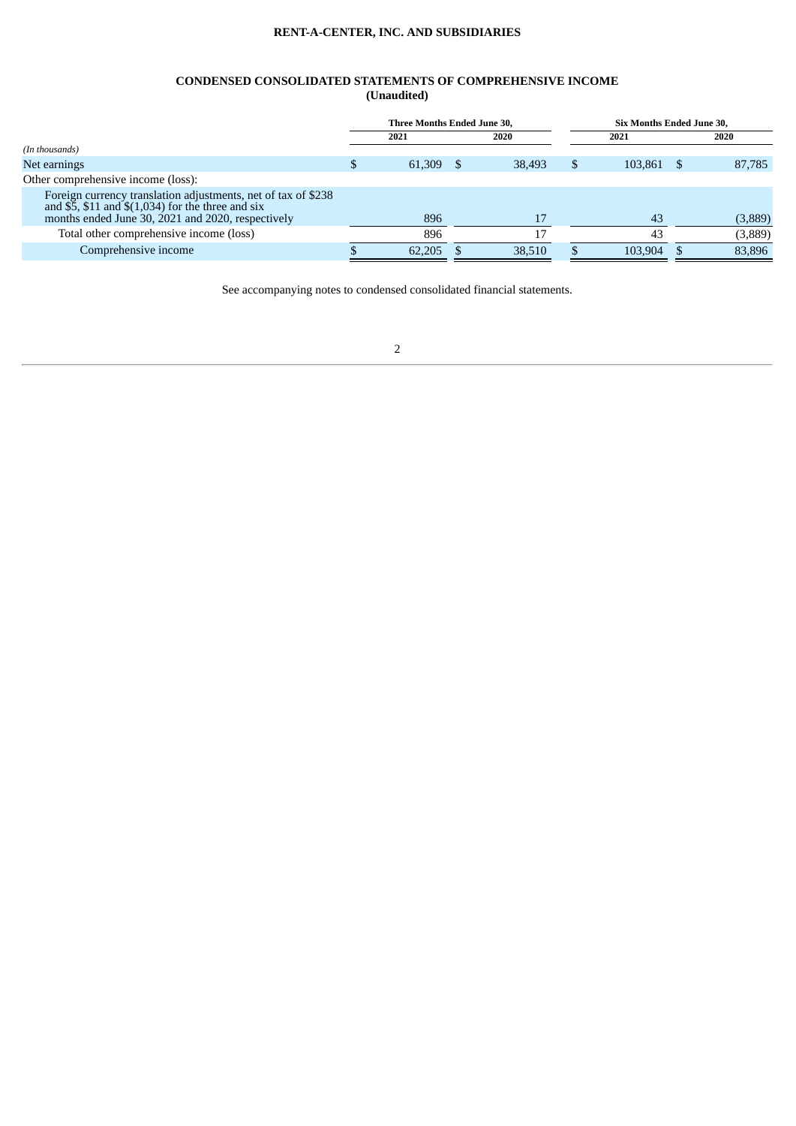## **CONDENSED CONSOLIDATED STATEMENTS OF COMPREHENSIVE INCOME (Unaudited)**

|                                                                                                                    | Three Months Ended June 30, |        | <b>Six Months Ended June 30.</b> |         |    |         |  |
|--------------------------------------------------------------------------------------------------------------------|-----------------------------|--------|----------------------------------|---------|----|---------|--|
|                                                                                                                    | 2021                        | 2020   |                                  | 2021    |    | 2020    |  |
| (In thousands)                                                                                                     |                             |        |                                  |         |    |         |  |
| Net earnings                                                                                                       | 61,309                      | 38,493 |                                  | 103.861 | -8 | 87,785  |  |
| Other comprehensive income (loss):                                                                                 |                             |        |                                  |         |    |         |  |
| Foreign currency translation adjustments, net of tax of \$238<br>and \$5, \$11 and \$(1,034) for the three and six |                             |        |                                  |         |    |         |  |
| months ended June 30, 2021 and 2020, respectively                                                                  | 896                         | 17     |                                  | 43      |    | (3,889) |  |
| Total other comprehensive income (loss)                                                                            | 896                         |        |                                  | 43      |    | (3,889) |  |
| Comprehensive income                                                                                               | 62,205                      | 38,510 |                                  | 103.904 |    | 83,896  |  |

<span id="page-3-0"></span>See accompanying notes to condensed consolidated financial statements.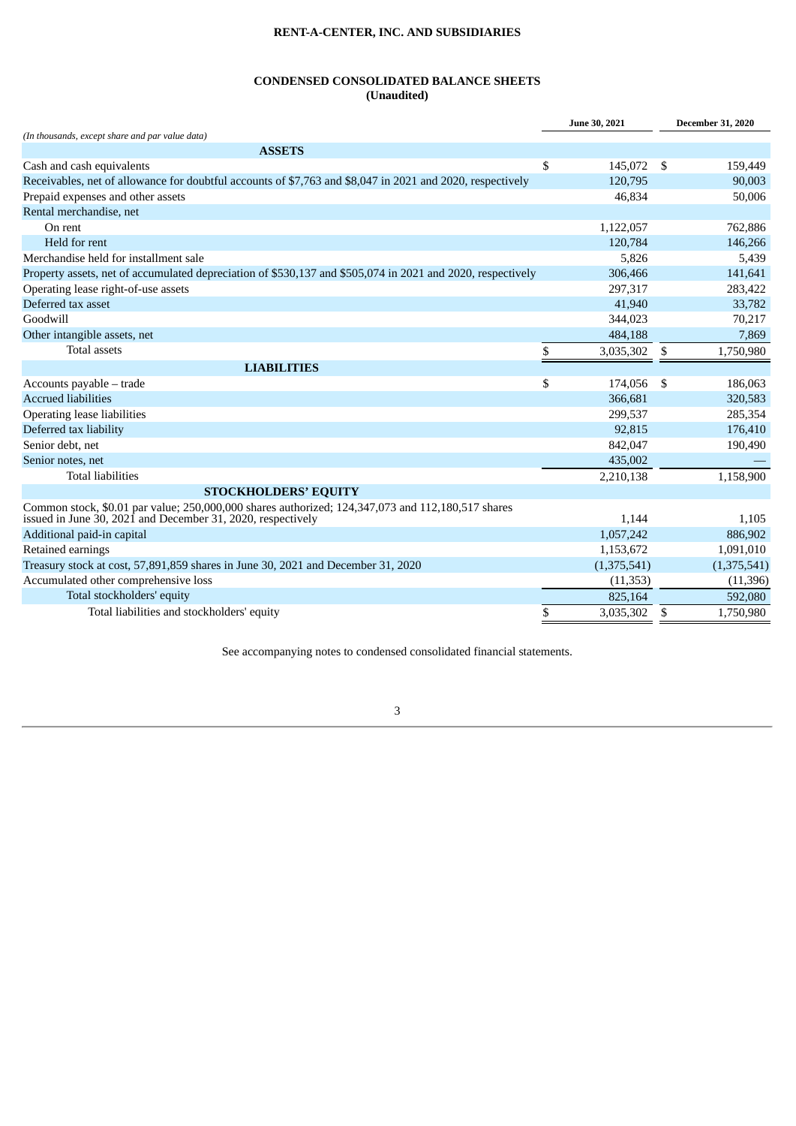## **CONDENSED CONSOLIDATED BALANCE SHEETS (Unaudited)**

|                                                                                                                                                                  | June 30, 2021   | <b>December 31, 2020</b> |             |  |
|------------------------------------------------------------------------------------------------------------------------------------------------------------------|-----------------|--------------------------|-------------|--|
| (In thousands, except share and par value data)                                                                                                                  |                 |                          |             |  |
| <b>ASSETS</b>                                                                                                                                                    |                 |                          |             |  |
| Cash and cash equivalents                                                                                                                                        | \$<br>145,072   | - \$                     | 159,449     |  |
| Receivables, net of allowance for doubtful accounts of \$7,763 and \$8,047 in 2021 and 2020, respectively                                                        | 120,795         |                          | 90,003      |  |
| Prepaid expenses and other assets                                                                                                                                | 46,834          |                          | 50,006      |  |
| Rental merchandise, net                                                                                                                                          |                 |                          |             |  |
| On rent                                                                                                                                                          | 1,122,057       |                          | 762,886     |  |
| Held for rent                                                                                                                                                    | 120,784         |                          | 146,266     |  |
| Merchandise held for installment sale                                                                                                                            | 5,826           |                          | 5,439       |  |
| Property assets, net of accumulated depreciation of \$530,137 and \$505,074 in 2021 and 2020, respectively                                                       | 306,466         |                          | 141,641     |  |
| Operating lease right-of-use assets                                                                                                                              | 297,317         |                          | 283,422     |  |
| Deferred tax asset                                                                                                                                               | 41,940          |                          | 33,782      |  |
| Goodwill                                                                                                                                                         | 344,023         |                          | 70,217      |  |
| Other intangible assets, net                                                                                                                                     | 484,188         |                          | 7,869       |  |
| <b>Total assets</b>                                                                                                                                              | \$<br>3,035,302 | \$                       | 1,750,980   |  |
| <b>LIABILITIES</b>                                                                                                                                               |                 |                          |             |  |
| Accounts payable – trade                                                                                                                                         | \$<br>174,056   | -\$                      | 186,063     |  |
| <b>Accrued liabilities</b>                                                                                                                                       | 366,681         |                          | 320,583     |  |
| <b>Operating lease liabilities</b>                                                                                                                               | 299,537         |                          | 285,354     |  |
| Deferred tax liability                                                                                                                                           | 92,815          |                          | 176,410     |  |
| Senior debt, net                                                                                                                                                 | 842,047         |                          | 190,490     |  |
| Senior notes, net                                                                                                                                                | 435,002         |                          |             |  |
| <b>Total liabilities</b>                                                                                                                                         | 2,210,138       |                          | 1,158,900   |  |
| <b>STOCKHOLDERS' EQUITY</b>                                                                                                                                      |                 |                          |             |  |
| Common stock, \$0.01 par value; 250,000,000 shares authorized; 124,347,073 and 112,180,517 shares<br>issued in June 30, 2021 and December 31, 2020, respectively | 1,144           |                          | 1,105       |  |
| Additional paid-in capital                                                                                                                                       | 1,057,242       |                          | 886,902     |  |
| Retained earnings                                                                                                                                                | 1,153,672       |                          | 1,091,010   |  |
| Treasury stock at cost, 57,891,859 shares in June 30, 2021 and December 31, 2020                                                                                 | (1,375,541)     |                          | (1,375,541) |  |
| Accumulated other comprehensive loss                                                                                                                             | (11, 353)       |                          | (11,396)    |  |
| Total stockholders' equity                                                                                                                                       | 825,164         |                          | 592,080     |  |
| Total liabilities and stockholders' equity                                                                                                                       | \$<br>3,035,302 | \$                       | 1,750,980   |  |

<span id="page-4-0"></span>See accompanying notes to condensed consolidated financial statements.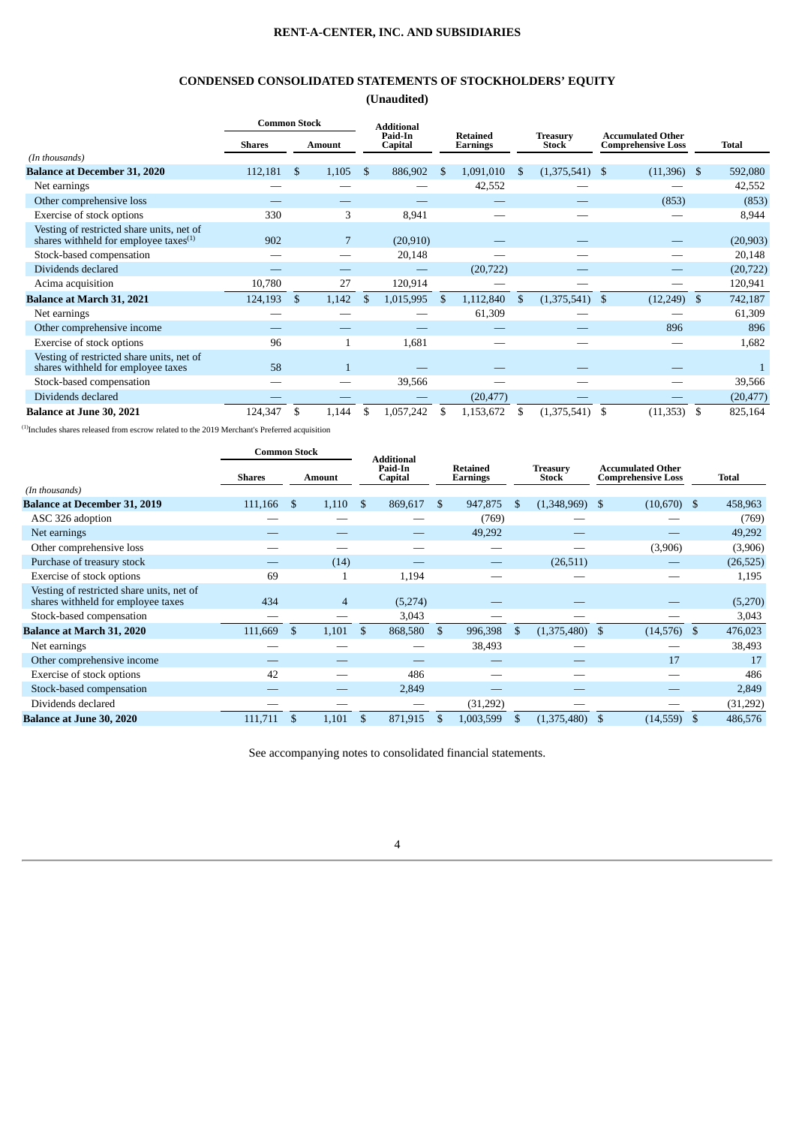## **CONDENSED CONSOLIDATED STATEMENTS OF STOCKHOLDERS' EQUITY**

**(Unaudited)**

|                                                                                                | <b>Common Stock</b>  |                |               |               | <b>Additional</b>  |                                    |     |                                 |     |                                                       |               |
|------------------------------------------------------------------------------------------------|----------------------|----------------|---------------|---------------|--------------------|------------------------------------|-----|---------------------------------|-----|-------------------------------------------------------|---------------|
|                                                                                                | <b>Shares</b>        |                | <b>Amount</b> |               | Paid-In<br>Capital | <b>Retained</b><br><b>Earnings</b> |     | <b>Treasury</b><br><b>Stock</b> |     | <b>Accumulated Other</b><br><b>Comprehensive Loss</b> | Total         |
| (In thousands)                                                                                 |                      |                |               |               |                    |                                    |     |                                 |     |                                                       |               |
| <b>Balance at December 31, 2020</b>                                                            | 112,181              | $\mathfrak{S}$ | 1,105         | $\mathbf{\$}$ | 886,902            | 1,091,010                          | S   | $(1,375,541)$ \$                |     | $(11,396)$ \$                                         | 592,080       |
| Net earnings                                                                                   |                      |                |               |               |                    | 42,552                             |     |                                 |     |                                                       | 42,552        |
| Other comprehensive loss                                                                       |                      |                |               |               |                    |                                    |     |                                 |     | (853)                                                 | (853)         |
| Exercise of stock options                                                                      | 330                  |                | 3             |               | 8,941              |                                    |     |                                 |     |                                                       | 8,944         |
| Vesting of restricted share units, net of<br>shares withheld for employee taxes <sup>(1)</sup> | 7<br>902<br>(20,910) |                |               |               |                    |                                    |     | (20, 903)                       |     |                                                       |               |
| Stock-based compensation                                                                       |                      |                |               |               | 20,148             |                                    |     |                                 |     |                                                       | 20,148        |
| Dividends declared                                                                             |                      |                |               |               |                    | (20, 722)                          |     |                                 |     |                                                       | (20, 722)     |
| Acima acquisition                                                                              | 10,780               |                | 27            |               | 120,914            |                                    |     |                                 |     |                                                       | 120,941       |
| <b>Balance at March 31, 2021</b>                                                               | 124,193              | \$             | 1,142         |               | 1,015,995          | 1,112,840                          | \$. | (1,375,541)                     | -\$ | $(12,249)$ \$                                         | 742,187       |
| Net earnings                                                                                   |                      |                |               |               |                    | 61,309                             |     |                                 |     |                                                       | 61,309        |
| Other comprehensive income                                                                     |                      |                |               |               |                    |                                    |     |                                 |     | 896                                                   | 896           |
| Exercise of stock options                                                                      | 96                   |                |               |               | 1,681              |                                    |     |                                 |     |                                                       | 1,682         |
| Vesting of restricted share units, net of<br>shares withheld for employee taxes                | 58                   |                | $\mathbf{1}$  |               |                    |                                    |     |                                 |     |                                                       |               |
| Stock-based compensation                                                                       |                      |                |               |               | 39,566             |                                    |     |                                 |     |                                                       | 39,566        |
| Dividends declared                                                                             |                      |                |               |               |                    | (20, 477)                          |     |                                 |     |                                                       | (20, 477)     |
| <b>Balance at June 30, 2021</b>                                                                | 124,347              |                | 1,144         |               | 1,057,242          | 1,153,672                          |     | (1,375,541)                     | \$  | (11, 353)                                             | \$<br>825,164 |

 $<sup>(1)</sup>$  Includes shares released from escrow related to the 2019 Merchant's Preferred acquisition</sup>

|                                                                                 | <b>Common Stock</b> |                |                |                    | <b>Additional</b> |                             |                                 |                  |    |                                                       |      |              |
|---------------------------------------------------------------------------------|---------------------|----------------|----------------|--------------------|-------------------|-----------------------------|---------------------------------|------------------|----|-------------------------------------------------------|------|--------------|
|                                                                                 | <b>Shares</b>       | <b>Amount</b>  |                | Paid-In<br>Capital |                   | Retained<br><b>Earnings</b> | <b>Treasury</b><br><b>Stock</b> |                  |    | <b>Accumulated Other</b><br><b>Comprehensive Loss</b> |      | <b>Total</b> |
| (In thousands)                                                                  |                     |                |                |                    |                   |                             |                                 |                  |    |                                                       |      |              |
| <b>Balance at December 31, 2019</b>                                             | 111,166             | \$             | 1,110          | \$                 | 869,617           | \$<br>947,875               | -8                              | $(1,348,969)$ \$ |    | $(10,670)$ \$                                         |      | 458,963      |
| ASC 326 adoption                                                                |                     |                |                |                    |                   | (769)                       |                                 |                  |    |                                                       |      | (769)        |
| Net earnings                                                                    |                     |                |                |                    |                   | 49,292                      |                                 |                  |    |                                                       |      | 49,292       |
| Other comprehensive loss                                                        |                     |                |                |                    |                   |                             |                                 |                  |    | (3,906)                                               |      | (3,906)      |
| Purchase of treasury stock                                                      |                     |                | (14)           |                    |                   |                             |                                 | (26, 511)        |    |                                                       |      | (26, 525)    |
| Exercise of stock options                                                       | 69                  |                |                |                    | 1,194             |                             |                                 |                  |    |                                                       |      | 1,195        |
| Vesting of restricted share units, net of<br>shares withheld for employee taxes | 434                 |                | $\overline{4}$ |                    | (5,274)           |                             |                                 |                  |    |                                                       |      | (5,270)      |
| Stock-based compensation                                                        |                     |                |                |                    | 3,043             |                             |                                 |                  |    |                                                       |      | 3,043        |
| <b>Balance at March 31, 2020</b>                                                | 111,669             | $\mathfrak{F}$ | 1,101          | \$                 | 868,580           | \$<br>996,398               | \$                              | (1,375,480)      | Ŝ. | (14, 576)                                             | - \$ | 476,023      |
| Net earnings                                                                    |                     |                |                |                    |                   | 38,493                      |                                 |                  |    |                                                       |      | 38,493       |
| Other comprehensive income                                                      |                     |                |                |                    |                   |                             |                                 |                  |    | 17                                                    |      | 17           |
| Exercise of stock options                                                       | 42                  |                |                |                    | 486               |                             |                                 |                  |    |                                                       |      | 486          |
| Stock-based compensation                                                        |                     |                |                |                    | 2,849             |                             |                                 |                  |    | _                                                     |      | 2,849        |
| Dividends declared                                                              |                     |                |                |                    |                   | (31,292)                    |                                 |                  |    |                                                       |      | (31,292)     |
| <b>Balance at June 30, 2020</b>                                                 | 111,711             | \$             | 1,101          | \$                 | 871,915           | 1,003,599                   |                                 | (1,375,480)      | \$ | $(14,559)$ \$                                         |      | 486,576      |

<span id="page-5-0"></span>See accompanying notes to consolidated financial statements.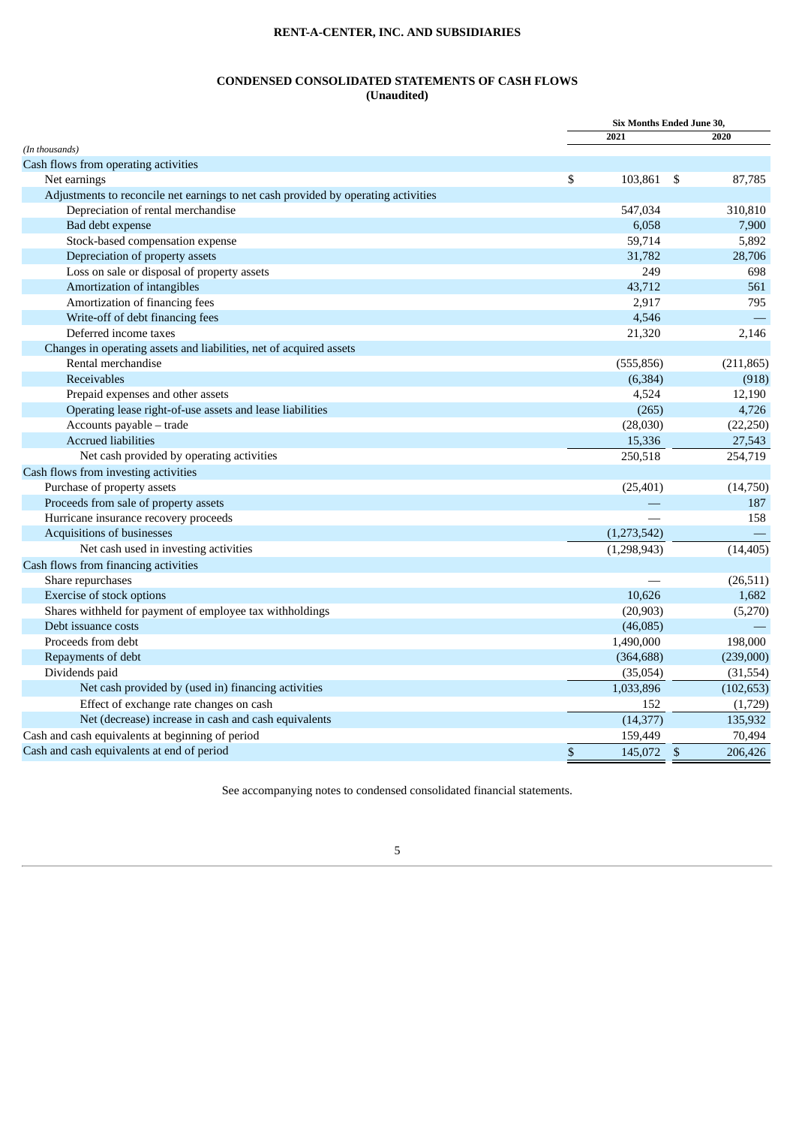## **CONDENSED CONSOLIDATED STATEMENTS OF CASH FLOWS (Unaudited)**

|                                                                                    | <b>Six Months Ended June 30,</b> |                |            |
|------------------------------------------------------------------------------------|----------------------------------|----------------|------------|
|                                                                                    | 2021                             |                | 2020       |
| (In thousands)                                                                     |                                  |                |            |
| Cash flows from operating activities                                               |                                  |                |            |
| Net earnings                                                                       | \$<br>103,861                    | \$             | 87,785     |
| Adjustments to reconcile net earnings to net cash provided by operating activities |                                  |                |            |
| Depreciation of rental merchandise                                                 | 547,034                          |                | 310,810    |
| Bad debt expense                                                                   | 6,058                            |                | 7,900      |
| Stock-based compensation expense                                                   | 59,714                           |                | 5,892      |
| Depreciation of property assets                                                    | 31,782                           |                | 28,706     |
| Loss on sale or disposal of property assets                                        | 249                              |                | 698        |
| Amortization of intangibles                                                        | 43,712                           |                | 561        |
| Amortization of financing fees                                                     | 2,917                            |                | 795        |
| Write-off of debt financing fees                                                   | 4,546                            |                |            |
| Deferred income taxes                                                              | 21,320                           |                | 2,146      |
| Changes in operating assets and liabilities, net of acquired assets                |                                  |                |            |
| Rental merchandise                                                                 | (555, 856)                       |                | (211, 865) |
| Receivables                                                                        | (6, 384)                         |                | (918)      |
| Prepaid expenses and other assets                                                  | 4,524                            |                | 12,190     |
| Operating lease right-of-use assets and lease liabilities                          | (265)                            |                | 4,726      |
| Accounts payable - trade                                                           | (28,030)                         |                | (22, 250)  |
| <b>Accrued liabilities</b>                                                         | 15,336                           |                | 27,543     |
| Net cash provided by operating activities                                          | 250,518                          |                | 254,719    |
| Cash flows from investing activities                                               |                                  |                |            |
| Purchase of property assets                                                        | (25, 401)                        |                | (14,750)   |
| Proceeds from sale of property assets                                              |                                  |                | 187        |
| Hurricane insurance recovery proceeds                                              |                                  |                | 158        |
| Acquisitions of businesses                                                         | (1,273,542)                      |                |            |
| Net cash used in investing activities                                              | (1,298,943)                      |                | (14, 405)  |
| Cash flows from financing activities                                               |                                  |                |            |
| Share repurchases                                                                  |                                  |                | (26, 511)  |
| Exercise of stock options                                                          | 10,626                           |                | 1,682      |
| Shares withheld for payment of employee tax withholdings                           | (20, 903)                        |                | (5,270)    |
| Debt issuance costs                                                                | (46,085)                         |                |            |
| Proceeds from debt                                                                 | 1,490,000                        |                | 198,000    |
| Repayments of debt                                                                 | (364, 688)                       |                | (239,000)  |
| Dividends paid                                                                     | (35,054)                         |                | (31, 554)  |
| Net cash provided by (used in) financing activities                                | 1,033,896                        |                | (102, 653) |
| Effect of exchange rate changes on cash                                            | 152                              |                | (1,729)    |
| Net (decrease) increase in cash and cash equivalents                               | (14, 377)                        |                | 135,932    |
| Cash and cash equivalents at beginning of period                                   | 159,449                          |                | 70,494     |
| Cash and cash equivalents at end of period                                         | \$<br>145,072                    | $\mathfrak{S}$ | 206,426    |
|                                                                                    |                                  |                |            |

<span id="page-6-0"></span>See accompanying notes to condensed consolidated financial statements.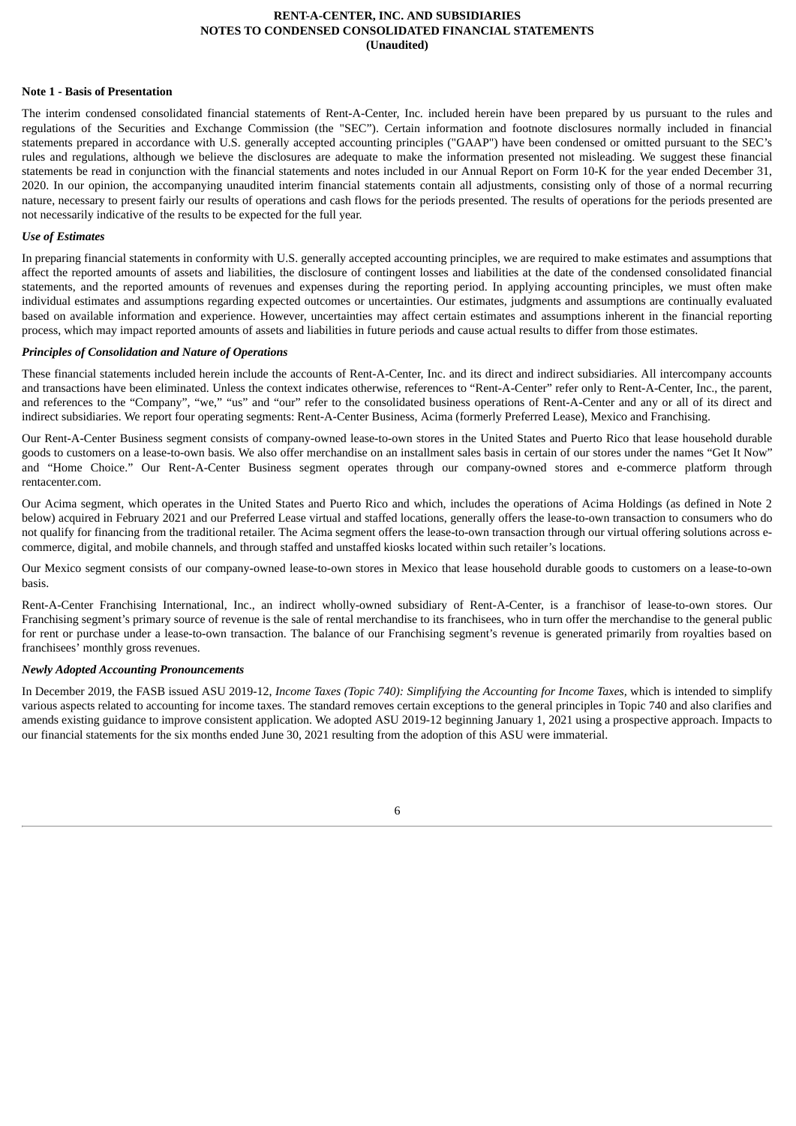#### **Note 1 - Basis of Presentation**

The interim condensed consolidated financial statements of Rent-A-Center, Inc. included herein have been prepared by us pursuant to the rules and regulations of the Securities and Exchange Commission (the "SEC"). Certain information and footnote disclosures normally included in financial statements prepared in accordance with U.S. generally accepted accounting principles ("GAAP") have been condensed or omitted pursuant to the SEC's rules and regulations, although we believe the disclosures are adequate to make the information presented not misleading. We suggest these financial statements be read in conjunction with the financial statements and notes included in our Annual Report on Form 10-K for the year ended December 31, 2020. In our opinion, the accompanying unaudited interim financial statements contain all adjustments, consisting only of those of a normal recurring nature, necessary to present fairly our results of operations and cash flows for the periods presented. The results of operations for the periods presented are not necessarily indicative of the results to be expected for the full year.

#### *Use of Estimates*

In preparing financial statements in conformity with U.S. generally accepted accounting principles, we are required to make estimates and assumptions that affect the reported amounts of assets and liabilities, the disclosure of contingent losses and liabilities at the date of the condensed consolidated financial statements, and the reported amounts of revenues and expenses during the reporting period. In applying accounting principles, we must often make individual estimates and assumptions regarding expected outcomes or uncertainties. Our estimates, judgments and assumptions are continually evaluated based on available information and experience. However, uncertainties may affect certain estimates and assumptions inherent in the financial reporting process, which may impact reported amounts of assets and liabilities in future periods and cause actual results to differ from those estimates.

#### *Principles of Consolidation and Nature of Operations*

These financial statements included herein include the accounts of Rent-A-Center, Inc. and its direct and indirect subsidiaries. All intercompany accounts and transactions have been eliminated. Unless the context indicates otherwise, references to "Rent-A-Center" refer only to Rent-A-Center, Inc., the parent, and references to the "Company", "we," "us" and "our" refer to the consolidated business operations of Rent-A-Center and any or all of its direct and indirect subsidiaries. We report four operating segments: Rent-A-Center Business, Acima (formerly Preferred Lease), Mexico and Franchising.

Our Rent-A-Center Business segment consists of company-owned lease-to-own stores in the United States and Puerto Rico that lease household durable goods to customers on a lease-to-own basis. We also offer merchandise on an installment sales basis in certain of our stores under the names "Get It Now" and "Home Choice." Our Rent-A-Center Business segment operates through our company-owned stores and e-commerce platform through rentacenter.com.

Our Acima segment, which operates in the United States and Puerto Rico and which, includes the operations of Acima Holdings (as defined in Note 2 below) acquired in February 2021 and our Preferred Lease virtual and staffed locations, generally offers the lease-to-own transaction to consumers who do not qualify for financing from the traditional retailer. The Acima segment offers the lease-to-own transaction through our virtual offering solutions across ecommerce, digital, and mobile channels, and through staffed and unstaffed kiosks located within such retailer's locations.

Our Mexico segment consists of our company-owned lease-to-own stores in Mexico that lease household durable goods to customers on a lease-to-own basis.

Rent-A-Center Franchising International, Inc., an indirect wholly-owned subsidiary of Rent-A-Center, is a franchisor of lease-to-own stores. Our Franchising segment's primary source of revenue is the sale of rental merchandise to its franchisees, who in turn offer the merchandise to the general public for rent or purchase under a lease-to-own transaction. The balance of our Franchising segment's revenue is generated primarily from royalties based on franchisees' monthly gross revenues.

#### *Newly Adopted Accounting Pronouncements*

In December 2019, the FASB issued ASU 2019-12, *Income Taxes (Topic 740): Simplifying the Accounting for Income Taxes,* which is intended to simplify various aspects related to accounting for income taxes. The standard removes certain exceptions to the general principles in Topic 740 and also clarifies and amends existing guidance to improve consistent application. We adopted ASU 2019-12 beginning January 1, 2021 using a prospective approach. Impacts to our financial statements for the six months ended June 30, 2021 resulting from the adoption of this ASU were immaterial.

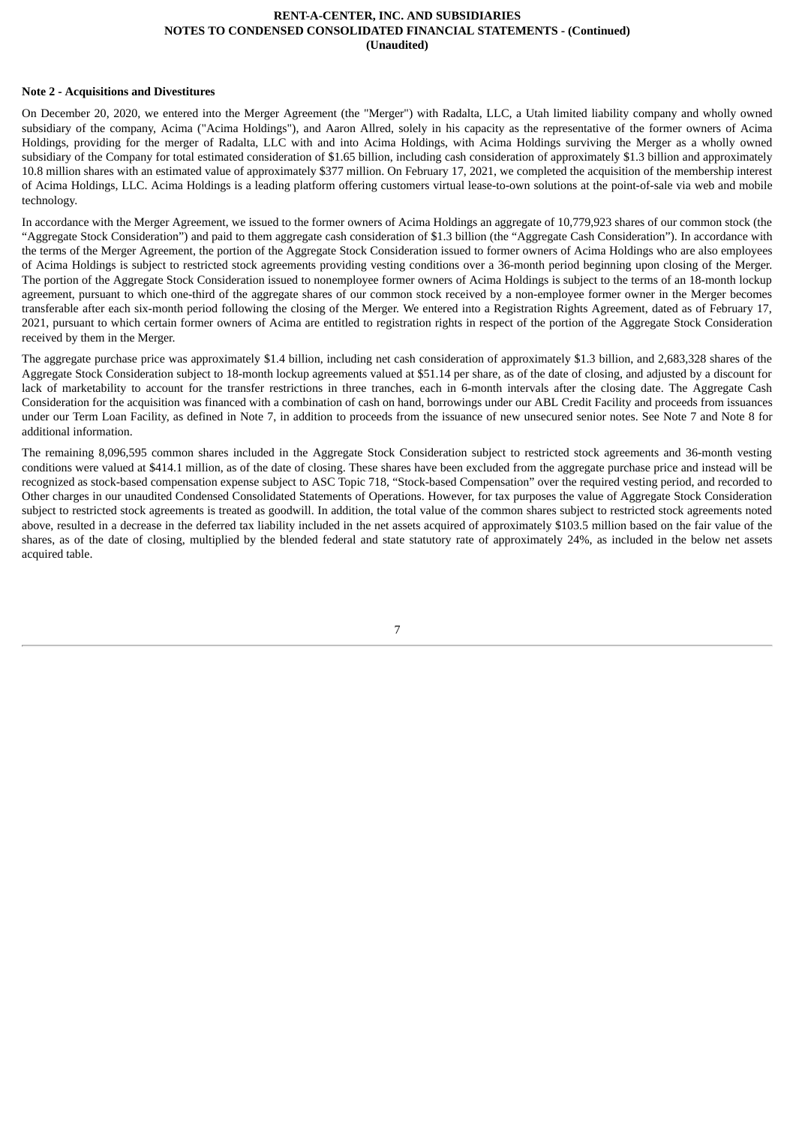#### **Note 2 - Acquisitions and Divestitures**

On December 20, 2020, we entered into the Merger Agreement (the "Merger") with Radalta, LLC, a Utah limited liability company and wholly owned subsidiary of the company, Acima ("Acima Holdings"), and Aaron Allred, solely in his capacity as the representative of the former owners of Acima Holdings, providing for the merger of Radalta, LLC with and into Acima Holdings, with Acima Holdings surviving the Merger as a wholly owned subsidiary of the Company for total estimated consideration of \$1.65 billion, including cash consideration of approximately \$1.3 billion and approximately 10.8 million shares with an estimated value of approximately \$377 million. On February 17, 2021, we completed the acquisition of the membership interest of Acima Holdings, LLC. Acima Holdings is a leading platform offering customers virtual lease-to-own solutions at the point-of-sale via web and mobile technology.

In accordance with the Merger Agreement, we issued to the former owners of Acima Holdings an aggregate of 10,779,923 shares of our common stock (the "Aggregate Stock Consideration") and paid to them aggregate cash consideration of \$1.3 billion (the "Aggregate Cash Consideration"). In accordance with the terms of the Merger Agreement, the portion of the Aggregate Stock Consideration issued to former owners of Acima Holdings who are also employees of Acima Holdings is subject to restricted stock agreements providing vesting conditions over a 36-month period beginning upon closing of the Merger. The portion of the Aggregate Stock Consideration issued to nonemployee former owners of Acima Holdings is subject to the terms of an 18-month lockup agreement, pursuant to which one-third of the aggregate shares of our common stock received by a non-employee former owner in the Merger becomes transferable after each six-month period following the closing of the Merger. We entered into a Registration Rights Agreement, dated as of February 17, 2021, pursuant to which certain former owners of Acima are entitled to registration rights in respect of the portion of the Aggregate Stock Consideration received by them in the Merger.

The aggregate purchase price was approximately \$1.4 billion, including net cash consideration of approximately \$1.3 billion, and 2,683,328 shares of the Aggregate Stock Consideration subject to 18-month lockup agreements valued at \$51.14 per share, as of the date of closing, and adjusted by a discount for lack of marketability to account for the transfer restrictions in three tranches, each in 6-month intervals after the closing date. The Aggregate Cash Consideration for the acquisition was financed with a combination of cash on hand, borrowings under our ABL Credit Facility and proceeds from issuances under our Term Loan Facility, as defined in Note 7, in addition to proceeds from the issuance of new unsecured senior notes. See Note 7 and Note 8 for additional information.

The remaining 8,096,595 common shares included in the Aggregate Stock Consideration subject to restricted stock agreements and 36-month vesting conditions were valued at \$414.1 million, as of the date of closing. These shares have been excluded from the aggregate purchase price and instead will be recognized as stock-based compensation expense subject to ASC Topic 718, "Stock-based Compensation" over the required vesting period, and recorded to Other charges in our unaudited Condensed Consolidated Statements of Operations. However, for tax purposes the value of Aggregate Stock Consideration subject to restricted stock agreements is treated as goodwill. In addition, the total value of the common shares subject to restricted stock agreements noted above, resulted in a decrease in the deferred tax liability included in the net assets acquired of approximately \$103.5 million based on the fair value of the shares, as of the date of closing, multiplied by the blended federal and state statutory rate of approximately 24%, as included in the below net assets acquired table.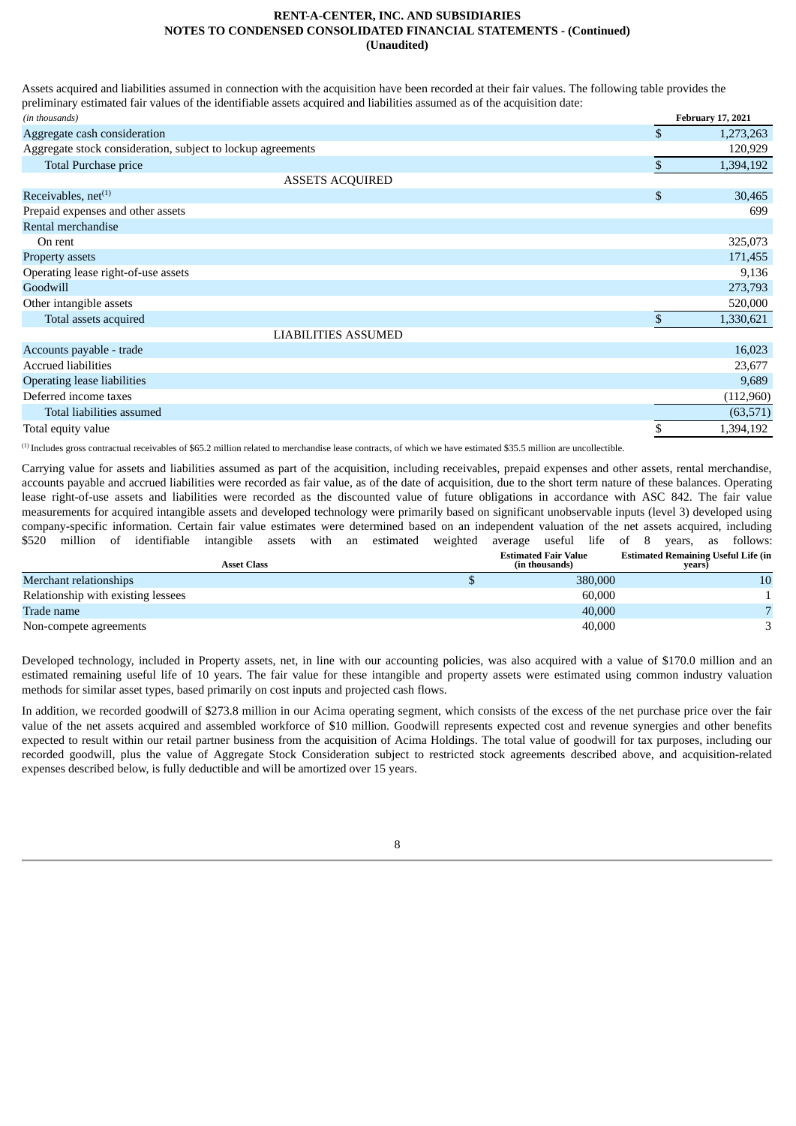Assets acquired and liabilities assumed in connection with the acquisition have been recorded at their fair values. The following table provides the preliminary estimated fair values of the identifiable assets acquired and liabilities assumed as of the acquisition date:

| (in thousands)                                              | <b>February 17, 2021</b> |
|-------------------------------------------------------------|--------------------------|
| Aggregate cash consideration                                | \$<br>1,273,263          |
| Aggregate stock consideration, subject to lockup agreements | 120,929                  |
| <b>Total Purchase price</b>                                 | \$<br>1,394,192          |
| <b>ASSETS ACQUIRED</b>                                      |                          |
| Receivables, $net^{(1)}$                                    | \$<br>30,465             |
| Prepaid expenses and other assets                           | 699                      |
| Rental merchandise                                          |                          |
| On rent                                                     | 325,073                  |
| Property assets                                             | 171,455                  |
| Operating lease right-of-use assets                         | 9,136                    |
| Goodwill                                                    | 273,793                  |
| Other intangible assets                                     | 520,000                  |
| Total assets acquired                                       | \$<br>1,330,621          |
| <b>LIABILITIES ASSUMED</b>                                  |                          |
| Accounts payable - trade                                    | 16,023                   |
| <b>Accrued liabilities</b>                                  | 23,677                   |
| <b>Operating lease liabilities</b>                          | 9,689                    |
| Deferred income taxes                                       | (112,960)                |
| Total liabilities assumed                                   | (63, 571)                |
| Total equity value                                          | \$<br>1,394,192          |

 $^{(1)}$  Includes gross contractual receivables of \$65.2 million related to merchandise lease contracts, of which we have estimated \$35.5 million are uncollectible.

Carrying value for assets and liabilities assumed as part of the acquisition, including receivables, prepaid expenses and other assets, rental merchandise, accounts payable and accrued liabilities were recorded as fair value, as of the date of acquisition, due to the short term nature of these balances. Operating lease right-of-use assets and liabilities were recorded as the discounted value of future obligations in accordance with ASC 842. The fair value measurements for acquired intangible assets and developed technology were primarily based on significant unobservable inputs (level 3) developed using company-specific information. Certain fair value estimates were determined based on an independent valuation of the net assets acquired, including \$520 million of identifiable intangible assets with an estimated weighted average useful life of 8 years, as follows:

| <b>Asset Class</b>                 | <b>Estimated Fair Value</b><br>(in thousands) | <b>Estimated Remaining Useful Life (in</b><br>vears) |
|------------------------------------|-----------------------------------------------|------------------------------------------------------|
| Merchant relationships             | 380,000                                       | 10                                                   |
| Relationship with existing lessees | 60,000                                        |                                                      |
| Trade name                         | 40,000                                        | $\overline{ }$                                       |
| Non-compete agreements             | 40,000                                        |                                                      |

Developed technology, included in Property assets, net, in line with our accounting policies, was also acquired with a value of \$170.0 million and an estimated remaining useful life of 10 years. The fair value for these intangible and property assets were estimated using common industry valuation methods for similar asset types, based primarily on cost inputs and projected cash flows.

In addition, we recorded goodwill of \$273.8 million in our Acima operating segment, which consists of the excess of the net purchase price over the fair value of the net assets acquired and assembled workforce of \$10 million. Goodwill represents expected cost and revenue synergies and other benefits expected to result within our retail partner business from the acquisition of Acima Holdings. The total value of goodwill for tax purposes, including our recorded goodwill, plus the value of Aggregate Stock Consideration subject to restricted stock agreements described above, and acquisition-related expenses described below, is fully deductible and will be amortized over 15 years.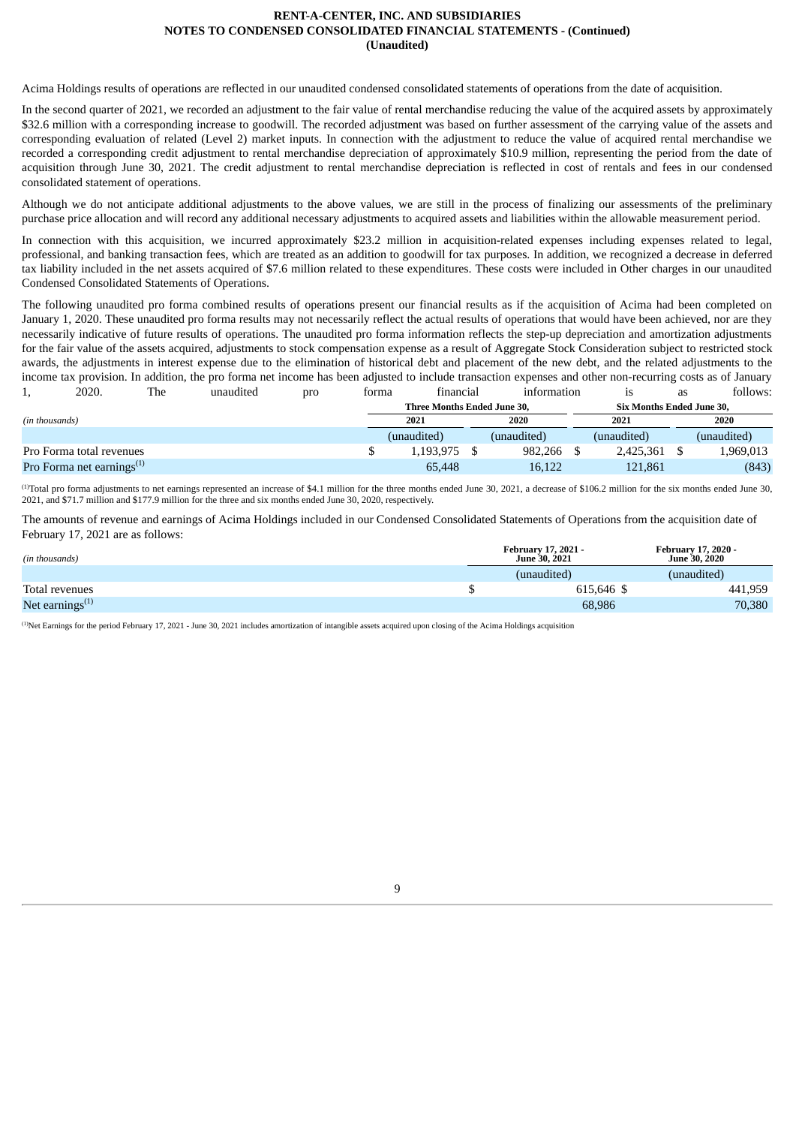Acima Holdings results of operations are reflected in our unaudited condensed consolidated statements of operations from the date of acquisition.

In the second quarter of 2021, we recorded an adjustment to the fair value of rental merchandise reducing the value of the acquired assets by approximately \$32.6 million with a corresponding increase to goodwill. The recorded adjustment was based on further assessment of the carrying value of the assets and corresponding evaluation of related (Level 2) market inputs. In connection with the adjustment to reduce the value of acquired rental merchandise we recorded a corresponding credit adjustment to rental merchandise depreciation of approximately \$10.9 million, representing the period from the date of acquisition through June 30, 2021. The credit adjustment to rental merchandise depreciation is reflected in cost of rentals and fees in our condensed consolidated statement of operations.

Although we do not anticipate additional adjustments to the above values, we are still in the process of finalizing our assessments of the preliminary purchase price allocation and will record any additional necessary adjustments to acquired assets and liabilities within the allowable measurement period.

In connection with this acquisition, we incurred approximately \$23.2 million in acquisition-related expenses including expenses related to legal, professional, and banking transaction fees, which are treated as an addition to goodwill for tax purposes. In addition, we recognized a decrease in deferred tax liability included in the net assets acquired of \$7.6 million related to these expenditures. These costs were included in Other charges in our unaudited Condensed Consolidated Statements of Operations.

The following unaudited pro forma combined results of operations present our financial results as if the acquisition of Acima had been completed on January 1, 2020. These unaudited pro forma results may not necessarily reflect the actual results of operations that would have been achieved, nor are they necessarily indicative of future results of operations. The unaudited pro forma information reflects the step-up depreciation and amortization adjustments for the fair value of the assets acquired, adjustments to stock compensation expense as a result of Aggregate Stock Consideration subject to restricted stock awards, the adjustments in interest expense due to the elimination of historical debt and placement of the new debt, and the related adjustments to the income tax provision. In addition, the pro forma net income has been adjusted to include transaction expenses and other non-recurring costs as of January 1, 2020. The unaudited pro forma financial information is as follows:

| . .            | - - - -                      | 11 L | unuuuttu | ULV | ------- |                                    |             | ∸                                | ີ | 10110 W.J.  |
|----------------|------------------------------|------|----------|-----|---------|------------------------------------|-------------|----------------------------------|---|-------------|
|                |                              |      |          |     |         | <b>Three Months Ended June 30.</b> |             | <b>Six Months Ended June 30.</b> |   |             |
| (in thousands) |                              |      |          |     |         | 2021                               | 2020        | 2021                             |   | 2020        |
|                |                              |      |          |     |         | (unaudited)                        | (unaudited) | (unaudited)                      |   | (unaudited) |
|                | Pro Forma total revenues     |      |          |     |         | 1.193.975                          | 982.266     | 2,425,361                        |   | 1.969.013   |
|                | Pro Forma net earnings $(1)$ |      |          |     |         | 65,448                             | 16,122      | 121.861                          |   | (843)       |

 $(1)$ Total pro forma adjustments to net earnings represented an increase of \$4.1 million for the three months ended June 30, 2021, a decrease of \$106.2 million for the six months ended June 30, 2021, and \$71.7 million and \$177.9 million for the three and six months ended June 30, 2020, respectively.

The amounts of revenue and earnings of Acima Holdings included in our Condensed Consolidated Statements of Operations from the acquisition date of February 17, 2021 are as follows:

| (in thousands)     | February 17, 2021 -<br><b>June 30, 2021</b> | February 17, 2020 -<br>June 30, 2020 |
|--------------------|---------------------------------------------|--------------------------------------|
|                    | (unaudited)                                 | (unaudited)                          |
| Total revenues     | 615.646 \$                                  | 441.959                              |
| Net earnings $(1)$ | 68,986                                      | 70,380                               |

 $(1)$  Net Earnings for the period February 17, 2021 - June 30, 2021 includes amortization of intangible assets acquired upon closing of the Acima Holdings acquisition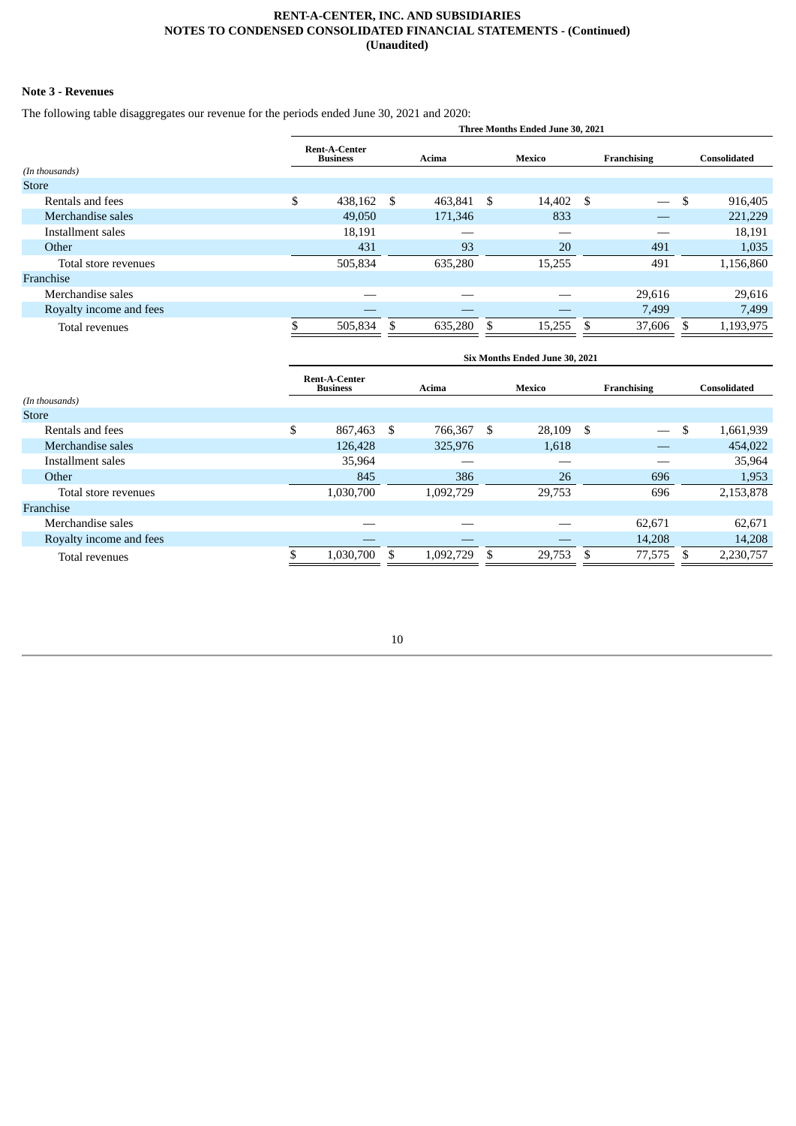## **Note 3 - Revenues**

The following table disaggregates our revenue for the periods ended June 30, 2021 and 2020:

|                         | Three Months Ended June 30, 2021        |  |            |  |                                |     |             |    |              |  |
|-------------------------|-----------------------------------------|--|------------|--|--------------------------------|-----|-------------|----|--------------|--|
|                         | <b>Rent-A-Center</b><br><b>Business</b> |  | Acima      |  | Mexico                         |     | Franchising |    | Consolidated |  |
| (In thousands)          |                                         |  |            |  |                                |     |             |    |              |  |
| <b>Store</b>            |                                         |  |            |  |                                |     |             |    |              |  |
| Rentals and fees        | \$<br>438,162 \$                        |  | 463,841 \$ |  | 14,402                         | -\$ |             | \$ | 916,405      |  |
| Merchandise sales       | 49,050                                  |  | 171,346    |  | 833                            |     |             |    | 221,229      |  |
| Installment sales       | 18,191                                  |  |            |  | __                             |     |             |    | 18,191       |  |
| Other                   | 431                                     |  | 93         |  | 20                             |     | 491         |    | 1,035        |  |
| Total store revenues    | 505,834                                 |  | 635,280    |  | 15,255                         |     | 491         |    | 1,156,860    |  |
| Franchise               |                                         |  |            |  |                                |     |             |    |              |  |
| Merchandise sales       |                                         |  |            |  |                                |     | 29,616      |    | 29,616       |  |
| Royalty income and fees |                                         |  |            |  |                                |     | 7,499       |    | 7,499        |  |
| Total revenues          | 505,834                                 |  | 635,280    |  | 15,255                         | \$  | 37,606      |    | 1,193,975    |  |
|                         |                                         |  |            |  |                                |     |             |    |              |  |
|                         |                                         |  |            |  | Six Months Ended June 30, 2021 |     |             |    |              |  |

|                         |   | Rent-A-Center<br><b>Business</b> | Acima     |      | Mexico |     | Franchising | Consolidated    |
|-------------------------|---|----------------------------------|-----------|------|--------|-----|-------------|-----------------|
| (In thousands)          |   |                                  |           |      |        |     |             |                 |
| <b>Store</b>            |   |                                  |           |      |        |     |             |                 |
| Rentals and fees        | ъ | 867,463 \$                       | 766.367   | - \$ | 28.109 | \$  |             | \$<br>1,661,939 |
| Merchandise sales       |   | 126,428                          | 325,976   |      | 1,618  |     |             | 454,022         |
| Installment sales       |   | 35,964                           |           |      |        |     |             | 35,964          |
| Other                   |   | 845                              | 386       |      | 26     |     | 696         | 1,953           |
| Total store revenues    |   | 1,030,700                        | 1,092,729 |      | 29,753 |     | 696         | 2,153,878       |
| Franchise               |   |                                  |           |      |        |     |             |                 |
| Merchandise sales       |   |                                  |           |      |        |     | 62,671      | 62,671          |
| Royalty income and fees |   |                                  |           |      |        |     | 14,208      | 14,208          |
| Total revenues          |   | 1,030,700                        | 1,092,729 |      | 29,753 | \$. | 77,575      | 2,230,757       |
|                         |   |                                  |           |      |        |     |             |                 |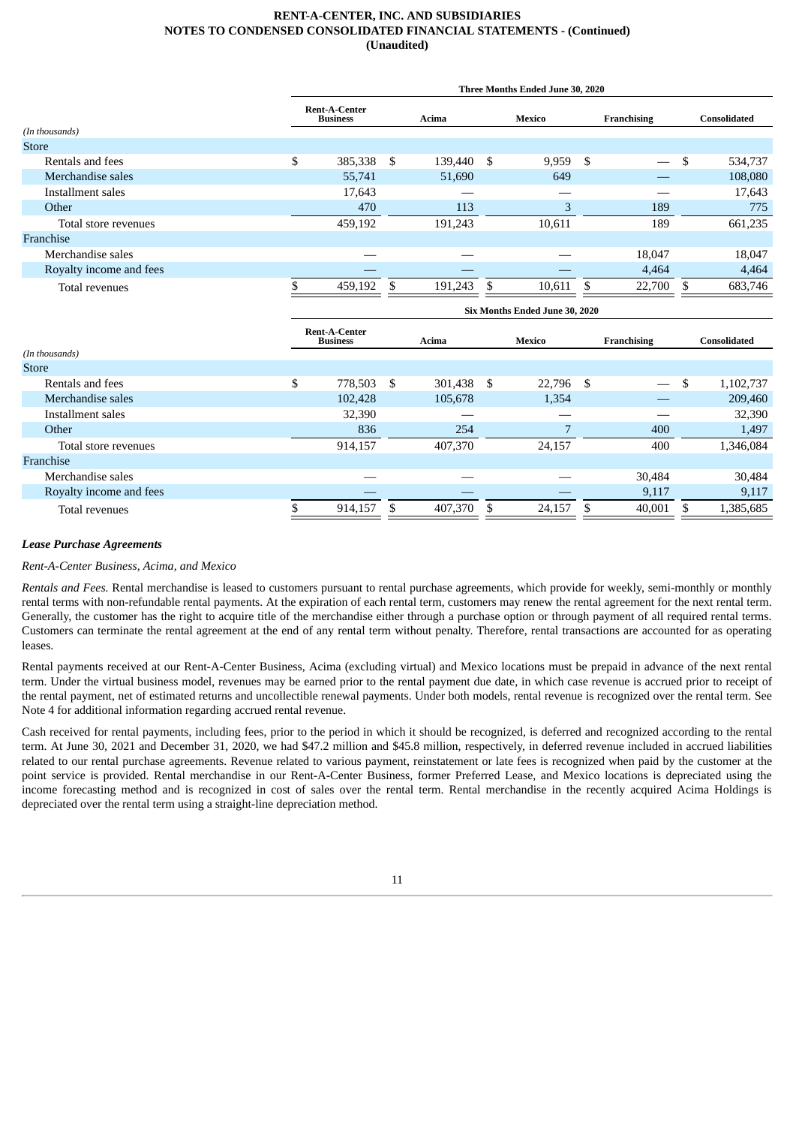|                         |                                         |      |         |      | Three Months Ended June 30, 2020 |              |                     |
|-------------------------|-----------------------------------------|------|---------|------|----------------------------------|--------------|---------------------|
|                         | <b>Rent-A-Center</b><br><b>Business</b> |      | Acima   |      | Mexico                           | Franchising  | <b>Consolidated</b> |
| (In thousands)          |                                         |      |         |      |                                  |              |                     |
| <b>Store</b>            |                                         |      |         |      |                                  |              |                     |
| Rentals and fees        | \$<br>385,338                           | - \$ | 139,440 | - \$ | 9,959                            | \$           | \$<br>534,737       |
| Merchandise sales       | 55,741                                  |      | 51,690  |      | 649                              |              | 108,080             |
| Installment sales       | 17,643                                  |      |         |      |                                  |              | 17,643              |
| Other                   | 470                                     |      | 113     |      | 3                                | 189          | 775                 |
| Total store revenues    | 459,192                                 |      | 191,243 |      | 10,611                           | 189          | 661,235             |
| Franchise               |                                         |      |         |      |                                  |              |                     |
| Merchandise sales       |                                         |      |         |      |                                  | 18,047       | 18,047              |
| Royalty income and fees |                                         |      |         |      |                                  | 4,464        | 4,464               |
| Total revenues          | \$<br>459,192                           | \$   | 191,243 | S    | 10,611                           | \$<br>22,700 | \$<br>683,746       |
|                         |                                         |      |         |      |                                  |              |                     |
|                         |                                         |      |         |      | Six Months Ended June 30, 2020   |              |                     |
|                         | <b>Rent-A-Center</b><br><b>Business</b> |      | Acima   |      | <b>Mexico</b>                    | Franchising  | <b>Consolidated</b> |
| (In thousands)          |                                         |      |         |      |                                  |              |                     |
| <b>Store</b>            |                                         |      |         |      |                                  |              |                     |
| Rentals and fees        | \$<br>778,503                           | \$   | 301,438 | - \$ | 22,796                           | \$           | \$<br>1,102,737     |
| Merchandise sales       | 102,428                                 |      | 105,678 |      | 1,354                            |              | 209,460             |
| Installment sales       | 32,390                                  |      |         |      |                                  |              | 32,390              |
| Other                   | 836                                     |      | 254     |      | 7                                | 400          | 1,497               |
| Total store revenues    | 914,157                                 |      | 407,370 |      | 24,157                           | 400          | 1,346,084           |
| Franchise               |                                         |      |         |      |                                  |              |                     |
| Merchandise sales       |                                         |      |         |      |                                  | 30,484       | 30,484              |
| Royalty income and fees |                                         |      |         |      |                                  | 9,117        | 9,117               |

#### *Lease Purchase Agreements*

#### *Rent-A-Center Business, Acima, and Mexico*

*Rentals and Fees.* Rental merchandise is leased to customers pursuant to rental purchase agreements, which provide for weekly, semi-monthly or monthly rental terms with non-refundable rental payments. At the expiration of each rental term, customers may renew the rental agreement for the next rental term. Generally, the customer has the right to acquire title of the merchandise either through a purchase option or through payment of all required rental terms. Customers can terminate the rental agreement at the end of any rental term without penalty. Therefore, rental transactions are accounted for as operating leases.

Rental payments received at our Rent-A-Center Business, Acima (excluding virtual) and Mexico locations must be prepaid in advance of the next rental term. Under the virtual business model, revenues may be earned prior to the rental payment due date, in which case revenue is accrued prior to receipt of the rental payment, net of estimated returns and uncollectible renewal payments. Under both models, rental revenue is recognized over the rental term. See Note 4 for additional information regarding accrued rental revenue.

Cash received for rental payments, including fees, prior to the period in which it should be recognized, is deferred and recognized according to the rental term. At June 30, 2021 and December 31, 2020, we had \$47.2 million and \$45.8 million, respectively, in deferred revenue included in accrued liabilities related to our rental purchase agreements. Revenue related to various payment, reinstatement or late fees is recognized when paid by the customer at the point service is provided. Rental merchandise in our Rent-A-Center Business, former Preferred Lease, and Mexico locations is depreciated using the income forecasting method and is recognized in cost of sales over the rental term. Rental merchandise in the recently acquired Acima Holdings is depreciated over the rental term using a straight-line depreciation method.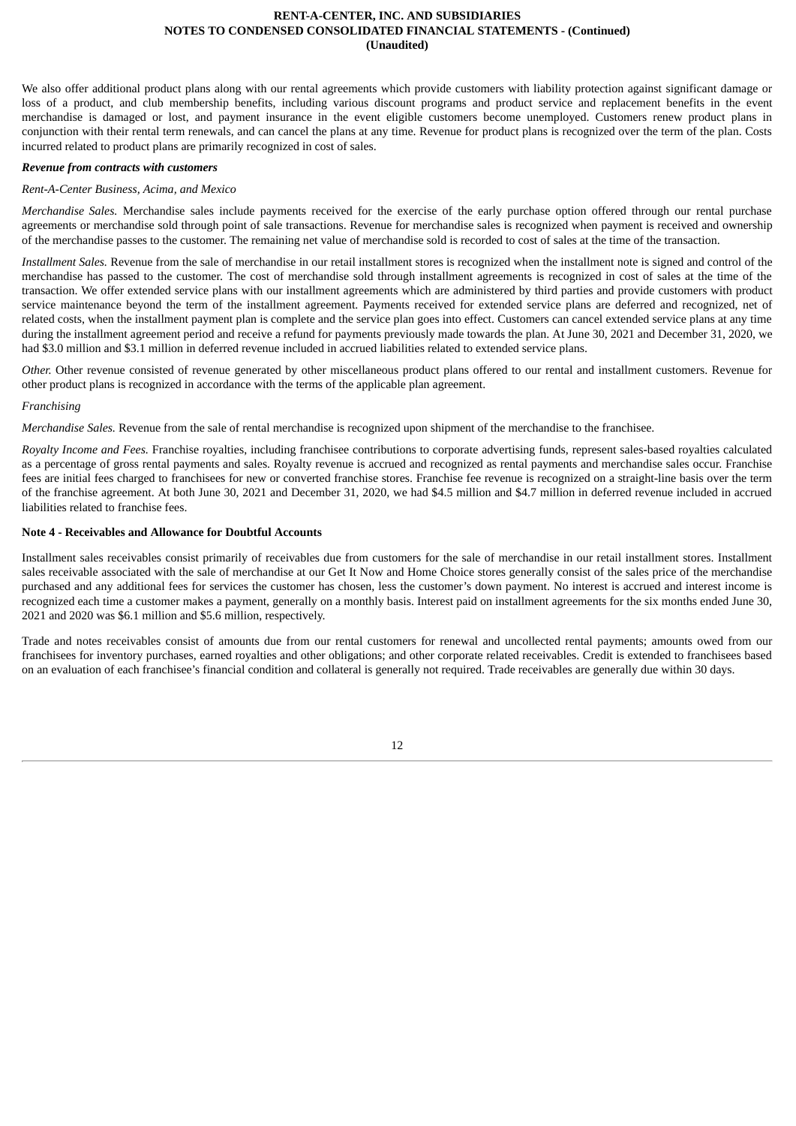We also offer additional product plans along with our rental agreements which provide customers with liability protection against significant damage or loss of a product, and club membership benefits, including various discount programs and product service and replacement benefits in the event merchandise is damaged or lost, and payment insurance in the event eligible customers become unemployed. Customers renew product plans in conjunction with their rental term renewals, and can cancel the plans at any time. Revenue for product plans is recognized over the term of the plan. Costs incurred related to product plans are primarily recognized in cost of sales.

#### *Revenue from contracts with customers*

#### *Rent-A-Center Business, Acima, and Mexico*

*Merchandise Sales.* Merchandise sales include payments received for the exercise of the early purchase option offered through our rental purchase agreements or merchandise sold through point of sale transactions. Revenue for merchandise sales is recognized when payment is received and ownership of the merchandise passes to the customer. The remaining net value of merchandise sold is recorded to cost of sales at the time of the transaction.

*Installment Sales.* Revenue from the sale of merchandise in our retail installment stores is recognized when the installment note is signed and control of the merchandise has passed to the customer. The cost of merchandise sold through installment agreements is recognized in cost of sales at the time of the transaction. We offer extended service plans with our installment agreements which are administered by third parties and provide customers with product service maintenance beyond the term of the installment agreement. Payments received for extended service plans are deferred and recognized, net of related costs, when the installment payment plan is complete and the service plan goes into effect. Customers can cancel extended service plans at any time during the installment agreement period and receive a refund for payments previously made towards the plan. At June 30, 2021 and December 31, 2020, we had \$3.0 million and \$3.1 million in deferred revenue included in accrued liabilities related to extended service plans.

*Other.* Other revenue consisted of revenue generated by other miscellaneous product plans offered to our rental and installment customers. Revenue for other product plans is recognized in accordance with the terms of the applicable plan agreement.

#### *Franchising*

*Merchandise Sales.* Revenue from the sale of rental merchandise is recognized upon shipment of the merchandise to the franchisee.

*Royalty Income and Fees.* Franchise royalties, including franchisee contributions to corporate advertising funds, represent sales-based royalties calculated as a percentage of gross rental payments and sales. Royalty revenue is accrued and recognized as rental payments and merchandise sales occur. Franchise fees are initial fees charged to franchisees for new or converted franchise stores. Franchise fee revenue is recognized on a straight-line basis over the term of the franchise agreement. At both June 30, 2021 and December 31, 2020, we had \$4.5 million and \$4.7 million in deferred revenue included in accrued liabilities related to franchise fees.

#### **Note 4 - Receivables and Allowance for Doubtful Accounts**

Installment sales receivables consist primarily of receivables due from customers for the sale of merchandise in our retail installment stores. Installment sales receivable associated with the sale of merchandise at our Get It Now and Home Choice stores generally consist of the sales price of the merchandise purchased and any additional fees for services the customer has chosen, less the customer's down payment. No interest is accrued and interest income is recognized each time a customer makes a payment, generally on a monthly basis. Interest paid on installment agreements for the six months ended June 30, 2021 and 2020 was \$6.1 million and \$5.6 million, respectively.

Trade and notes receivables consist of amounts due from our rental customers for renewal and uncollected rental payments; amounts owed from our franchisees for inventory purchases, earned royalties and other obligations; and other corporate related receivables. Credit is extended to franchisees based on an evaluation of each franchisee's financial condition and collateral is generally not required. Trade receivables are generally due within 30 days.

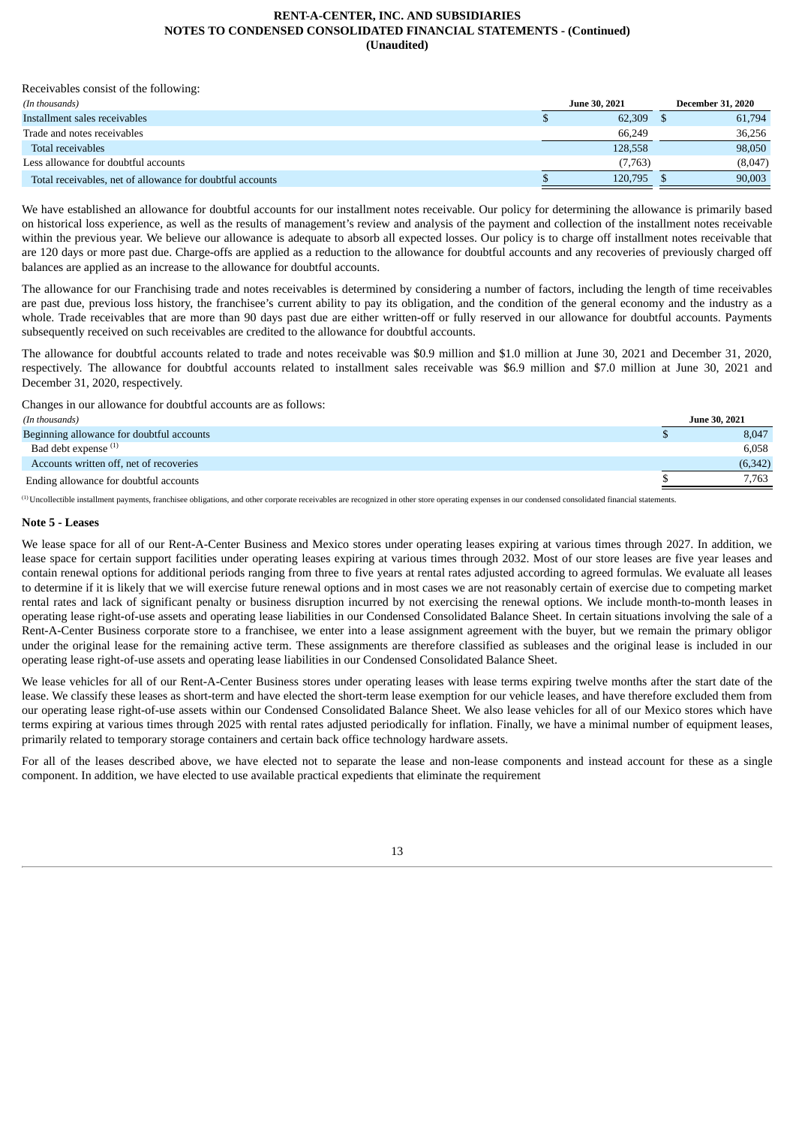Trade and notes receivables 66,249 36,256 Total receivables 128,558 98,050 Less allowance for doubtful accounts (8,047) (8,047) Total receivables, net of allowance for doubtful accounts \$ 120,795 \$ 90,003 We have established an allowance for doubtful accounts for our installment notes receivable. Our policy for determining the allowance is primarily based

*(In thousands)* **June 30, 2021 December 31, 2020** Installment sales receivables \$ 62,309 \$ 61,794

on historical loss experience, as well as the results of management's review and analysis of the payment and collection of the installment notes receivable within the previous year. We believe our allowance is adequate to absorb all expected losses. Our policy is to charge off installment notes receivable that are 120 days or more past due. Charge-offs are applied as a reduction to the allowance for doubtful accounts and any recoveries of previously charged off balances are applied as an increase to the allowance for doubtful accounts.

The allowance for our Franchising trade and notes receivables is determined by considering a number of factors, including the length of time receivables are past due, previous loss history, the franchisee's current ability to pay its obligation, and the condition of the general economy and the industry as a whole. Trade receivables that are more than 90 days past due are either written-off or fully reserved in our allowance for doubtful accounts. Payments subsequently received on such receivables are credited to the allowance for doubtful accounts.

The allowance for doubtful accounts related to trade and notes receivable was \$0.9 million and \$1.0 million at June 30, 2021 and December 31, 2020, respectively. The allowance for doubtful accounts related to installment sales receivable was \$6.9 million and \$7.0 million at June 30, 2021 and December 31, 2020, respectively.

Changes in our allowance for doubtful accounts are as follows:

Receivables consist of the following:

| (In thousands)                            | <b>June 30, 2021</b> |
|-------------------------------------------|----------------------|
| Beginning allowance for doubtful accounts | 8,047                |
| Bad debt expense <sup>(1)</sup>           | 6,058                |
| Accounts written off, net of recoveries   | (6,342)              |
| Ending allowance for doubtful accounts    | 7.763                |

 $^{(1)}$  Uncollectible installment payments, franchisee obligations, and other corporate receivables are recognized in other store operating expenses in our condensed consolidated financial statements.

#### **Note 5 - Leases**

We lease space for all of our Rent-A-Center Business and Mexico stores under operating leases expiring at various times through 2027. In addition, we lease space for certain support facilities under operating leases expiring at various times through 2032. Most of our store leases are five year leases and contain renewal options for additional periods ranging from three to five years at rental rates adjusted according to agreed formulas. We evaluate all leases to determine if it is likely that we will exercise future renewal options and in most cases we are not reasonably certain of exercise due to competing market rental rates and lack of significant penalty or business disruption incurred by not exercising the renewal options. We include month-to-month leases in operating lease right-of-use assets and operating lease liabilities in our Condensed Consolidated Balance Sheet. In certain situations involving the sale of a Rent-A-Center Business corporate store to a franchisee, we enter into a lease assignment agreement with the buyer, but we remain the primary obligor under the original lease for the remaining active term. These assignments are therefore classified as subleases and the original lease is included in our operating lease right-of-use assets and operating lease liabilities in our Condensed Consolidated Balance Sheet.

We lease vehicles for all of our Rent-A-Center Business stores under operating leases with lease terms expiring twelve months after the start date of the lease. We classify these leases as short-term and have elected the short-term lease exemption for our vehicle leases, and have therefore excluded them from our operating lease right-of-use assets within our Condensed Consolidated Balance Sheet. We also lease vehicles for all of our Mexico stores which have terms expiring at various times through 2025 with rental rates adjusted periodically for inflation. Finally, we have a minimal number of equipment leases, primarily related to temporary storage containers and certain back office technology hardware assets.

For all of the leases described above, we have elected not to separate the lease and non-lease components and instead account for these as a single component. In addition, we have elected to use available practical expedients that eliminate the requirement

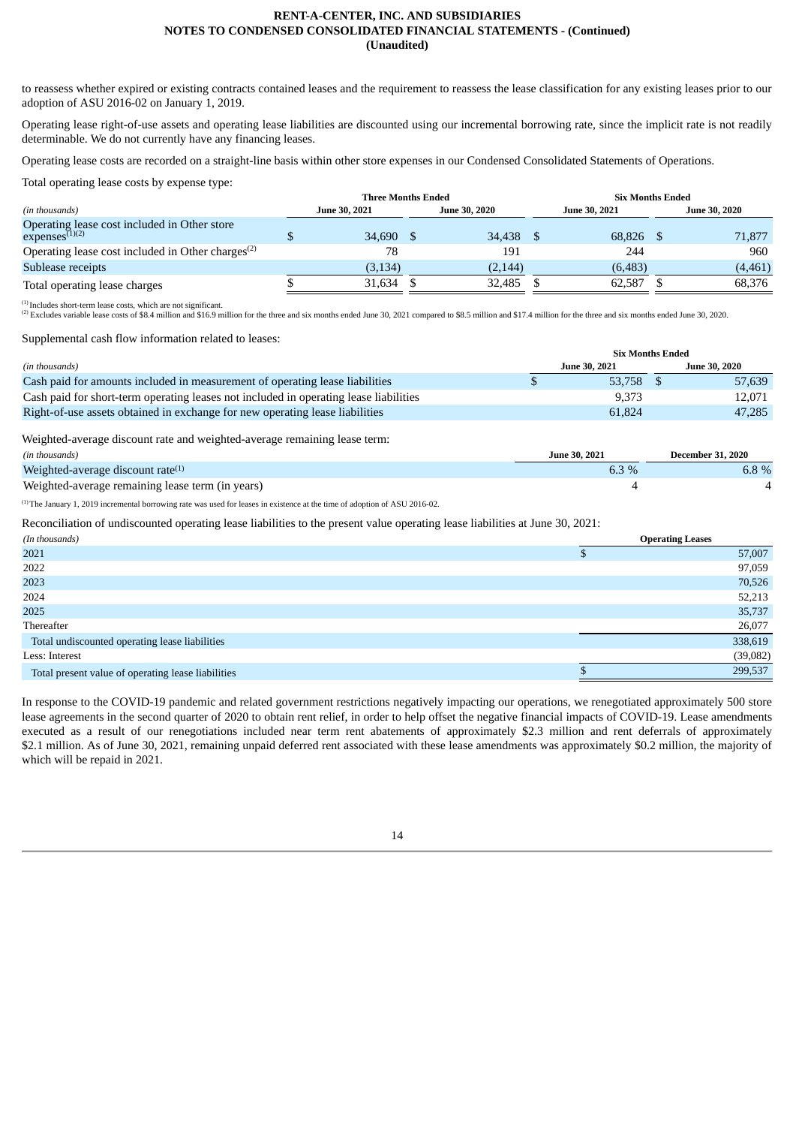to reassess whether expired or existing contracts contained leases and the requirement to reassess the lease classification for any existing leases prior to our adoption of ASU 2016-02 on January 1, 2019.

Operating lease right-of-use assets and operating lease liabilities are discounted using our incremental borrowing rate, since the implicit rate is not readily determinable. We do not currently have any financing leases.

Operating lease costs are recorded on a straight-line basis within other store expenses in our Condensed Consolidated Statements of Operations.

Total operating lease costs by expense type:

| . .<br>. .                                                                              | <b>Three Months Ended</b> |                      |                      | <b>Six Months Ended</b> |                      |  |  |
|-----------------------------------------------------------------------------------------|---------------------------|----------------------|----------------------|-------------------------|----------------------|--|--|
| (in thousands)                                                                          | <b>June 30, 2021</b>      | <b>June 30, 2020</b> | <b>June 30, 2021</b> |                         | <b>June 30, 2020</b> |  |  |
| Operating lease cost included in Other store<br>expenses <sup><math>(1)(2)</math></sup> | 34,690 \$                 | 34,438               | 68.826               |                         | 71,877               |  |  |
| Operating lease cost included in Other charges <sup>(2)</sup>                           | 78                        | 191                  | 244                  |                         | 960                  |  |  |
| Sublease receipts                                                                       | (3, 134)                  | (2, 144)             | (6, 483)             |                         | (4,461)              |  |  |
| Total operating lease charges                                                           | 31,634                    | 32,485               | 62.587               |                         | 68,376               |  |  |

 $<sup>(1)</sup>$  Includes short-term lease costs, which are not significant.</sup>

(2) Excludes variable lease costs of \$8.4 million and \$16.9 million for the three and six months ended June 30, 2021 compared to \$8.5 million and \$17.4 million for the three and six months ended June 30, 2020.

Supplemental cash flow information related to leases:

|                                                                                       | <b>Six Months Ended</b> |  |                      |  |  |
|---------------------------------------------------------------------------------------|-------------------------|--|----------------------|--|--|
| (in thousands)                                                                        | <b>June 30, 2021</b>    |  | <b>June 30, 2020</b> |  |  |
| Cash paid for amounts included in measurement of operating lease liabilities          | 53.758                  |  | 57.639               |  |  |
| Cash paid for short-term operating leases not included in operating lease liabilities | 9.373                   |  | 12.071               |  |  |
| Right-of-use assets obtained in exchange for new operating lease liabilities          | 61.824                  |  | 47.285               |  |  |

Weighted-average discount rate and weighted-average remaining lease term:

| (in thousands)                                   | <b>June 30, 2021</b> | <b>December 31, 2020</b> |
|--------------------------------------------------|----------------------|--------------------------|
| Weighted-average discount rate $(1)$             | 6.3 $%$              | $6.8 \%$                 |
| Weighted-average remaining lease term (in years) |                      |                          |

 $(1)$  The January 1, 2019 incremental borrowing rate was used for leases in existence at the time of adoption of ASU 2016-02.

Reconciliation of undiscounted operating lease liabilities to the present value operating lease liabilities at June 30, 2021:

| (In thousands)                                     | <b>Operating Leases</b> |          |
|----------------------------------------------------|-------------------------|----------|
| 2021                                               |                         | 57,007   |
| 2022                                               |                         | 97,059   |
| 2023                                               |                         | 70,526   |
| 2024                                               |                         | 52,213   |
| 2025                                               |                         | 35,737   |
| Thereafter                                         |                         | 26,077   |
| Total undiscounted operating lease liabilities     | 338,619                 |          |
| Less: Interest                                     |                         | (39,082) |
| Total present value of operating lease liabilities | 299,537                 |          |

In response to the COVID-19 pandemic and related government restrictions negatively impacting our operations, we renegotiated approximately 500 store lease agreements in the second quarter of 2020 to obtain rent relief, in order to help offset the negative financial impacts of COVID-19. Lease amendments executed as a result of our renegotiations included near term rent abatements of approximately \$2.3 million and rent deferrals of approximately \$2.1 million. As of June 30, 2021, remaining unpaid deferred rent associated with these lease amendments was approximately \$0.2 million, the majority of which will be repaid in 2021.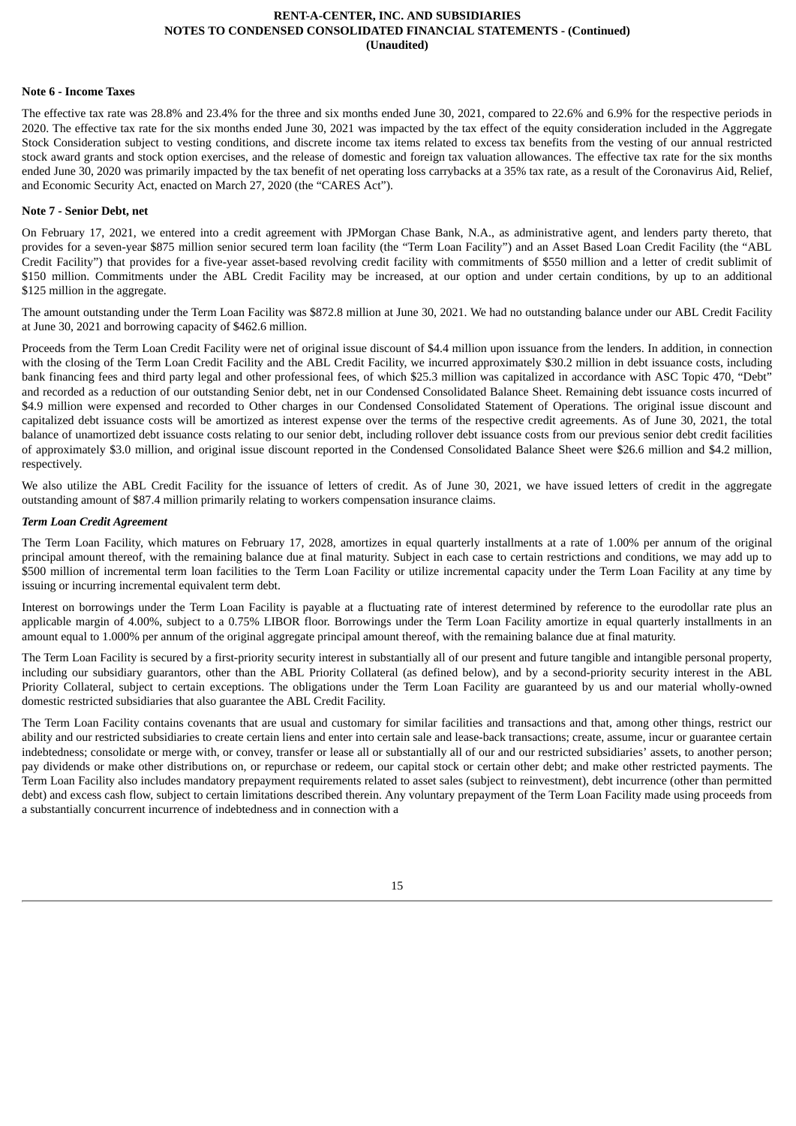#### **Note 6 - Income Taxes**

The effective tax rate was 28.8% and 23.4% for the three and six months ended June 30, 2021, compared to 22.6% and 6.9% for the respective periods in 2020. The effective tax rate for the six months ended June 30, 2021 was impacted by the tax effect of the equity consideration included in the Aggregate Stock Consideration subject to vesting conditions, and discrete income tax items related to excess tax benefits from the vesting of our annual restricted stock award grants and stock option exercises, and the release of domestic and foreign tax valuation allowances. The effective tax rate for the six months ended June 30, 2020 was primarily impacted by the tax benefit of net operating loss carrybacks at a 35% tax rate, as a result of the Coronavirus Aid, Relief, and Economic Security Act, enacted on March 27, 2020 (the "CARES Act").

#### **Note 7 - Senior Debt, net**

On February 17, 2021, we entered into a credit agreement with JPMorgan Chase Bank, N.A., as administrative agent, and lenders party thereto, that provides for a seven-year \$875 million senior secured term loan facility (the "Term Loan Facility") and an Asset Based Loan Credit Facility (the "ABL Credit Facility") that provides for a five-year asset-based revolving credit facility with commitments of \$550 million and a letter of credit sublimit of \$150 million. Commitments under the ABL Credit Facility may be increased, at our option and under certain conditions, by up to an additional \$125 million in the aggregate.

The amount outstanding under the Term Loan Facility was \$872.8 million at June 30, 2021. We had no outstanding balance under our ABL Credit Facility at June 30, 2021 and borrowing capacity of \$462.6 million.

Proceeds from the Term Loan Credit Facility were net of original issue discount of \$4.4 million upon issuance from the lenders. In addition, in connection with the closing of the Term Loan Credit Facility and the ABL Credit Facility, we incurred approximately \$30.2 million in debt issuance costs, including bank financing fees and third party legal and other professional fees, of which \$25.3 million was capitalized in accordance with ASC Topic 470, "Debt" and recorded as a reduction of our outstanding Senior debt, net in our Condensed Consolidated Balance Sheet. Remaining debt issuance costs incurred of \$4.9 million were expensed and recorded to Other charges in our Condensed Consolidated Statement of Operations. The original issue discount and capitalized debt issuance costs will be amortized as interest expense over the terms of the respective credit agreements. As of June 30, 2021, the total balance of unamortized debt issuance costs relating to our senior debt, including rollover debt issuance costs from our previous senior debt credit facilities of approximately \$3.0 million, and original issue discount reported in the Condensed Consolidated Balance Sheet were \$26.6 million and \$4.2 million, respectively.

We also utilize the ABL Credit Facility for the issuance of letters of credit. As of June 30, 2021, we have issued letters of credit in the aggregate outstanding amount of \$87.4 million primarily relating to workers compensation insurance claims.

#### *Term Loan Credit Agreement*

The Term Loan Facility, which matures on February 17, 2028, amortizes in equal quarterly installments at a rate of 1.00% per annum of the original principal amount thereof, with the remaining balance due at final maturity. Subject in each case to certain restrictions and conditions, we may add up to \$500 million of incremental term loan facilities to the Term Loan Facility or utilize incremental capacity under the Term Loan Facility at any time by issuing or incurring incremental equivalent term debt.

Interest on borrowings under the Term Loan Facility is payable at a fluctuating rate of interest determined by reference to the eurodollar rate plus an applicable margin of 4.00%, subject to a 0.75% LIBOR floor. Borrowings under the Term Loan Facility amortize in equal quarterly installments in an amount equal to 1.000% per annum of the original aggregate principal amount thereof, with the remaining balance due at final maturity.

The Term Loan Facility is secured by a first-priority security interest in substantially all of our present and future tangible and intangible personal property, including our subsidiary guarantors, other than the ABL Priority Collateral (as defined below), and by a second-priority security interest in the ABL Priority Collateral, subject to certain exceptions. The obligations under the Term Loan Facility are guaranteed by us and our material wholly-owned domestic restricted subsidiaries that also guarantee the ABL Credit Facility.

The Term Loan Facility contains covenants that are usual and customary for similar facilities and transactions and that, among other things, restrict our ability and our restricted subsidiaries to create certain liens and enter into certain sale and lease-back transactions; create, assume, incur or guarantee certain indebtedness; consolidate or merge with, or convey, transfer or lease all or substantially all of our and our restricted subsidiaries' assets, to another person; pay dividends or make other distributions on, or repurchase or redeem, our capital stock or certain other debt; and make other restricted payments. The Term Loan Facility also includes mandatory prepayment requirements related to asset sales (subject to reinvestment), debt incurrence (other than permitted debt) and excess cash flow, subject to certain limitations described therein. Any voluntary prepayment of the Term Loan Facility made using proceeds from a substantially concurrent incurrence of indebtedness and in connection with a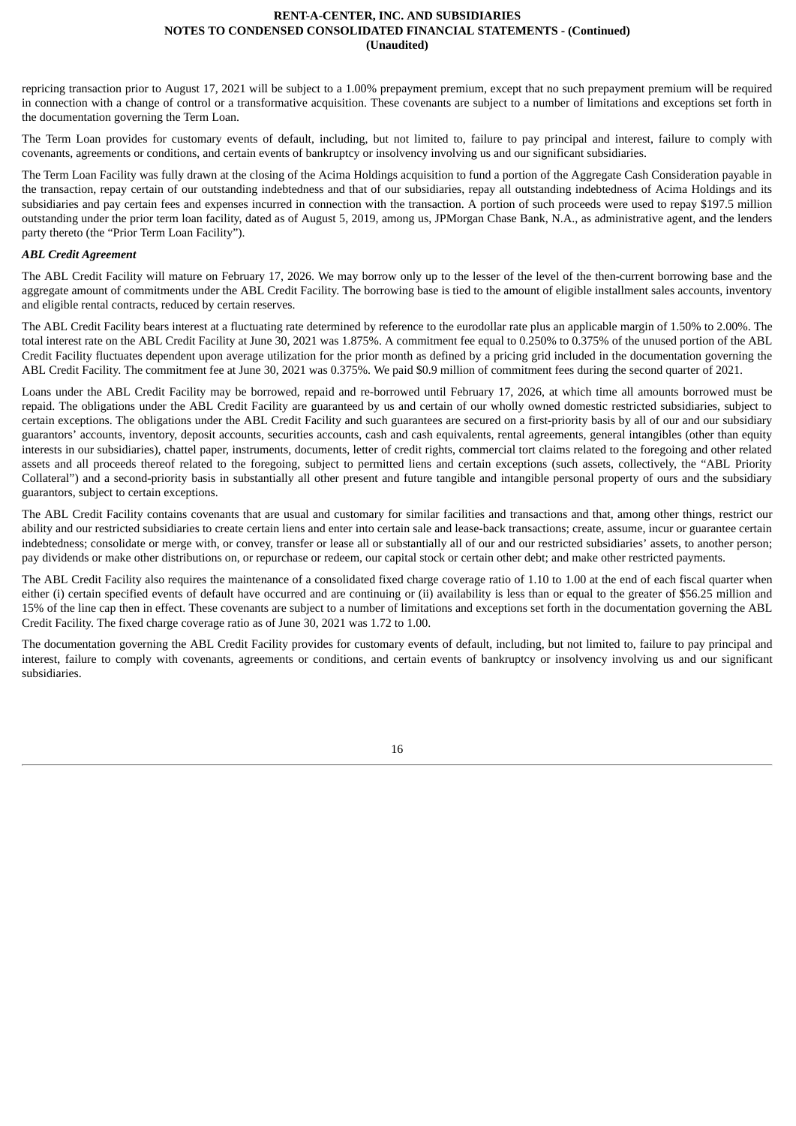repricing transaction prior to August 17, 2021 will be subject to a 1.00% prepayment premium, except that no such prepayment premium will be required in connection with a change of control or a transformative acquisition. These covenants are subject to a number of limitations and exceptions set forth in the documentation governing the Term Loan.

The Term Loan provides for customary events of default, including, but not limited to, failure to pay principal and interest, failure to comply with covenants, agreements or conditions, and certain events of bankruptcy or insolvency involving us and our significant subsidiaries.

The Term Loan Facility was fully drawn at the closing of the Acima Holdings acquisition to fund a portion of the Aggregate Cash Consideration payable in the transaction, repay certain of our outstanding indebtedness and that of our subsidiaries, repay all outstanding indebtedness of Acima Holdings and its subsidiaries and pay certain fees and expenses incurred in connection with the transaction. A portion of such proceeds were used to repay \$197.5 million outstanding under the prior term loan facility, dated as of August 5, 2019, among us, JPMorgan Chase Bank, N.A., as administrative agent, and the lenders party thereto (the "Prior Term Loan Facility").

#### *ABL Credit Agreement*

The ABL Credit Facility will mature on February 17, 2026. We may borrow only up to the lesser of the level of the then-current borrowing base and the aggregate amount of commitments under the ABL Credit Facility. The borrowing base is tied to the amount of eligible installment sales accounts, inventory and eligible rental contracts, reduced by certain reserves.

The ABL Credit Facility bears interest at a fluctuating rate determined by reference to the eurodollar rate plus an applicable margin of 1.50% to 2.00%. The total interest rate on the ABL Credit Facility at June 30, 2021 was 1.875%. A commitment fee equal to 0.250% to 0.375% of the unused portion of the ABL Credit Facility fluctuates dependent upon average utilization for the prior month as defined by a pricing grid included in the documentation governing the ABL Credit Facility. The commitment fee at June 30, 2021 was 0.375%. We paid \$0.9 million of commitment fees during the second quarter of 2021.

Loans under the ABL Credit Facility may be borrowed, repaid and re-borrowed until February 17, 2026, at which time all amounts borrowed must be repaid. The obligations under the ABL Credit Facility are guaranteed by us and certain of our wholly owned domestic restricted subsidiaries, subject to certain exceptions. The obligations under the ABL Credit Facility and such guarantees are secured on a first-priority basis by all of our and our subsidiary guarantors' accounts, inventory, deposit accounts, securities accounts, cash and cash equivalents, rental agreements, general intangibles (other than equity interests in our subsidiaries), chattel paper, instruments, documents, letter of credit rights, commercial tort claims related to the foregoing and other related assets and all proceeds thereof related to the foregoing, subject to permitted liens and certain exceptions (such assets, collectively, the "ABL Priority Collateral") and a second-priority basis in substantially all other present and future tangible and intangible personal property of ours and the subsidiary guarantors, subject to certain exceptions.

The ABL Credit Facility contains covenants that are usual and customary for similar facilities and transactions and that, among other things, restrict our ability and our restricted subsidiaries to create certain liens and enter into certain sale and lease-back transactions; create, assume, incur or guarantee certain indebtedness; consolidate or merge with, or convey, transfer or lease all or substantially all of our and our restricted subsidiaries' assets, to another person; pay dividends or make other distributions on, or repurchase or redeem, our capital stock or certain other debt; and make other restricted payments.

The ABL Credit Facility also requires the maintenance of a consolidated fixed charge coverage ratio of 1.10 to 1.00 at the end of each fiscal quarter when either (i) certain specified events of default have occurred and are continuing or (ii) availability is less than or equal to the greater of \$56.25 million and 15% of the line cap then in effect. These covenants are subject to a number of limitations and exceptions set forth in the documentation governing the ABL Credit Facility. The fixed charge coverage ratio as of June 30, 2021 was 1.72 to 1.00.

The documentation governing the ABL Credit Facility provides for customary events of default, including, but not limited to, failure to pay principal and interest, failure to comply with covenants, agreements or conditions, and certain events of bankruptcy or insolvency involving us and our significant subsidiaries.

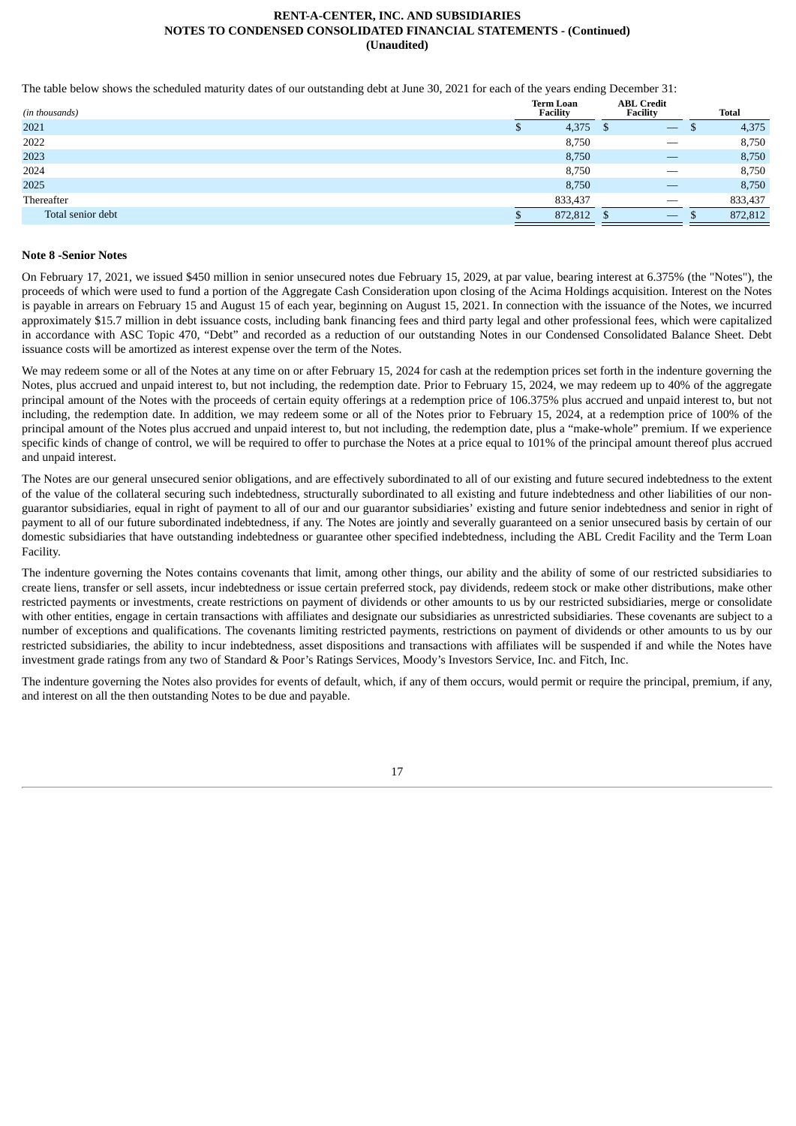The table below shows the scheduled maturity dates of our outstanding debt at June 30, 2021 for each of the years ending December 31:

| (in thousands)    | <b>Term Loan</b><br><b>Facility</b> |   | <b>ABL Credit</b><br><b>Facility</b> | Total   |
|-------------------|-------------------------------------|---|--------------------------------------|---------|
| 2021              | 4,375                               | ъ | $\hspace{0.1mm}-\hspace{0.1mm}$      | 4,375   |
| 2022              | 8,750                               |   | __                                   | 8,750   |
| 2023              | 8,750                               |   |                                      | 8,750   |
| 2024              | 8,750                               |   |                                      | 8,750   |
| 2025              | 8,750                               |   | _                                    | 8,750   |
| Thereafter        | 833,437                             |   |                                      | 833,437 |
| Total senior debt | 872,812                             |   | $\hspace{0.1mm}-\hspace{0.1mm}$      | 872,812 |
|                   |                                     |   |                                      |         |

#### **Note 8 -Senior Notes**

On February 17, 2021, we issued \$450 million in senior unsecured notes due February 15, 2029, at par value, bearing interest at 6.375% (the "Notes"), the proceeds of which were used to fund a portion of the Aggregate Cash Consideration upon closing of the Acima Holdings acquisition. Interest on the Notes is payable in arrears on February 15 and August 15 of each year, beginning on August 15, 2021. In connection with the issuance of the Notes, we incurred approximately \$15.7 million in debt issuance costs, including bank financing fees and third party legal and other professional fees, which were capitalized in accordance with ASC Topic 470, "Debt" and recorded as a reduction of our outstanding Notes in our Condensed Consolidated Balance Sheet. Debt issuance costs will be amortized as interest expense over the term of the Notes.

We may redeem some or all of the Notes at any time on or after February 15, 2024 for cash at the redemption prices set forth in the indenture governing the Notes, plus accrued and unpaid interest to, but not including, the redemption date. Prior to February 15, 2024, we may redeem up to 40% of the aggregate principal amount of the Notes with the proceeds of certain equity offerings at a redemption price of 106.375% plus accrued and unpaid interest to, but not including, the redemption date. In addition, we may redeem some or all of the Notes prior to February 15, 2024, at a redemption price of 100% of the principal amount of the Notes plus accrued and unpaid interest to, but not including, the redemption date, plus a "make-whole" premium. If we experience specific kinds of change of control, we will be required to offer to purchase the Notes at a price equal to 101% of the principal amount thereof plus accrued and unpaid interest.

The Notes are our general unsecured senior obligations, and are effectively subordinated to all of our existing and future secured indebtedness to the extent of the value of the collateral securing such indebtedness, structurally subordinated to all existing and future indebtedness and other liabilities of our nonguarantor subsidiaries, equal in right of payment to all of our and our guarantor subsidiaries' existing and future senior indebtedness and senior in right of payment to all of our future subordinated indebtedness, if any. The Notes are jointly and severally guaranteed on a senior unsecured basis by certain of our domestic subsidiaries that have outstanding indebtedness or guarantee other specified indebtedness, including the ABL Credit Facility and the Term Loan Facility.

The indenture governing the Notes contains covenants that limit, among other things, our ability and the ability of some of our restricted subsidiaries to create liens, transfer or sell assets, incur indebtedness or issue certain preferred stock, pay dividends, redeem stock or make other distributions, make other restricted payments or investments, create restrictions on payment of dividends or other amounts to us by our restricted subsidiaries, merge or consolidate with other entities, engage in certain transactions with affiliates and designate our subsidiaries as unrestricted subsidiaries. These covenants are subject to a number of exceptions and qualifications. The covenants limiting restricted payments, restrictions on payment of dividends or other amounts to us by our restricted subsidiaries, the ability to incur indebtedness, asset dispositions and transactions with affiliates will be suspended if and while the Notes have investment grade ratings from any two of Standard & Poor's Ratings Services, Moody's Investors Service, Inc. and Fitch, Inc.

The indenture governing the Notes also provides for events of default, which, if any of them occurs, would permit or require the principal, premium, if any, and interest on all the then outstanding Notes to be due and payable.

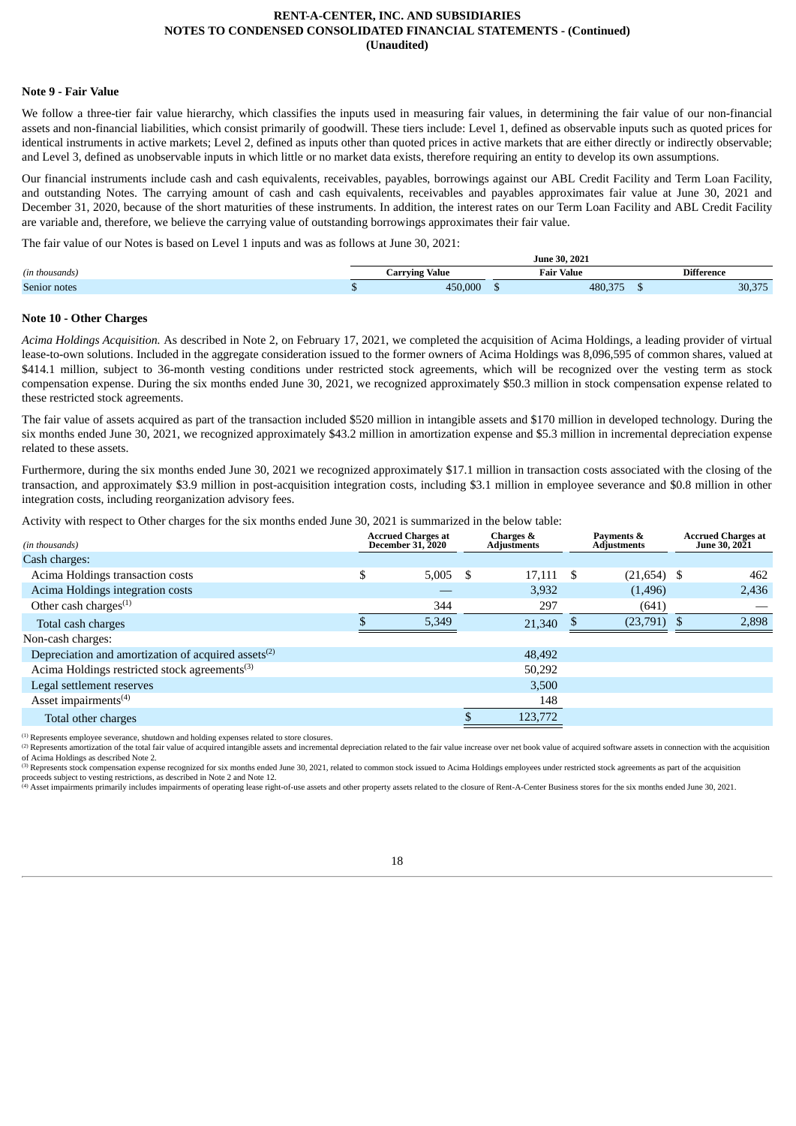#### **Note 9 - Fair Value**

We follow a three-tier fair value hierarchy, which classifies the inputs used in measuring fair values, in determining the fair value of our non-financial assets and non-financial liabilities, which consist primarily of goodwill. These tiers include: Level 1, defined as observable inputs such as quoted prices for identical instruments in active markets; Level 2, defined as inputs other than quoted prices in active markets that are either directly or indirectly observable; and Level 3, defined as unobservable inputs in which little or no market data exists, therefore requiring an entity to develop its own assumptions.

Our financial instruments include cash and cash equivalents, receivables, payables, borrowings against our ABL Credit Facility and Term Loan Facility, and outstanding Notes. The carrying amount of cash and cash equivalents, receivables and payables approximates fair value at June 30, 2021 and December 31, 2020, because of the short maturities of these instruments. In addition, the interest rates on our Term Loan Facility and ABL Credit Facility are variable and, therefore, we believe the carrying value of outstanding borrowings approximates their fair value.

The fair value of our Notes is based on Level 1 inputs and was as follows at June 30, 2021:

|                |                | <b>June 30, 2021</b> |            |
|----------------|----------------|----------------------|------------|
| (in thousands) | Carrving Value | <b>Fair Value</b>    | Difference |
| Senior notes   | 450,000        | 480.375              | 30,375     |

#### **Note 10 - Other Charges**

*Acima Holdings Acquisition.* As described in Note 2, on February 17, 2021, we completed the acquisition of Acima Holdings, a leading provider of virtual lease-to-own solutions. Included in the aggregate consideration issued to the former owners of Acima Holdings was 8,096,595 of common shares, valued at \$414.1 million, subject to 36-month vesting conditions under restricted stock agreements, which will be recognized over the vesting term as stock compensation expense. During the six months ended June 30, 2021, we recognized approximately \$50.3 million in stock compensation expense related to these restricted stock agreements.

The fair value of assets acquired as part of the transaction included \$520 million in intangible assets and \$170 million in developed technology. During the six months ended June 30, 2021, we recognized approximately \$43.2 million in amortization expense and \$5.3 million in incremental depreciation expense related to these assets.

Furthermore, during the six months ended June 30, 2021 we recognized approximately \$17.1 million in transaction costs associated with the closing of the transaction, and approximately \$3.9 million in post-acquisition integration costs, including \$3.1 million in employee severance and \$0.8 million in other integration costs, including reorganization advisory fees.

Activity with respect to Other charges for the six months ended June 30, 2021 is summarized in the below table:

| (in thousands)                                                  | <b>Accrued Charges at</b><br><b>December 31, 2020</b> |     |         |    |               |  | Charges &<br>Payments &<br><b>Adjustments</b><br><b>Adjustments</b> |  |  |  |  |  | <b>Accrued Charges at</b><br>June 30, 2021 |
|-----------------------------------------------------------------|-------------------------------------------------------|-----|---------|----|---------------|--|---------------------------------------------------------------------|--|--|--|--|--|--------------------------------------------|
| Cash charges:                                                   |                                                       |     |         |    |               |  |                                                                     |  |  |  |  |  |                                            |
| Acima Holdings transaction costs                                | 5,005<br>D                                            | -\$ | 17,111  | -S | $(21,654)$ \$ |  | 462                                                                 |  |  |  |  |  |                                            |
| Acima Holdings integration costs                                |                                                       |     | 3,932   |    | (1, 496)      |  | 2,436                                                               |  |  |  |  |  |                                            |
| Other cash charges <sup>(1)</sup>                               | 344                                                   |     | 297     |    | (641)         |  |                                                                     |  |  |  |  |  |                                            |
| Total cash charges                                              | 5,349                                                 |     | 21,340  |    | (23,791)      |  | 2,898                                                               |  |  |  |  |  |                                            |
| Non-cash charges:                                               |                                                       |     |         |    |               |  |                                                                     |  |  |  |  |  |                                            |
| Depreciation and amortization of acquired assets <sup>(2)</sup> |                                                       |     | 48,492  |    |               |  |                                                                     |  |  |  |  |  |                                            |
| Acima Holdings restricted stock agreements <sup>(3)</sup>       |                                                       |     | 50,292  |    |               |  |                                                                     |  |  |  |  |  |                                            |
| Legal settlement reserves                                       |                                                       |     | 3,500   |    |               |  |                                                                     |  |  |  |  |  |                                            |
| Asset impairments <sup>(4)</sup>                                |                                                       |     | 148     |    |               |  |                                                                     |  |  |  |  |  |                                            |
| Total other charges                                             |                                                       |     | 123,772 |    |               |  |                                                                     |  |  |  |  |  |                                            |

 $<sup>(1)</sup>$  Represents employee severance, shutdown and holding expenses related to store closures.</sup>

(2) Represents amortization of the total fair value of acquired intangible assets and incremental depreciation related to the fair value increase over net book value of acquired software assets in connection with the acqui of Acima Holdings as described Note 2.

(3) Represents stock compensation expense recognized for six months ended June 30, 2021, related to common stock issued to Acima Holdings employees under restricted stock agreements as part of the acquisition

proceeds subject to vesting restrictions, as described in Note 2 and Note 12.<br>⑷ Asset impairments primarily includes impairments of operating lease right-of-use assets and other property assets related to the closure of Re

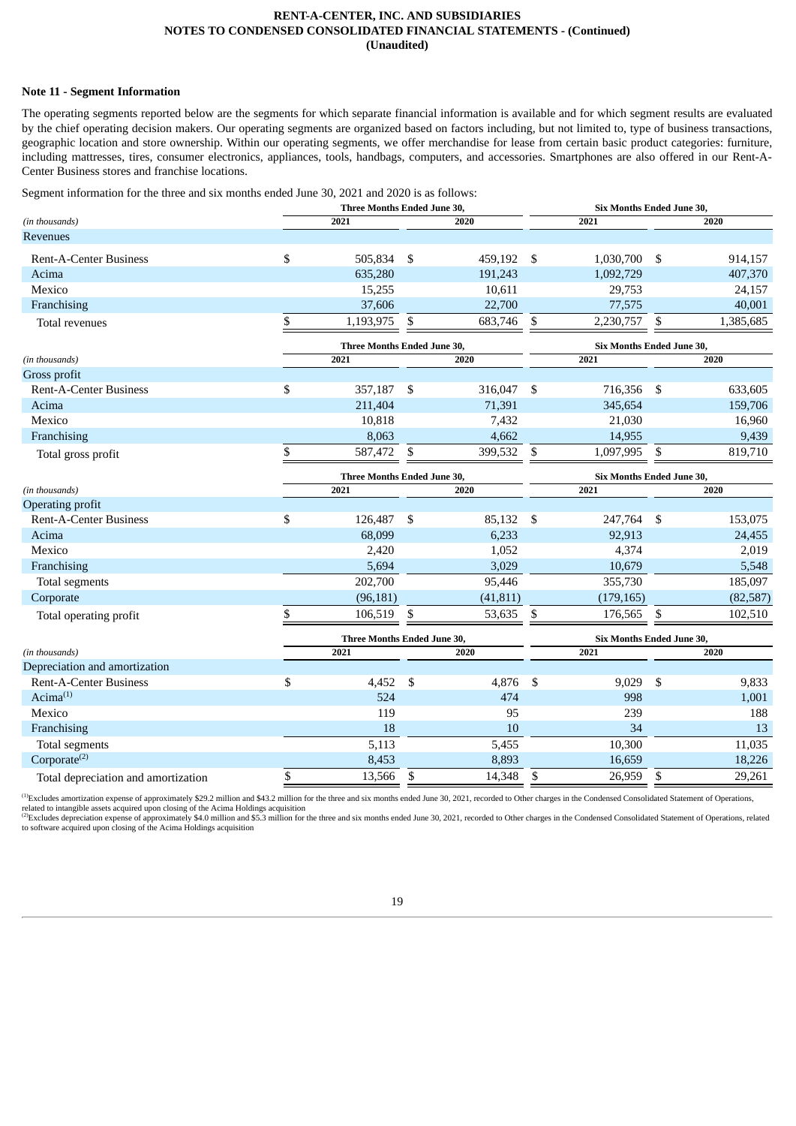#### **Note 11 - Segment Information**

The operating segments reported below are the segments for which separate financial information is available and for which segment results are evaluated by the chief operating decision makers. Our operating segments are organized based on factors including, but not limited to, type of business transactions, geographic location and store ownership. Within our operating segments, we offer merchandise for lease from certain basic product categories: furniture, including mattresses, tires, consumer electronics, appliances, tools, handbags, computers, and accessories. Smartphones are also offered in our Rent-A-Center Business stores and franchise locations.

Segment information for the three and six months ended June 30, 2021 and 2020 is as follows:

|                                     | Three Months Ended June 30,        |              |            |              | <b>Six Months Ended June 30,</b> |      |           |  |  |
|-------------------------------------|------------------------------------|--------------|------------|--------------|----------------------------------|------|-----------|--|--|
| (in thousands)                      | 2021                               |              | 2020       |              | 2021                             | 2020 |           |  |  |
| Revenues                            |                                    |              |            |              |                                  |      |           |  |  |
| <b>Rent-A-Center Business</b>       | \$<br>505,834                      | - \$         | 459,192 \$ |              | 1,030,700                        | \$   | 914,157   |  |  |
| Acima                               | 635,280                            |              | 191,243    |              | 1,092,729                        |      | 407,370   |  |  |
| Mexico                              | 15,255                             |              | 10,611     |              | 29,753                           |      | 24,157    |  |  |
| Franchising                         | 37,606                             |              | 22,700     |              | 77,575                           |      | 40,001    |  |  |
| Total revenues                      | \$<br>1,193,975                    | $\mathbb{S}$ | 683,746    | $\mathbb{S}$ | 2,230,757                        | \$   | 1,385,685 |  |  |
|                                     | <b>Three Months Ended June 30,</b> |              |            |              | <b>Six Months Ended June 30,</b> |      |           |  |  |
| (in thousands)                      | 2021                               |              | 2020       |              | 2021                             |      | 2020      |  |  |
| Gross profit                        |                                    |              |            |              |                                  |      |           |  |  |
| <b>Rent-A-Center Business</b>       | \$<br>357,187 \$                   |              | 316,047 \$ |              | 716,356                          | \$   | 633,605   |  |  |
| Acima                               | 211,404                            |              | 71,391     |              | 345,654                          |      | 159,706   |  |  |
| Mexico                              | 10,818                             |              | 7,432      |              | 21,030                           |      | 16,960    |  |  |
| Franchising                         | 8,063                              |              | 4,662      |              | 14,955                           |      | 9,439     |  |  |
| Total gross profit                  | \$<br>587,472                      | \$           | 399,532    | \$           | 1,097,995                        | \$   | 819,710   |  |  |
|                                     | Three Months Ended June 30.        |              |            |              | <b>Six Months Ended June 30,</b> |      |           |  |  |
| (in thousands)                      | 2021                               |              | 2020       |              | 2021                             |      | 2020      |  |  |
| Operating profit                    |                                    |              |            |              |                                  |      |           |  |  |
| <b>Rent-A-Center Business</b>       | \$<br>126,487 \$                   |              | 85,132 \$  |              | 247,764                          | \$   | 153,075   |  |  |
| Acima                               | 68,099                             |              | 6,233      |              | 92,913                           |      | 24,455    |  |  |
| Mexico                              | 2,420                              |              | 1,052      |              | 4,374                            |      | 2,019     |  |  |
| Franchising                         | 5,694                              |              | 3,029      |              | 10,679                           |      | 5,548     |  |  |
| Total segments                      | 202,700                            |              | 95,446     |              | 355,730                          |      | 185,097   |  |  |
| Corporate                           | (96, 181)                          |              | (41, 811)  |              | (179, 165)                       |      | (82, 587) |  |  |
| Total operating profit              | \$<br>106,519                      | \$           | 53,635     | \$           | 176,565                          | \$   | 102,510   |  |  |
|                                     | <b>Three Months Ended June 30,</b> |              |            |              | <b>Six Months Ended June 30,</b> |      |           |  |  |
| (in thousands)                      | 2021                               |              | 2020       |              | 2021                             |      | 2020      |  |  |
| Depreciation and amortization       |                                    |              |            |              |                                  |      |           |  |  |
| <b>Rent-A-Center Business</b>       | \$<br>4,452                        | \$           | 4,876      | \$           | 9,029                            | \$   | 9,833     |  |  |
| Acima <sup>(1)</sup>                | 524                                |              | 474        |              | 998                              |      | 1,001     |  |  |
| Mexico                              | 119                                |              | 95         |              | 239                              |      | 188       |  |  |
| Franchising                         | 18                                 |              | 10         |              | 34                               |      | 13        |  |  |
| <b>Total segments</b>               | 5,113                              |              | 5,455      |              | 10,300                           |      | 11,035    |  |  |
| Corporate <sup>(2)</sup>            | 8,453                              |              | 8,893      |              | 16,659                           |      | 18,226    |  |  |
| Total depreciation and amortization | \$<br>13,566                       | \$           | 14,348     | \$           | 26,959                           | \$   | 29,261    |  |  |

<sup>(1)</sup>Excludes amortization expense of approximately \$29.2 million and \$43.2 million for the three and six months ended June 30, 2021, recorded to Other charges in the Condensed Consolidated Statement of Operations,

related to intangible assets acquired upon closing of the Acima Holdings acquisition<br><sup>(2)</sup>Excludes depreciation expense of approximately \$4.0 million and \$5.3 million for the three and six months ended June 30, 2021, recor to software acquired upon closing of the Acima Holdings acquisition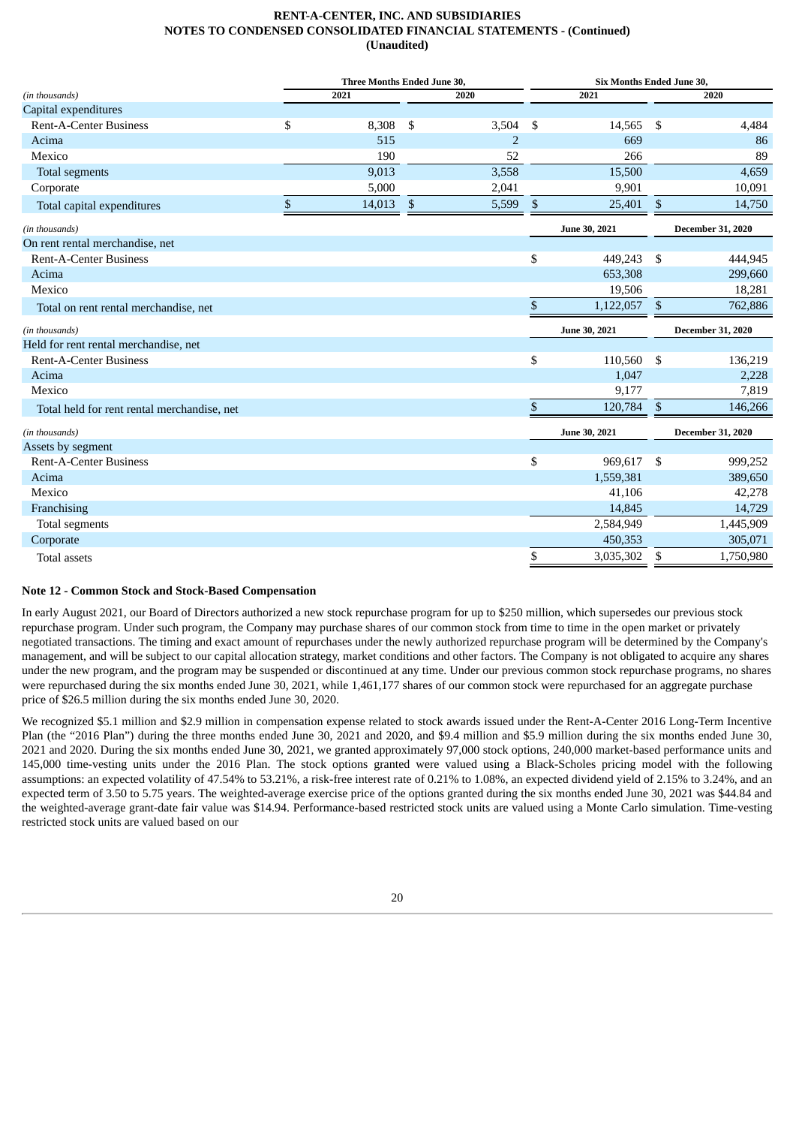|                                             |               | Three Months Ended June 30, |                |                |              | <b>Six Months Ended June 30,</b> |    |                          |
|---------------------------------------------|---------------|-----------------------------|----------------|----------------|--------------|----------------------------------|----|--------------------------|
| (in thousands)                              |               | 2021                        |                | 2020           |              | 2021                             |    | 2020                     |
| Capital expenditures                        |               |                             |                |                |              |                                  |    |                          |
| <b>Rent-A-Center Business</b>               | \$            | 8,308                       | \$             | 3,504          | \$           | 14,565                           | \$ | 4,484                    |
| Acima                                       |               | 515                         |                | $\overline{2}$ |              | 669                              |    | 86                       |
| Mexico                                      |               | 190                         |                | 52             |              | 266                              |    | 89                       |
| Total segments                              |               | 9,013                       |                | 3,558          |              | 15,500                           |    | 4,659                    |
| Corporate                                   |               | 5,000                       |                | 2,041          |              | 9,901                            |    | 10,091                   |
| Total capital expenditures                  | ${\mathbb S}$ | 14,013                      | $\mathfrak{s}$ | 5,599          | $\mathbb{S}$ | 25,401                           | \$ | 14,750                   |
| (in thousands)                              |               |                             |                |                |              | June 30, 2021                    |    | <b>December 31, 2020</b> |
| On rent rental merchandise, net             |               |                             |                |                |              |                                  |    |                          |
| <b>Rent-A-Center Business</b>               |               |                             |                |                | \$           | 449,243                          | \$ | 444,945                  |
| Acima                                       |               |                             |                |                |              | 653,308                          |    | 299,660                  |
| Mexico                                      |               |                             |                |                |              | 19,506                           |    | 18,281                   |
| Total on rent rental merchandise, net       |               |                             |                |                | \$           | 1,122,057                        | \$ | 762,886                  |
| (in thousands)                              |               |                             |                |                |              | June 30, 2021                    |    | <b>December 31, 2020</b> |
| Held for rent rental merchandise, net       |               |                             |                |                |              |                                  |    |                          |
| <b>Rent-A-Center Business</b>               |               |                             |                |                | \$           | 110,560                          | \$ | 136,219                  |
| Acima                                       |               |                             |                |                |              | 1,047                            |    | 2,228                    |
| Mexico                                      |               |                             |                |                |              | 9,177                            |    | 7,819                    |
| Total held for rent rental merchandise, net |               |                             |                |                | \$           | 120,784                          | \$ | 146,266                  |
| (in thousands)                              |               |                             |                |                |              | June 30, 2021                    |    | <b>December 31, 2020</b> |
| Assets by segment                           |               |                             |                |                |              |                                  |    |                          |
| <b>Rent-A-Center Business</b>               |               |                             |                |                | \$           | 969,617                          | \$ | 999,252                  |
| Acima                                       |               |                             |                |                |              | 1,559,381                        |    | 389,650                  |
| Mexico                                      |               |                             |                |                |              | 41,106                           |    | 42,278                   |
| Franchising                                 |               |                             |                |                |              | 14,845                           |    | 14,729                   |
| Total segments                              |               |                             |                |                |              | 2,584,949                        |    | 1,445,909                |
| Corporate                                   |               |                             |                |                |              | 450,353                          |    | 305,071                  |
| <b>Total assets</b>                         |               |                             |                |                | \$           | 3,035,302                        | \$ | 1,750,980                |

#### **Note 12 - Common Stock and Stock-Based Compensation**

In early August 2021, our Board of Directors authorized a new stock repurchase program for up to \$250 million, which supersedes our previous stock repurchase program. Under such program, the Company may purchase shares of our common stock from time to time in the open market or privately negotiated transactions. The timing and exact amount of repurchases under the newly authorized repurchase program will be determined by the Company's management, and will be subject to our capital allocation strategy, market conditions and other factors. The Company is not obligated to acquire any shares under the new program, and the program may be suspended or discontinued at any time. Under our previous common stock repurchase programs, no shares were repurchased during the six months ended June 30, 2021, while 1,461,177 shares of our common stock were repurchased for an aggregate purchase price of \$26.5 million during the six months ended June 30, 2020.

We recognized \$5.1 million and \$2.9 million in compensation expense related to stock awards issued under the Rent-A-Center 2016 Long-Term Incentive Plan (the "2016 Plan") during the three months ended June 30, 2021 and 2020, and \$9.4 million and \$5.9 million during the six months ended June 30, 2021 and 2020. During the six months ended June 30, 2021, we granted approximately 97,000 stock options, 240,000 market-based performance units and 145,000 time-vesting units under the 2016 Plan. The stock options granted were valued using a Black-Scholes pricing model with the following assumptions: an expected volatility of 47.54% to 53.21%, a risk-free interest rate of 0.21% to 1.08%, an expected dividend yield of 2.15% to 3.24%, and an expected term of 3.50 to 5.75 years. The weighted-average exercise price of the options granted during the six months ended June 30, 2021 was \$44.84 and the weighted-average grant-date fair value was \$14.94. Performance-based restricted stock units are valued using a Monte Carlo simulation. Time-vesting restricted stock units are valued based on our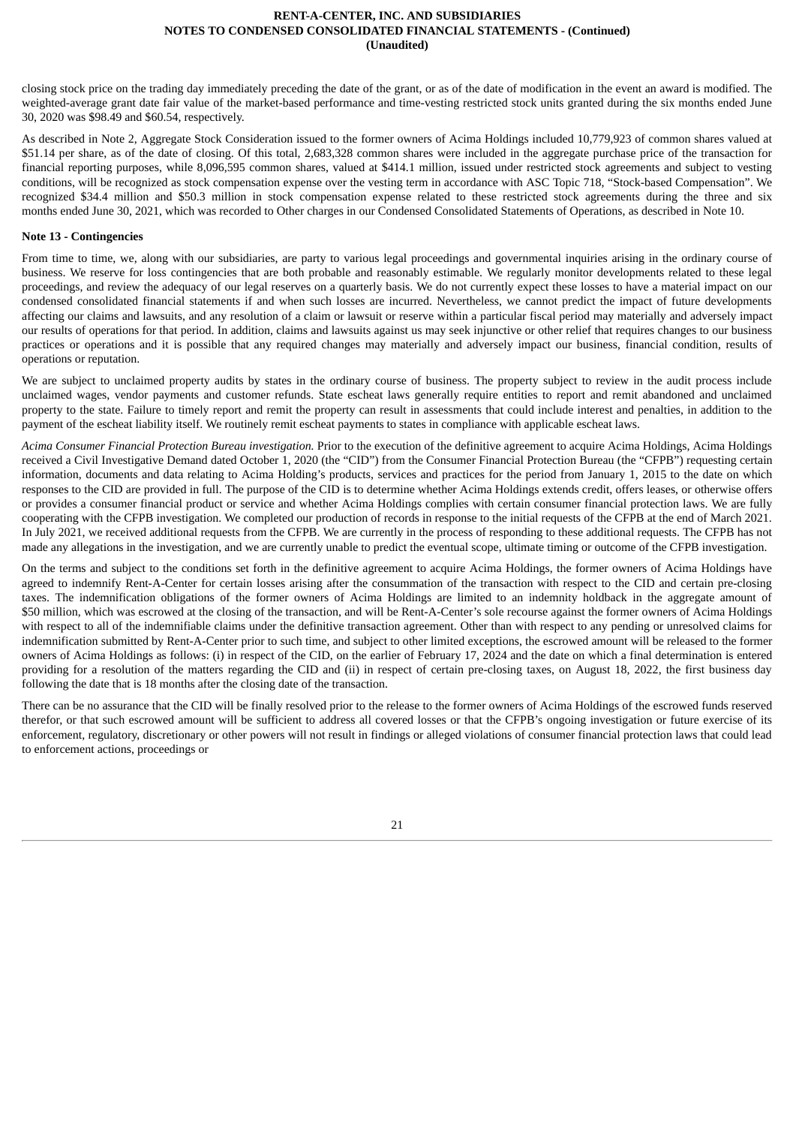closing stock price on the trading day immediately preceding the date of the grant, or as of the date of modification in the event an award is modified. The weighted-average grant date fair value of the market-based performance and time-vesting restricted stock units granted during the six months ended June 30, 2020 was \$98.49 and \$60.54, respectively.

As described in Note 2, Aggregate Stock Consideration issued to the former owners of Acima Holdings included 10,779,923 of common shares valued at \$51.14 per share, as of the date of closing. Of this total, 2,683,328 common shares were included in the aggregate purchase price of the transaction for financial reporting purposes, while 8,096,595 common shares, valued at \$414.1 million, issued under restricted stock agreements and subject to vesting conditions, will be recognized as stock compensation expense over the vesting term in accordance with ASC Topic 718, "Stock-based Compensation". We recognized \$34.4 million and \$50.3 million in stock compensation expense related to these restricted stock agreements during the three and six months ended June 30, 2021, which was recorded to Other charges in our Condensed Consolidated Statements of Operations, as described in Note 10.

#### **Note 13 - Contingencies**

From time to time, we, along with our subsidiaries, are party to various legal proceedings and governmental inquiries arising in the ordinary course of business. We reserve for loss contingencies that are both probable and reasonably estimable. We regularly monitor developments related to these legal proceedings, and review the adequacy of our legal reserves on a quarterly basis. We do not currently expect these losses to have a material impact on our condensed consolidated financial statements if and when such losses are incurred. Nevertheless, we cannot predict the impact of future developments affecting our claims and lawsuits, and any resolution of a claim or lawsuit or reserve within a particular fiscal period may materially and adversely impact our results of operations for that period. In addition, claims and lawsuits against us may seek injunctive or other relief that requires changes to our business practices or operations and it is possible that any required changes may materially and adversely impact our business, financial condition, results of operations or reputation.

We are subject to unclaimed property audits by states in the ordinary course of business. The property subject to review in the audit process include unclaimed wages, vendor payments and customer refunds. State escheat laws generally require entities to report and remit abandoned and unclaimed property to the state. Failure to timely report and remit the property can result in assessments that could include interest and penalties, in addition to the payment of the escheat liability itself. We routinely remit escheat payments to states in compliance with applicable escheat laws.

*Acima Consumer Financial Protection Bureau investigation.* Prior to the execution of the definitive agreement to acquire Acima Holdings, Acima Holdings received a Civil Investigative Demand dated October 1, 2020 (the "CID") from the Consumer Financial Protection Bureau (the "CFPB") requesting certain information, documents and data relating to Acima Holding's products, services and practices for the period from January 1, 2015 to the date on which responses to the CID are provided in full. The purpose of the CID is to determine whether Acima Holdings extends credit, offers leases, or otherwise offers or provides a consumer financial product or service and whether Acima Holdings complies with certain consumer financial protection laws. We are fully cooperating with the CFPB investigation. We completed our production of records in response to the initial requests of the CFPB at the end of March 2021. In July 2021, we received additional requests from the CFPB. We are currently in the process of responding to these additional requests. The CFPB has not made any allegations in the investigation, and we are currently unable to predict the eventual scope, ultimate timing or outcome of the CFPB investigation.

On the terms and subject to the conditions set forth in the definitive agreement to acquire Acima Holdings, the former owners of Acima Holdings have agreed to indemnify Rent-A-Center for certain losses arising after the consummation of the transaction with respect to the CID and certain pre-closing taxes. The indemnification obligations of the former owners of Acima Holdings are limited to an indemnity holdback in the aggregate amount of \$50 million, which was escrowed at the closing of the transaction, and will be Rent-A-Center's sole recourse against the former owners of Acima Holdings with respect to all of the indemnifiable claims under the definitive transaction agreement. Other than with respect to any pending or unresolved claims for indemnification submitted by Rent-A-Center prior to such time, and subject to other limited exceptions, the escrowed amount will be released to the former owners of Acima Holdings as follows: (i) in respect of the CID, on the earlier of February 17, 2024 and the date on which a final determination is entered providing for a resolution of the matters regarding the CID and (ii) in respect of certain pre-closing taxes, on August 18, 2022, the first business day following the date that is 18 months after the closing date of the transaction.

There can be no assurance that the CID will be finally resolved prior to the release to the former owners of Acima Holdings of the escrowed funds reserved therefor, or that such escrowed amount will be sufficient to address all covered losses or that the CFPB's ongoing investigation or future exercise of its enforcement, regulatory, discretionary or other powers will not result in findings or alleged violations of consumer financial protection laws that could lead to enforcement actions, proceedings or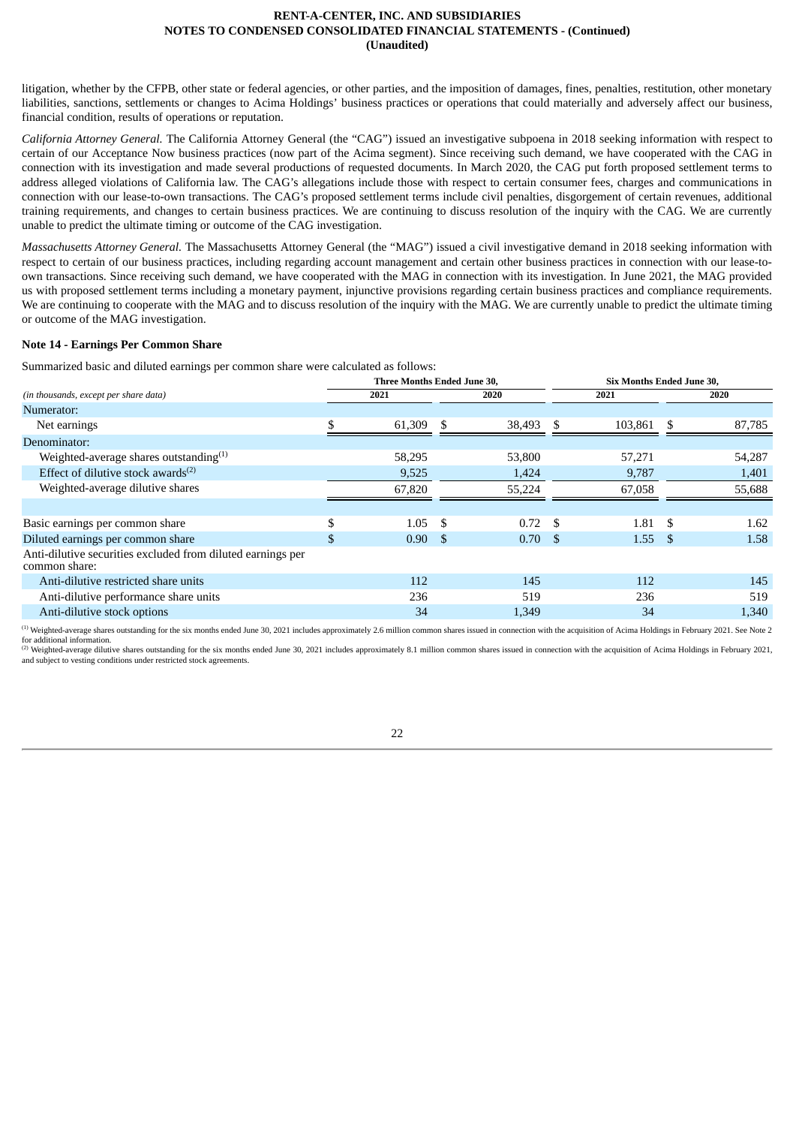litigation, whether by the CFPB, other state or federal agencies, or other parties, and the imposition of damages, fines, penalties, restitution, other monetary liabilities, sanctions, settlements or changes to Acima Holdings' business practices or operations that could materially and adversely affect our business, financial condition, results of operations or reputation.

*California Attorney General.* The California Attorney General (the "CAG") issued an investigative subpoena in 2018 seeking information with respect to certain of our Acceptance Now business practices (now part of the Acima segment). Since receiving such demand, we have cooperated with the CAG in connection with its investigation and made several productions of requested documents. In March 2020, the CAG put forth proposed settlement terms to address alleged violations of California law. The CAG's allegations include those with respect to certain consumer fees, charges and communications in connection with our lease-to-own transactions. The CAG's proposed settlement terms include civil penalties, disgorgement of certain revenues, additional training requirements, and changes to certain business practices. We are continuing to discuss resolution of the inquiry with the CAG. We are currently unable to predict the ultimate timing or outcome of the CAG investigation.

*Massachusetts Attorney General.* The Massachusetts Attorney General (the "MAG") issued a civil investigative demand in 2018 seeking information with respect to certain of our business practices, including regarding account management and certain other business practices in connection with our lease-toown transactions. Since receiving such demand, we have cooperated with the MAG in connection with its investigation. In June 2021, the MAG provided us with proposed settlement terms including a monetary payment, injunctive provisions regarding certain business practices and compliance requirements. We are continuing to cooperate with the MAG and to discuss resolution of the inquiry with the MAG. We are currently unable to predict the ultimate timing or outcome of the MAG investigation.

#### **Note 14 - Earnings Per Common Share**

Summarized basic and diluted earnings per common share were calculated as follows:

|                                                                              | <b>Three Months Ended June 30,</b> |                 |      |        |      |            | <b>Six Months Ended June 30,</b> |        |  |
|------------------------------------------------------------------------------|------------------------------------|-----------------|------|--------|------|------------|----------------------------------|--------|--|
| (in thousands, except per share data)                                        |                                    | 2021            | 2020 |        |      | 2021       |                                  | 2020   |  |
| Numerator:                                                                   |                                    |                 |      |        |      |            |                                  |        |  |
| Net earnings                                                                 |                                    | 61,309          | \$   | 38,493 | -\$  | 103,861 \$ |                                  | 87,785 |  |
| Denominator:                                                                 |                                    |                 |      |        |      |            |                                  |        |  |
| Weighted-average shares outstanding <sup>(1)</sup>                           |                                    | 58,295          |      | 53,800 |      | 57,271     |                                  | 54,287 |  |
| Effect of dilutive stock awards <sup>(2)</sup>                               |                                    | 9,525           |      | 1,424  |      | 9,787      |                                  | 1,401  |  |
| Weighted-average dilutive shares                                             |                                    | 67,820          |      | 55,224 |      | 67,058     |                                  | 55,688 |  |
|                                                                              |                                    |                 |      |        |      |            |                                  |        |  |
| Basic earnings per common share                                              | \$                                 | $1.05 \quad$ \$ |      | 0.72   | -\$  | 1.81       | - \$                             | 1.62   |  |
| Diluted earnings per common share                                            | \$                                 | $0.90 \quad$ \$ |      | 0.70   | - \$ | $1.55$ \$  |                                  | 1.58   |  |
| Anti-dilutive securities excluded from diluted earnings per<br>common share: |                                    |                 |      |        |      |            |                                  |        |  |
| Anti-dilutive restricted share units                                         |                                    | 112             |      | 145    |      | 112        |                                  | 145    |  |
| Anti-dilutive performance share units                                        |                                    | 236             |      | 519    |      | 236        |                                  | 519    |  |
| Anti-dilutive stock options                                                  |                                    | 34              |      | 1,349  |      | 34         |                                  | 1,340  |  |

<sup>(1)</sup> Weighted-average shares outstanding for the six months ended June 30, 2021 includes approximately 2.6 million common shares issued in connection with the acquisition of Acima Holdings in February 2021. See Note 2 for additional information.

<span id="page-23-0"></span>(2) Weighted-average dilutive shares outstanding for the six months ended June 30, 2021 includes approximately 8.1 million common shares issued in connection with the acquisition of Acima Holdings in February 2021, and subject to vesting conditions under restricted stock agreements.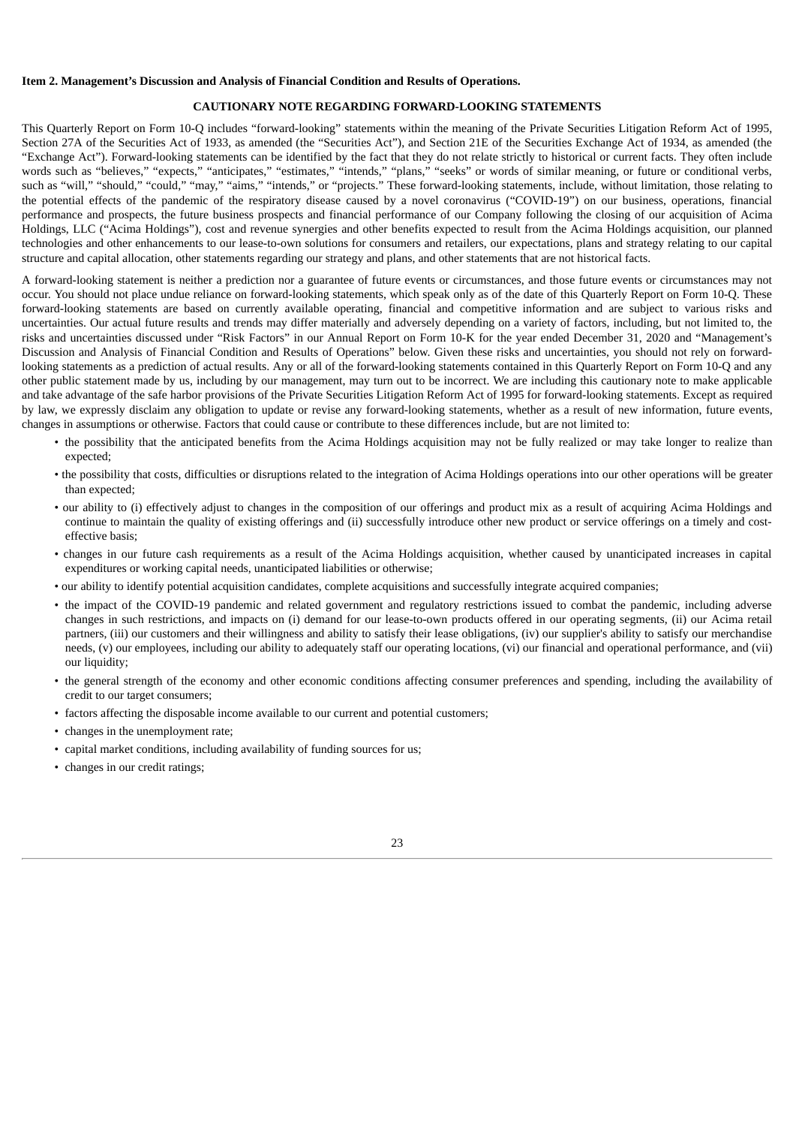#### <span id="page-24-0"></span>**Item 2. Management's Discussion and Analysis of Financial Condition and Results of Operations.**

#### **CAUTIONARY NOTE REGARDING FORWARD-LOOKING STATEMENTS**

This Quarterly Report on Form 10-Q includes "forward-looking" statements within the meaning of the Private Securities Litigation Reform Act of 1995, Section 27A of the Securities Act of 1933, as amended (the "Securities Act"), and Section 21E of the Securities Exchange Act of 1934, as amended (the "Exchange Act"). Forward-looking statements can be identified by the fact that they do not relate strictly to historical or current facts. They often include words such as "believes," "expects," "anticipates," "estimates," "intends," "plans," "seeks" or words of similar meaning, or future or conditional verbs, such as "will," "should," "could," "may," "aims," "intends," or "projects." These forward-looking statements, include, without limitation, those relating to the potential effects of the pandemic of the respiratory disease caused by a novel coronavirus ("COVID-19") on our business, operations, financial performance and prospects, the future business prospects and financial performance of our Company following the closing of our acquisition of Acima Holdings, LLC ("Acima Holdings"), cost and revenue synergies and other benefits expected to result from the Acima Holdings acquisition, our planned technologies and other enhancements to our lease-to-own solutions for consumers and retailers, our expectations, plans and strategy relating to our capital structure and capital allocation, other statements regarding our strategy and plans, and other statements that are not historical facts.

A forward-looking statement is neither a prediction nor a guarantee of future events or circumstances, and those future events or circumstances may not occur. You should not place undue reliance on forward-looking statements, which speak only as of the date of this Quarterly Report on Form 10-Q. These forward-looking statements are based on currently available operating, financial and competitive information and are subject to various risks and uncertainties. Our actual future results and trends may differ materially and adversely depending on a variety of factors, including, but not limited to, the risks and uncertainties discussed under "Risk Factors" in our Annual Report on Form 10-K for the year ended December 31, 2020 and "Management's Discussion and Analysis of Financial Condition and Results of Operations" below. Given these risks and uncertainties, you should not rely on forwardlooking statements as a prediction of actual results. Any or all of the forward-looking statements contained in this Quarterly Report on Form 10-Q and any other public statement made by us, including by our management, may turn out to be incorrect. We are including this cautionary note to make applicable and take advantage of the safe harbor provisions of the Private Securities Litigation Reform Act of 1995 for forward-looking statements. Except as required by law, we expressly disclaim any obligation to update or revise any forward-looking statements, whether as a result of new information, future events, changes in assumptions or otherwise. Factors that could cause or contribute to these differences include, but are not limited to:

- the possibility that the anticipated benefits from the Acima Holdings acquisition may not be fully realized or may take longer to realize than expected;
- the possibility that costs, difficulties or disruptions related to the integration of Acima Holdings operations into our other operations will be greater than expected;
- our ability to (i) effectively adjust to changes in the composition of our offerings and product mix as a result of acquiring Acima Holdings and continue to maintain the quality of existing offerings and (ii) successfully introduce other new product or service offerings on a timely and costeffective basis;
- changes in our future cash requirements as a result of the Acima Holdings acquisition, whether caused by unanticipated increases in capital expenditures or working capital needs, unanticipated liabilities or otherwise;
- our ability to identify potential acquisition candidates, complete acquisitions and successfully integrate acquired companies;
- the impact of the COVID-19 pandemic and related government and regulatory restrictions issued to combat the pandemic, including adverse changes in such restrictions, and impacts on (i) demand for our lease-to-own products offered in our operating segments, (ii) our Acima retail partners, (iii) our customers and their willingness and ability to satisfy their lease obligations, (iv) our supplier's ability to satisfy our merchandise needs, (v) our employees, including our ability to adequately staff our operating locations, (vi) our financial and operational performance, and (vii) our liquidity;
- the general strength of the economy and other economic conditions affecting consumer preferences and spending, including the availability of credit to our target consumers;
- factors affecting the disposable income available to our current and potential customers;
- changes in the unemployment rate;
- capital market conditions, including availability of funding sources for us;
- changes in our credit ratings;

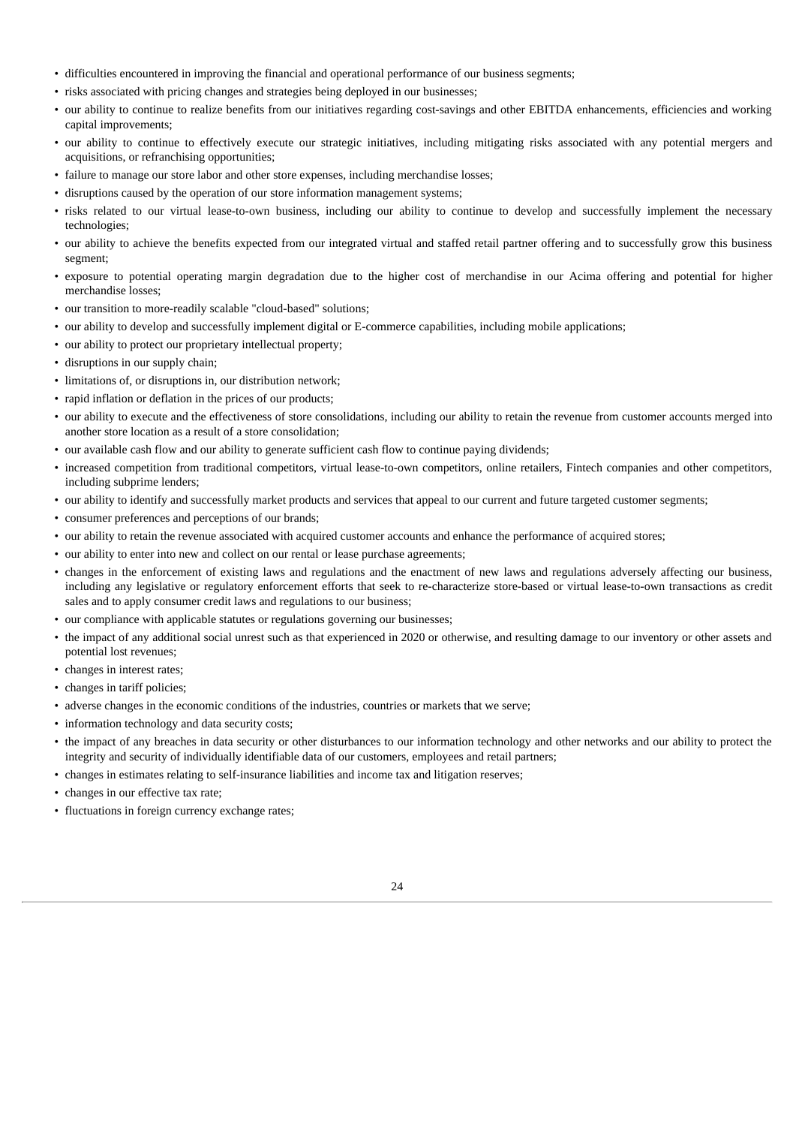- difficulties encountered in improving the financial and operational performance of our business segments;
- risks associated with pricing changes and strategies being deployed in our businesses;
- our ability to continue to realize benefits from our initiatives regarding cost-savings and other EBITDA enhancements, efficiencies and working capital improvements;
- our ability to continue to effectively execute our strategic initiatives, including mitigating risks associated with any potential mergers and acquisitions, or refranchising opportunities;
- failure to manage our store labor and other store expenses, including merchandise losses;
- disruptions caused by the operation of our store information management systems;
- risks related to our virtual lease-to-own business, including our ability to continue to develop and successfully implement the necessary technologies;
- our ability to achieve the benefits expected from our integrated virtual and staffed retail partner offering and to successfully grow this business segment;
- exposure to potential operating margin degradation due to the higher cost of merchandise in our Acima offering and potential for higher merchandise losses;
- our transition to more-readily scalable "cloud-based" solutions;
- our ability to develop and successfully implement digital or E-commerce capabilities, including mobile applications;
- our ability to protect our proprietary intellectual property;
- disruptions in our supply chain;
- limitations of, or disruptions in, our distribution network;
- rapid inflation or deflation in the prices of our products;
- our ability to execute and the effectiveness of store consolidations, including our ability to retain the revenue from customer accounts merged into another store location as a result of a store consolidation;
- our available cash flow and our ability to generate sufficient cash flow to continue paying dividends;
- increased competition from traditional competitors, virtual lease-to-own competitors, online retailers, Fintech companies and other competitors, including subprime lenders;
- our ability to identify and successfully market products and services that appeal to our current and future targeted customer segments;
- consumer preferences and perceptions of our brands;
- our ability to retain the revenue associated with acquired customer accounts and enhance the performance of acquired stores;
- our ability to enter into new and collect on our rental or lease purchase agreements;
- changes in the enforcement of existing laws and regulations and the enactment of new laws and regulations adversely affecting our business, including any legislative or regulatory enforcement efforts that seek to re-characterize store-based or virtual lease-to-own transactions as credit sales and to apply consumer credit laws and regulations to our business;
- our compliance with applicable statutes or regulations governing our businesses;
- the impact of any additional social unrest such as that experienced in 2020 or otherwise, and resulting damage to our inventory or other assets and potential lost revenues;
- changes in interest rates;
- changes in tariff policies;
- adverse changes in the economic conditions of the industries, countries or markets that we serve;
- information technology and data security costs;
- the impact of any breaches in data security or other disturbances to our information technology and other networks and our ability to protect the integrity and security of individually identifiable data of our customers, employees and retail partners;
- changes in estimates relating to self-insurance liabilities and income tax and litigation reserves;
- changes in our effective tax rate;
- fluctuations in foreign currency exchange rates;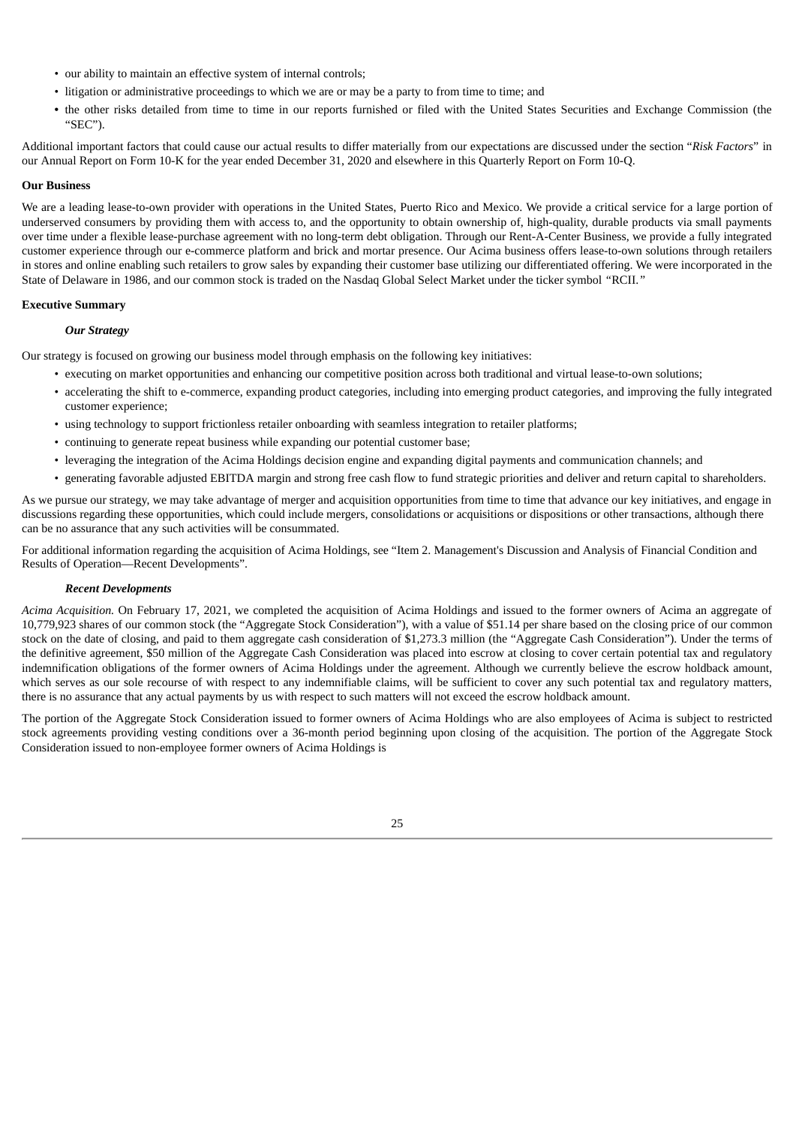- our ability to maintain an effective system of internal controls;
- litigation or administrative proceedings to which we are or may be a party to from time to time; and
- the other risks detailed from time to time in our reports furnished or filed with the United States Securities and Exchange Commission (the "SEC").

Additional important factors that could cause our actual results to differ materially from our expectations are discussed under the section "*Risk Factors*" in our Annual Report on Form 10-K for the year ended December 31, 2020 and elsewhere in this Quarterly Report on Form 10-Q.

#### **Our Business**

We are a leading lease-to-own provider with operations in the United States, Puerto Rico and Mexico. We provide a critical service for a large portion of underserved consumers by providing them with access to, and the opportunity to obtain ownership of, high-quality, durable products via small payments over time under a flexible lease-purchase agreement with no long-term debt obligation. Through our Rent-A-Center Business, we provide a fully integrated customer experience through our e-commerce platform and brick and mortar presence. Our Acima business offers lease-to-own solutions through retailers in stores and online enabling such retailers to grow sales by expanding their customer base utilizing our differentiated offering. We were incorporated in the State of Delaware in 1986, and our common stock is traded on the Nasdaq Global Select Market under the ticker symbol *"*RCII.*"*

#### **Executive Summary**

#### *Our Strategy*

Our strategy is focused on growing our business model through emphasis on the following key initiatives:

- executing on market opportunities and enhancing our competitive position across both traditional and virtual lease-to-own solutions;
- accelerating the shift to e-commerce, expanding product categories, including into emerging product categories, and improving the fully integrated customer experience;
- using technology to support frictionless retailer onboarding with seamless integration to retailer platforms;
- continuing to generate repeat business while expanding our potential customer base;
- leveraging the integration of the Acima Holdings decision engine and expanding digital payments and communication channels; and
- generating favorable adjusted EBITDA margin and strong free cash flow to fund strategic priorities and deliver and return capital to shareholders.

As we pursue our strategy, we may take advantage of merger and acquisition opportunities from time to time that advance our key initiatives, and engage in discussions regarding these opportunities, which could include mergers, consolidations or acquisitions or dispositions or other transactions, although there can be no assurance that any such activities will be consummated.

For additional information regarding the acquisition of Acima Holdings, see "Item 2. Management's Discussion and Analysis of Financial Condition and Results of Operation—Recent Developments".

#### *Recent Developments*

*Acima Acquisition.* On February 17, 2021, we completed the acquisition of Acima Holdings and issued to the former owners of Acima an aggregate of 10,779,923 shares of our common stock (the "Aggregate Stock Consideration"), with a value of \$51.14 per share based on the closing price of our common stock on the date of closing, and paid to them aggregate cash consideration of \$1,273.3 million (the "Aggregate Cash Consideration"). Under the terms of the definitive agreement, \$50 million of the Aggregate Cash Consideration was placed into escrow at closing to cover certain potential tax and regulatory indemnification obligations of the former owners of Acima Holdings under the agreement. Although we currently believe the escrow holdback amount, which serves as our sole recourse of with respect to any indemnifiable claims, will be sufficient to cover any such potential tax and regulatory matters, there is no assurance that any actual payments by us with respect to such matters will not exceed the escrow holdback amount.

The portion of the Aggregate Stock Consideration issued to former owners of Acima Holdings who are also employees of Acima is subject to restricted stock agreements providing vesting conditions over a 36-month period beginning upon closing of the acquisition. The portion of the Aggregate Stock Consideration issued to non-employee former owners of Acima Holdings is

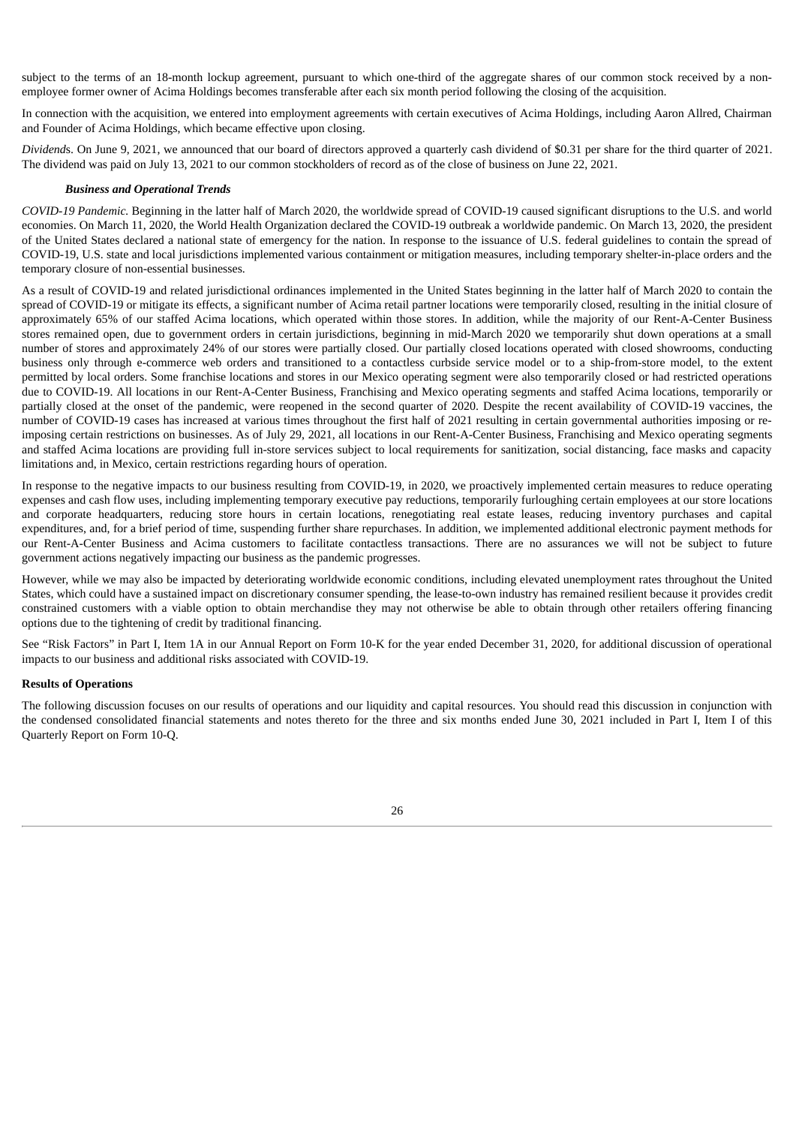subject to the terms of an 18-month lockup agreement, pursuant to which one-third of the aggregate shares of our common stock received by a nonemployee former owner of Acima Holdings becomes transferable after each six month period following the closing of the acquisition.

In connection with the acquisition, we entered into employment agreements with certain executives of Acima Holdings, including Aaron Allred, Chairman and Founder of Acima Holdings, which became effective upon closing.

*Dividend*s. On June 9, 2021, we announced that our board of directors approved a quarterly cash dividend of \$0.31 per share for the third quarter of 2021. The dividend was paid on July 13, 2021 to our common stockholders of record as of the close of business on June 22, 2021.

#### *Business and Operational Trends*

*COVID-19 Pandemic.* Beginning in the latter half of March 2020, the worldwide spread of COVID-19 caused significant disruptions to the U.S. and world economies. On March 11, 2020, the World Health Organization declared the COVID-19 outbreak a worldwide pandemic. On March 13, 2020, the president of the United States declared a national state of emergency for the nation. In response to the issuance of U.S. federal guidelines to contain the spread of COVID-19, U.S. state and local jurisdictions implemented various containment or mitigation measures, including temporary shelter-in-place orders and the temporary closure of non-essential businesses.

As a result of COVID-19 and related jurisdictional ordinances implemented in the United States beginning in the latter half of March 2020 to contain the spread of COVID-19 or mitigate its effects, a significant number of Acima retail partner locations were temporarily closed, resulting in the initial closure of approximately 65% of our staffed Acima locations, which operated within those stores. In addition, while the majority of our Rent-A-Center Business stores remained open, due to government orders in certain jurisdictions, beginning in mid-March 2020 we temporarily shut down operations at a small number of stores and approximately 24% of our stores were partially closed. Our partially closed locations operated with closed showrooms, conducting business only through e-commerce web orders and transitioned to a contactless curbside service model or to a ship-from-store model, to the extent permitted by local orders. Some franchise locations and stores in our Mexico operating segment were also temporarily closed or had restricted operations due to COVID-19. All locations in our Rent-A-Center Business, Franchising and Mexico operating segments and staffed Acima locations, temporarily or partially closed at the onset of the pandemic, were reopened in the second quarter of 2020. Despite the recent availability of COVID-19 vaccines, the number of COVID-19 cases has increased at various times throughout the first half of 2021 resulting in certain governmental authorities imposing or reimposing certain restrictions on businesses. As of July 29, 2021, all locations in our Rent-A-Center Business, Franchising and Mexico operating segments and staffed Acima locations are providing full in-store services subject to local requirements for sanitization, social distancing, face masks and capacity limitations and, in Mexico, certain restrictions regarding hours of operation.

In response to the negative impacts to our business resulting from COVID-19, in 2020, we proactively implemented certain measures to reduce operating expenses and cash flow uses, including implementing temporary executive pay reductions, temporarily furloughing certain employees at our store locations and corporate headquarters, reducing store hours in certain locations, renegotiating real estate leases, reducing inventory purchases and capital expenditures, and, for a brief period of time, suspending further share repurchases. In addition, we implemented additional electronic payment methods for our Rent-A-Center Business and Acima customers to facilitate contactless transactions. There are no assurances we will not be subject to future government actions negatively impacting our business as the pandemic progresses.

However, while we may also be impacted by deteriorating worldwide economic conditions, including elevated unemployment rates throughout the United States, which could have a sustained impact on discretionary consumer spending, the lease-to-own industry has remained resilient because it provides credit constrained customers with a viable option to obtain merchandise they may not otherwise be able to obtain through other retailers offering financing options due to the tightening of credit by traditional financing.

See "Risk Factors" in Part I, Item 1A in our Annual Report on Form 10-K for the year ended December 31, 2020, for additional discussion of operational impacts to our business and additional risks associated with COVID-19.

#### **Results of Operations**

The following discussion focuses on our results of operations and our liquidity and capital resources. You should read this discussion in conjunction with the condensed consolidated financial statements and notes thereto for the three and six months ended June 30, 2021 included in Part I, Item I of this Quarterly Report on Form 10-Q.

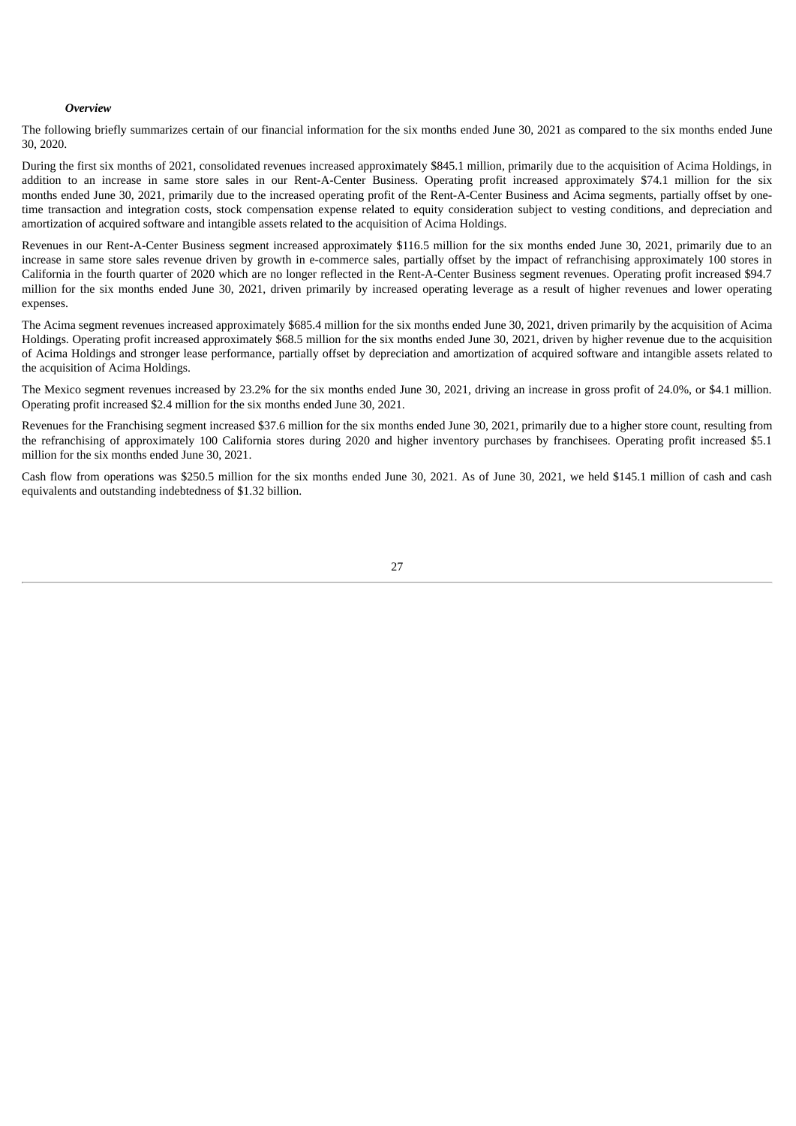#### *Overview*

The following briefly summarizes certain of our financial information for the six months ended June 30, 2021 as compared to the six months ended June 30, 2020.

During the first six months of 2021, consolidated revenues increased approximately \$845.1 million, primarily due to the acquisition of Acima Holdings, in addition to an increase in same store sales in our Rent-A-Center Business. Operating profit increased approximately \$74.1 million for the six months ended June 30, 2021, primarily due to the increased operating profit of the Rent-A-Center Business and Acima segments, partially offset by onetime transaction and integration costs, stock compensation expense related to equity consideration subject to vesting conditions, and depreciation and amortization of acquired software and intangible assets related to the acquisition of Acima Holdings.

Revenues in our Rent-A-Center Business segment increased approximately \$116.5 million for the six months ended June 30, 2021, primarily due to an increase in same store sales revenue driven by growth in e-commerce sales, partially offset by the impact of refranchising approximately 100 stores in California in the fourth quarter of 2020 which are no longer reflected in the Rent-A-Center Business segment revenues. Operating profit increased \$94.7 million for the six months ended June 30, 2021, driven primarily by increased operating leverage as a result of higher revenues and lower operating expenses.

The Acima segment revenues increased approximately \$685.4 million for the six months ended June 30, 2021, driven primarily by the acquisition of Acima Holdings. Operating profit increased approximately \$68.5 million for the six months ended June 30, 2021, driven by higher revenue due to the acquisition of Acima Holdings and stronger lease performance, partially offset by depreciation and amortization of acquired software and intangible assets related to the acquisition of Acima Holdings.

The Mexico segment revenues increased by 23.2% for the six months ended June 30, 2021, driving an increase in gross profit of 24.0%, or \$4.1 million. Operating profit increased \$2.4 million for the six months ended June 30, 2021.

Revenues for the Franchising segment increased \$37.6 million for the six months ended June 30, 2021, primarily due to a higher store count, resulting from the refranchising of approximately 100 California stores during 2020 and higher inventory purchases by franchisees. Operating profit increased \$5.1 million for the six months ended June 30, 2021.

Cash flow from operations was \$250.5 million for the six months ended June 30, 2021. As of June 30, 2021, we held \$145.1 million of cash and cash equivalents and outstanding indebtedness of \$1.32 billion.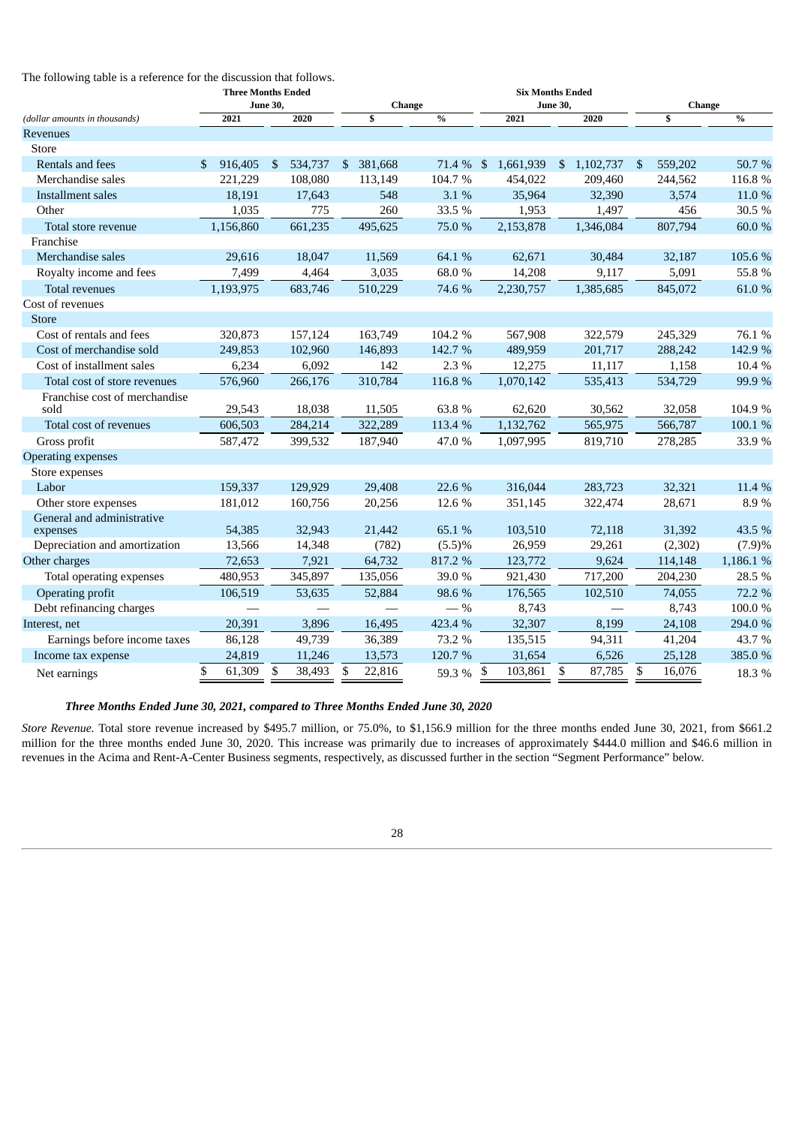The following table is a reference for the discussion that follows.

|                                        |               | <b>Three Months Ended</b><br><b>June 30,</b> |                         | <b>Change</b> |                     | <b>Six Months Ended</b><br><b>June 30,</b> | Change        |           |  |
|----------------------------------------|---------------|----------------------------------------------|-------------------------|---------------|---------------------|--------------------------------------------|---------------|-----------|--|
| (dollar amounts in thousands)          | 2021          | 2020                                         | \$                      | $\%$          | 2021                | 2020                                       | \$            | $\%$      |  |
| <b>Revenues</b>                        |               |                                              |                         |               |                     |                                            |               |           |  |
| <b>Store</b>                           |               |                                              |                         |               |                     |                                            |               |           |  |
| Rentals and fees                       | 916,405<br>\$ | $\mathbb{S}$<br>534,737                      | 381,668<br>$\mathbb{S}$ |               | 71.4 % \$ 1,661,939 | \$1,102,737                                | 559,202<br>\$ | 50.7%     |  |
| Merchandise sales                      | 221,229       | 108,080                                      | 113,149                 | 104.7%        | 454,022             | 209,460                                    | 244,562       | 116.8 %   |  |
| Installment sales                      | 18,191        | 17,643                                       | 548                     | 3.1%          | 35,964              | 32,390                                     | 3,574         | 11.0 %    |  |
| Other                                  | 1,035         | 775                                          | 260                     | 33.5 %        | 1,953               | 1,497                                      | 456           | 30.5 %    |  |
| Total store revenue                    | 1,156,860     | 661,235                                      | 495,625                 | 75.0 %        | 2,153,878           | 1,346,084                                  | 807,794       | 60.0%     |  |
| Franchise                              |               |                                              |                         |               |                     |                                            |               |           |  |
| Merchandise sales                      | 29,616        | 18.047                                       | 11,569                  | 64.1 %        | 62,671              | 30,484                                     | 32,187        | 105.6%    |  |
| Royalty income and fees                | 7,499         | 4,464                                        | 3,035                   | 68.0%         | 14,208              | 9,117                                      | 5,091         | 55.8%     |  |
| <b>Total revenues</b>                  | 1,193,975     | 683,746                                      | 510,229                 | 74.6 %        | 2,230,757           | 1,385,685                                  | 845,072       | 61.0%     |  |
| Cost of revenues                       |               |                                              |                         |               |                     |                                            |               |           |  |
| <b>Store</b>                           |               |                                              |                         |               |                     |                                            |               |           |  |
| Cost of rentals and fees               | 320,873       | 157,124                                      | 163,749                 | 104.2 %       | 567,908             | 322,579                                    | 245,329       | 76.1 %    |  |
| Cost of merchandise sold               | 249,853       | 102,960                                      | 146,893                 | 142.7%        | 489,959             | 201,717                                    | 288,242       | 142.9 %   |  |
| Cost of installment sales              | 6,234         | 6,092                                        | 142                     | 2.3 %         | 12,275              | 11,117                                     | 1,158         | 10.4 %    |  |
| Total cost of store revenues           | 576,960       | 266,176                                      | 310,784                 | 116.8 %       | 1,070,142           | 535,413                                    | 534,729       | 99.9 %    |  |
| Franchise cost of merchandise<br>sold  | 29,543        | 18,038                                       | 11,505                  | 63.8%         | 62,620              | 30,562                                     | 32,058        | 104.9%    |  |
| Total cost of revenues                 | 606,503       | 284,214                                      | 322,289                 | 113.4 %       | 1,132,762           | 565,975                                    | 566,787       | 100.1%    |  |
| Gross profit                           | 587,472       | 399,532                                      | 187,940                 | 47.0 %        | 1,097,995           | 819,710                                    | 278,285       | 33.9 %    |  |
| <b>Operating expenses</b>              |               |                                              |                         |               |                     |                                            |               |           |  |
| Store expenses                         |               |                                              |                         |               |                     |                                            |               |           |  |
| Labor                                  | 159,337       | 129,929                                      | 29,408                  | 22.6 %        | 316,044             | 283,723                                    | 32,321        | 11.4 %    |  |
| Other store expenses                   | 181,012       | 160,756                                      | 20,256                  | 12.6 %        | 351,145             | 322,474                                    | 28,671        | 8.9%      |  |
| General and administrative<br>expenses | 54,385        | 32,943                                       | 21,442                  | 65.1 %        | 103,510             | 72,118                                     | 31,392        | 43.5 %    |  |
| Depreciation and amortization          | 13,566        | 14,348                                       | (782)                   | (5.5)%        | 26,959              | 29,261                                     | (2,302)       | (7.9)%    |  |
| Other charges                          | 72,653        | 7,921                                        | 64,732                  | 817.2 %       | 123,772             | 9,624                                      | 114,148       | 1,186.1 % |  |
| Total operating expenses               | 480,953       | 345,897                                      | 135,056                 | 39.0 %        | 921,430             | 717,200                                    | 204,230       | 28.5 %    |  |
| Operating profit                       | 106,519       | 53,635                                       | 52,884                  | 98.6 %        | 176,565             | 102,510                                    | 74,055        | 72.2 %    |  |
| Debt refinancing charges               |               |                                              |                         | $-$ %         | 8,743               |                                            | 8,743         | 100.0%    |  |
| Interest, net                          | 20,391        | 3,896                                        | 16,495                  | 423.4 %       | 32,307              | 8,199                                      | 24,108        | 294.0 %   |  |
| Earnings before income taxes           | 86,128        | 49,739                                       | 36,389                  | 73.2 %        | 135,515             | 94,311                                     | 41,204        | 43.7%     |  |
| Income tax expense                     | 24,819        | 11,246                                       | 13,573                  | 120.7%        | 31,654              | 6,526                                      | 25,128        | 385.0%    |  |
| Net earnings                           | \$<br>61,309  | \$<br>38,493                                 | \$<br>22,816            | 59.3%         | 103,861<br>\$       | \$<br>87,785                               | \$<br>16,076  | 18.3 %    |  |

#### *Three Months Ended June 30, 2021, compared to Three Months Ended June 30, 2020*

*Store Revenue.* Total store revenue increased by \$495.7 million, or 75.0%, to \$1,156.9 million for the three months ended June 30, 2021, from \$661.2 million for the three months ended June 30, 2020. This increase was primarily due to increases of approximately \$444.0 million and \$46.6 million in revenues in the Acima and Rent-A-Center Business segments, respectively, as discussed further in the section "Segment Performance" below.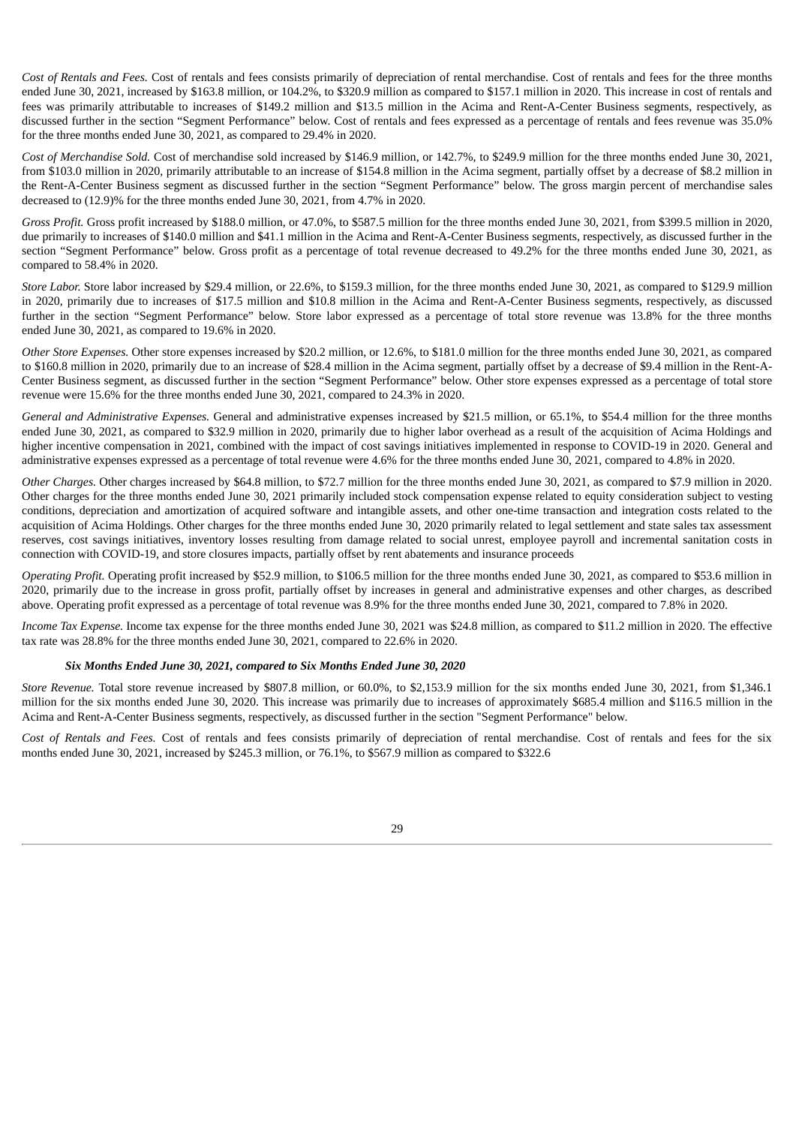*Cost of Rentals and Fees.* Cost of rentals and fees consists primarily of depreciation of rental merchandise. Cost of rentals and fees for the three months ended June 30, 2021, increased by \$163.8 million, or 104.2%, to \$320.9 million as compared to \$157.1 million in 2020. This increase in cost of rentals and fees was primarily attributable to increases of \$149.2 million and \$13.5 million in the Acima and Rent-A-Center Business segments, respectively, as discussed further in the section "Segment Performance" below. Cost of rentals and fees expressed as a percentage of rentals and fees revenue was 35.0% for the three months ended June 30, 2021, as compared to 29.4% in 2020.

*Cost of Merchandise Sold.* Cost of merchandise sold increased by \$146.9 million, or 142.7%, to \$249.9 million for the three months ended June 30, 2021, from \$103.0 million in 2020, primarily attributable to an increase of \$154.8 million in the Acima segment, partially offset by a decrease of \$8.2 million in the Rent-A-Center Business segment as discussed further in the section "Segment Performance" below. The gross margin percent of merchandise sales decreased to (12.9)% for the three months ended June 30, 2021, from 4.7% in 2020.

*Gross Profit.* Gross profit increased by \$188.0 million, or 47.0%, to \$587.5 million for the three months ended June 30, 2021, from \$399.5 million in 2020, due primarily to increases of \$140.0 million and \$41.1 million in the Acima and Rent-A-Center Business segments, respectively, as discussed further in the section "Segment Performance" below. Gross profit as a percentage of total revenue decreased to 49.2% for the three months ended June 30, 2021, as compared to 58.4% in 2020.

*Store Labor.* Store labor increased by \$29.4 million, or 22.6%, to \$159.3 million, for the three months ended June 30, 2021, as compared to \$129.9 million in 2020, primarily due to increases of \$17.5 million and \$10.8 million in the Acima and Rent-A-Center Business segments, respectively, as discussed further in the section "Segment Performance" below. Store labor expressed as a percentage of total store revenue was 13.8% for the three months ended June 30, 2021, as compared to 19.6% in 2020.

*Other Store Expenses.* Other store expenses increased by \$20.2 million, or 12.6%, to \$181.0 million for the three months ended June 30, 2021, as compared to \$160.8 million in 2020, primarily due to an increase of \$28.4 million in the Acima segment, partially offset by a decrease of \$9.4 million in the Rent-A-Center Business segment, as discussed further in the section "Segment Performance" below. Other store expenses expressed as a percentage of total store revenue were 15.6% for the three months ended June 30, 2021, compared to 24.3% in 2020.

*General and Administrative Expenses.* General and administrative expenses increased by \$21.5 million, or 65.1%, to \$54.4 million for the three months ended June 30, 2021, as compared to \$32.9 million in 2020, primarily due to higher labor overhead as a result of the acquisition of Acima Holdings and higher incentive compensation in 2021, combined with the impact of cost savings initiatives implemented in response to COVID-19 in 2020. General and administrative expenses expressed as a percentage of total revenue were 4.6% for the three months ended June 30, 2021, compared to 4.8% in 2020.

*Other Charges.* Other charges increased by \$64.8 million, to \$72.7 million for the three months ended June 30, 2021, as compared to \$7.9 million in 2020. Other charges for the three months ended June 30, 2021 primarily included stock compensation expense related to equity consideration subject to vesting conditions, depreciation and amortization of acquired software and intangible assets, and other one-time transaction and integration costs related to the acquisition of Acima Holdings. Other charges for the three months ended June 30, 2020 primarily related to legal settlement and state sales tax assessment reserves, cost savings initiatives, inventory losses resulting from damage related to social unrest, employee payroll and incremental sanitation costs in connection with COVID-19, and store closures impacts, partially offset by rent abatements and insurance proceeds

*Operating Profit.* Operating profit increased by \$52.9 million, to \$106.5 million for the three months ended June 30, 2021, as compared to \$53.6 million in 2020, primarily due to the increase in gross profit, partially offset by increases in general and administrative expenses and other charges, as described above. Operating profit expressed as a percentage of total revenue was 8.9% for the three months ended June 30, 2021, compared to 7.8% in 2020.

*Income Tax Expense.* Income tax expense for the three months ended June 30, 2021 was \$24.8 million, as compared to \$11.2 million in 2020. The effective tax rate was 28.8% for the three months ended June 30, 2021, compared to 22.6% in 2020.

#### *Six Months Ended June 30, 2021, compared to Six Months Ended June 30, 2020*

*Store Revenue.* Total store revenue increased by \$807.8 million, or 60.0%, to \$2,153.9 million for the six months ended June 30, 2021, from \$1,346.1 million for the six months ended June 30, 2020. This increase was primarily due to increases of approximately \$685.4 million and \$116.5 million in the Acima and Rent-A-Center Business segments, respectively, as discussed further in the section "Segment Performance" below.

*Cost of Rentals and Fees.* Cost of rentals and fees consists primarily of depreciation of rental merchandise. Cost of rentals and fees for the six months ended June 30, 2021, increased by \$245.3 million, or 76.1%, to \$567.9 million as compared to \$322.6

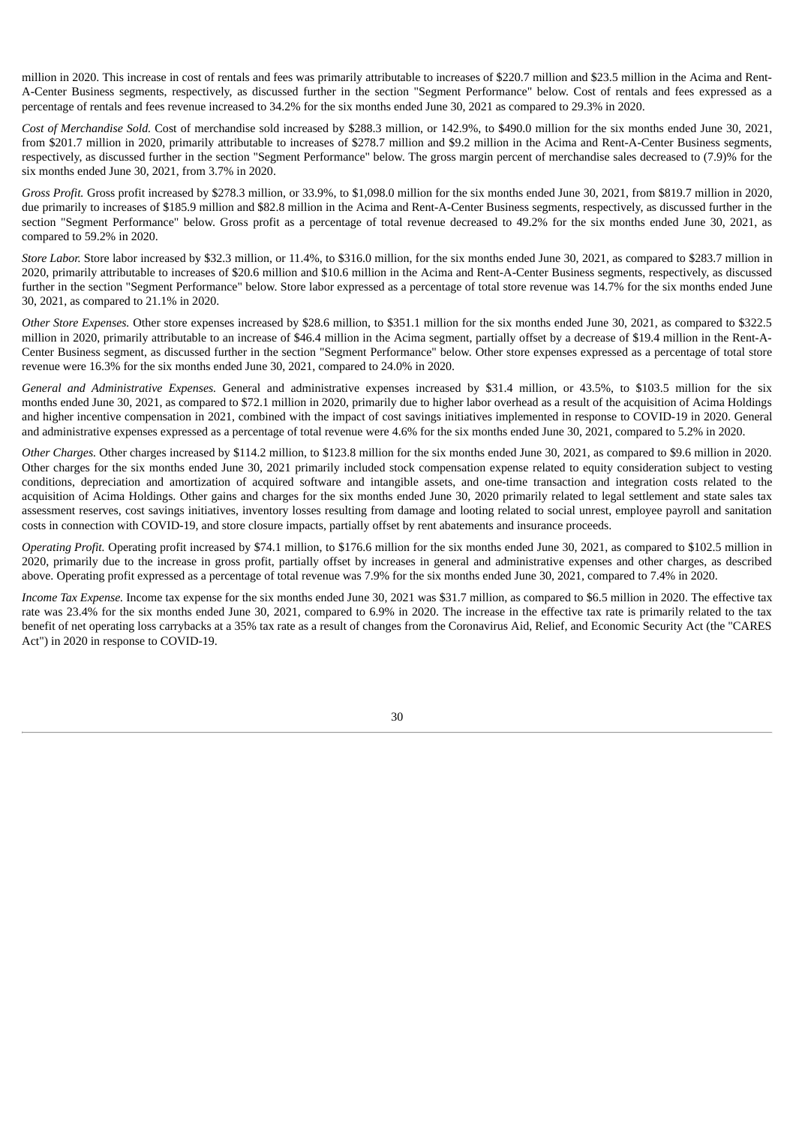million in 2020. This increase in cost of rentals and fees was primarily attributable to increases of \$220.7 million and \$23.5 million in the Acima and Rent-A-Center Business segments, respectively, as discussed further in the section "Segment Performance" below. Cost of rentals and fees expressed as a percentage of rentals and fees revenue increased to 34.2% for the six months ended June 30, 2021 as compared to 29.3% in 2020.

*Cost of Merchandise Sold.* Cost of merchandise sold increased by \$288.3 million, or 142.9%, to \$490.0 million for the six months ended June 30, 2021, from \$201.7 million in 2020, primarily attributable to increases of \$278.7 million and \$9.2 million in the Acima and Rent-A-Center Business segments, respectively, as discussed further in the section "Segment Performance" below. The gross margin percent of merchandise sales decreased to (7.9)% for the six months ended June 30, 2021, from 3.7% in 2020.

*Gross Profit.* Gross profit increased by \$278.3 million, or 33.9%, to \$1,098.0 million for the six months ended June 30, 2021, from \$819.7 million in 2020, due primarily to increases of \$185.9 million and \$82.8 million in the Acima and Rent-A-Center Business segments, respectively, as discussed further in the section "Segment Performance" below. Gross profit as a percentage of total revenue decreased to 49.2% for the six months ended June 30, 2021, as compared to 59.2% in 2020.

*Store Labor.* Store labor increased by \$32.3 million, or 11.4%, to \$316.0 million, for the six months ended June 30, 2021, as compared to \$283.7 million in 2020, primarily attributable to increases of \$20.6 million and \$10.6 million in the Acima and Rent-A-Center Business segments, respectively, as discussed further in the section "Segment Performance" below. Store labor expressed as a percentage of total store revenue was 14.7% for the six months ended June 30, 2021, as compared to 21.1% in 2020.

*Other Store Expenses.* Other store expenses increased by \$28.6 million, to \$351.1 million for the six months ended June 30, 2021, as compared to \$322.5 million in 2020, primarily attributable to an increase of \$46.4 million in the Acima segment, partially offset by a decrease of \$19.4 million in the Rent-A-Center Business segment, as discussed further in the section "Segment Performance" below. Other store expenses expressed as a percentage of total store revenue were 16.3% for the six months ended June 30, 2021, compared to 24.0% in 2020.

*General and Administrative Expenses.* General and administrative expenses increased by \$31.4 million, or 43.5%, to \$103.5 million for the six months ended June 30, 2021, as compared to \$72.1 million in 2020, primarily due to higher labor overhead as a result of the acquisition of Acima Holdings and higher incentive compensation in 2021, combined with the impact of cost savings initiatives implemented in response to COVID-19 in 2020. General and administrative expenses expressed as a percentage of total revenue were 4.6% for the six months ended June 30, 2021, compared to 5.2% in 2020.

*Other Charges.* Other charges increased by \$114.2 million, to \$123.8 million for the six months ended June 30, 2021, as compared to \$9.6 million in 2020. Other charges for the six months ended June 30, 2021 primarily included stock compensation expense related to equity consideration subject to vesting conditions, depreciation and amortization of acquired software and intangible assets, and one-time transaction and integration costs related to the acquisition of Acima Holdings. Other gains and charges for the six months ended June 30, 2020 primarily related to legal settlement and state sales tax assessment reserves, cost savings initiatives, inventory losses resulting from damage and looting related to social unrest, employee payroll and sanitation costs in connection with COVID-19, and store closure impacts, partially offset by rent abatements and insurance proceeds.

*Operating Profit.* Operating profit increased by \$74.1 million, to \$176.6 million for the six months ended June 30, 2021, as compared to \$102.5 million in 2020, primarily due to the increase in gross profit, partially offset by increases in general and administrative expenses and other charges, as described above. Operating profit expressed as a percentage of total revenue was 7.9% for the six months ended June 30, 2021, compared to 7.4% in 2020.

*Income Tax Expense.* Income tax expense for the six months ended June 30, 2021 was \$31.7 million, as compared to \$6.5 million in 2020. The effective tax rate was 23.4% for the six months ended June 30, 2021, compared to 6.9% in 2020. The increase in the effective tax rate is primarily related to the tax benefit of net operating loss carrybacks at a 35% tax rate as a result of changes from the Coronavirus Aid, Relief, and Economic Security Act (the "CARES Act") in 2020 in response to COVID-19.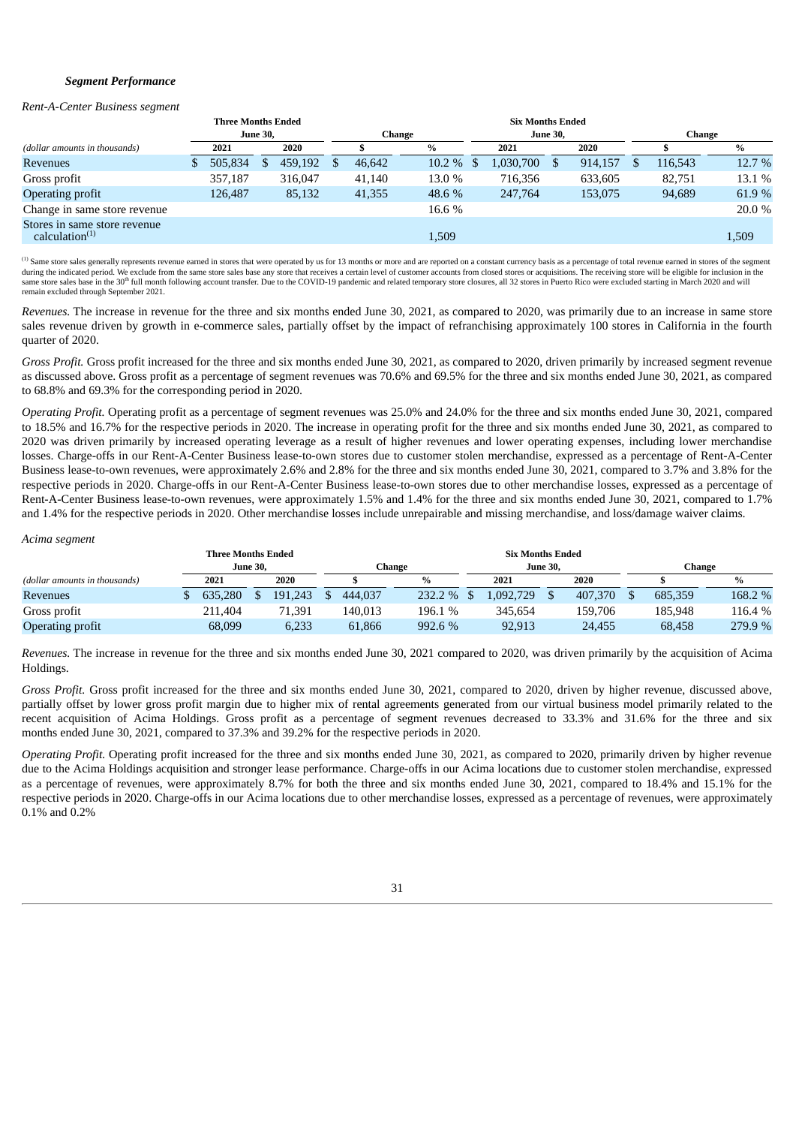#### *Segment Performance*

#### *Rent-A-Center Business segment*

|                                                            | <b>Three Months Ended</b> |         |  |         |  |        |  |        | <b>Six Months Ended</b> |                 |         |         |        |  |
|------------------------------------------------------------|---------------------------|---------|--|---------|--|--------|--|--------|-------------------------|-----------------|---------|---------|--------|--|
|                                                            | <b>June 30,</b>           |         |  |         |  | Change |  |        |                         | <b>June 30.</b> |         | Change  |        |  |
| (dollar amounts in thousands)                              |                           | 2021    |  | 2020    |  |        |  | $\%$   | 2021                    |                 | 2020    |         | $\%$   |  |
| <b>Revenues</b>                                            |                           | 505,834 |  | 459,192 |  | 46.642 |  | 10.2 % | 1,030,700               |                 | 914,157 | 116,543 | 12.7 % |  |
| Gross profit                                               |                           | 357,187 |  | 316,047 |  | 41,140 |  | 13.0 % | 716.356                 |                 | 633,605 | 82,751  | 13.1 % |  |
| Operating profit                                           |                           | 126,487 |  | 85,132  |  | 41,355 |  | 48.6 % | 247,764                 |                 | 153,075 | 94,689  | 61.9 % |  |
| Change in same store revenue                               |                           |         |  |         |  |        |  | 16.6 % |                         |                 |         |         | 20.0 % |  |
| Stores in same store revenue<br>calculation <sup>(1)</sup> |                           |         |  |         |  |        |  | 1,509  |                         |                 |         |         | 1,509  |  |

 $^{(1)}$  Same store sales generally represents revenue earned in stores that were operated by us for 13 months or more and are reported on a constant currency basis as a percentage of total revenue earned in stores of the s during the indicated period. We exclude from the same store sales base any store that receives a certain level of customer accounts from closed stores or acquisitions. The receiving store will be eligible for inclusion in same store sales base in the 30<sup>th</sup> full month following account transfer. Due to the COVID-19 pandemic and related temporary store closures, all 32 stores in Puerto Rico were excluded starting in March 2020 and will remain excluded through September 2021.

*Revenues.* The increase in revenue for the three and six months ended June 30, 2021, as compared to 2020, was primarily due to an increase in same store sales revenue driven by growth in e-commerce sales, partially offset by the impact of refranchising approximately 100 stores in California in the fourth quarter of 2020.

*Gross Profit.* Gross profit increased for the three and six months ended June 30, 2021, as compared to 2020, driven primarily by increased segment revenue as discussed above. Gross profit as a percentage of segment revenues was 70.6% and 69.5% for the three and six months ended June 30, 2021, as compared to 68.8% and 69.3% for the corresponding period in 2020.

*Operating Profit.* Operating profit as a percentage of segment revenues was 25.0% and 24.0% for the three and six months ended June 30, 2021, compared to 18.5% and 16.7% for the respective periods in 2020. The increase in operating profit for the three and six months ended June 30, 2021, as compared to 2020 was driven primarily by increased operating leverage as a result of higher revenues and lower operating expenses, including lower merchandise losses. Charge-offs in our Rent-A-Center Business lease-to-own stores due to customer stolen merchandise, expressed as a percentage of Rent-A-Center Business lease-to-own revenues, were approximately 2.6% and 2.8% for the three and six months ended June 30, 2021, compared to 3.7% and 3.8% for the respective periods in 2020. Charge-offs in our Rent-A-Center Business lease-to-own stores due to other merchandise losses, expressed as a percentage of Rent-A-Center Business lease-to-own revenues, were approximately 1.5% and 1.4% for the three and six months ended June 30, 2021, compared to 1.7% and 1.4% for the respective periods in 2020. Other merchandise losses include unrepairable and missing merchandise, and loss/damage waiver claims.

#### *Acima segment*

| <b>Three Months Ended</b>     |  |         |  |         |  |         |  |         |                 | <b>Six Months Ended</b> |        |         |  |         |  |         |
|-------------------------------|--|---------|--|---------|--|---------|--|---------|-----------------|-------------------------|--------|---------|--|---------|--|---------|
| <b>June 30.</b>               |  |         |  | ∑hange  |  |         |  |         | <b>June 30.</b> |                         | Change |         |  |         |  |         |
| (dollar amounts in thousands) |  | 2021    |  | 2020    |  |         |  | $\%$    |                 | 2021                    |        | 2020    |  |         |  | ℅       |
| Revenues                      |  | 635,280 |  | 191.243 |  | 444.037 |  | 232.2 % |                 | .092.729                |        | 407,370 |  | 685,359 |  | 168.2 % |
| Gross profit                  |  | 211.404 |  | 71.391  |  | 140.013 |  | 196.1 % |                 | 345.654                 |        | 159.706 |  | 185,948 |  | 116.4 % |
| Operating profit              |  | 68,099  |  | 6,233   |  | 61,866  |  | 992.6 % |                 | 92,913                  |        | 24,455  |  | 68,458  |  | 279.9 % |

*Revenues.* The increase in revenue for the three and six months ended June 30, 2021 compared to 2020, was driven primarily by the acquisition of Acima Holdings.

*Gross Profit.* Gross profit increased for the three and six months ended June 30, 2021, compared to 2020, driven by higher revenue, discussed above, partially offset by lower gross profit margin due to higher mix of rental agreements generated from our virtual business model primarily related to the recent acquisition of Acima Holdings. Gross profit as a percentage of segment revenues decreased to 33.3% and 31.6% for the three and six months ended June 30, 2021, compared to 37.3% and 39.2% for the respective periods in 2020.

*Operating Profit.* Operating profit increased for the three and six months ended June 30, 2021, as compared to 2020, primarily driven by higher revenue due to the Acima Holdings acquisition and stronger lease performance. Charge-offs in our Acima locations due to customer stolen merchandise, expressed as a percentage of revenues, were approximately 8.7% for both the three and six months ended June 30, 2021, compared to 18.4% and 15.1% for the respective periods in 2020. Charge-offs in our Acima locations due to other merchandise losses, expressed as a percentage of revenues, were approximately 0.1% and 0.2%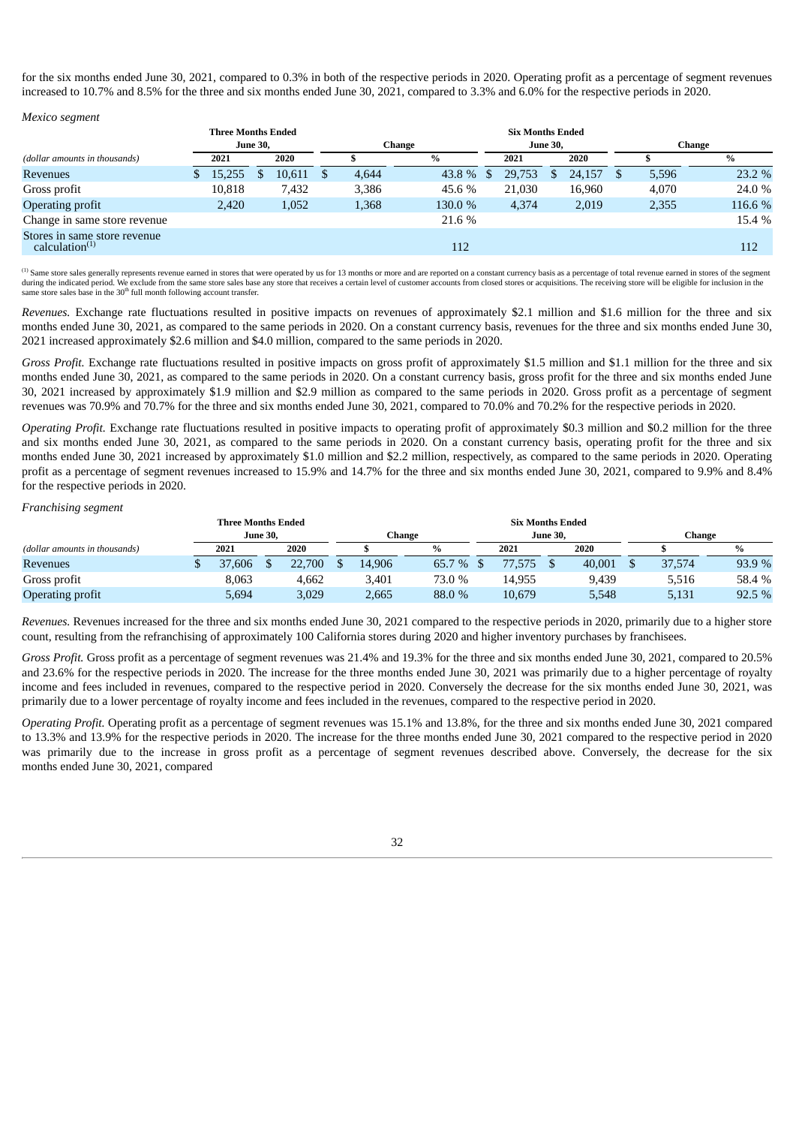for the six months ended June 30, 2021, compared to 0.3% in both of the respective periods in 2020. Operating profit as a percentage of segment revenues increased to 10.7% and 8.5% for the three and six months ended June 30, 2021, compared to 3.3% and 6.0% for the respective periods in 2020.

*Mexico segment*

|                                                         | <b>Six Months Ended</b> |                 |        |  |        |  |               |  |        |                 |        |        |       |  |         |
|---------------------------------------------------------|-------------------------|-----------------|--------|--|--------|--|---------------|--|--------|-----------------|--------|--------|-------|--|---------|
|                                                         |                         | <b>June 30,</b> |        |  | Change |  |               |  |        | <b>June 30,</b> |        | Change |       |  |         |
| (dollar amounts in thousands)                           | 2021                    |                 | 2020   |  |        |  | $\frac{9}{6}$ |  | 2021   |                 | 2020   |        |       |  | $\%$    |
| Revenues                                                | 15,255                  |                 | 10,611 |  | 4,644  |  | 43.8 %        |  | 29,753 |                 | 24,157 |        | 5,596 |  | 23.2 %  |
| Gross profit                                            | 10.818                  |                 | 7,432  |  | 3,386  |  | 45.6 %        |  | 21,030 |                 | 16,960 |        | 4,070 |  | 24.0 %  |
| Operating profit                                        | 2.420                   |                 | 1,052  |  | 1,368  |  | 130.0 %       |  | 4.374  |                 | 2,019  |        | 2,355 |  | 116.6 % |
| Change in same store revenue                            |                         |                 |        |  |        |  | 21.6 %        |  |        |                 |        |        |       |  | 15.4 %  |
| Stores in same store revenue<br>$cal$ calculation $(1)$ |                         |                 |        |  |        |  | 112           |  |        |                 |        |        |       |  | 112     |

 $^{(1)}$  Same store sales generally represents revenue earned in stores that were operated by us for 13 months or more and are reported on a constant currency basis as a percentage of total revenue earned in stores of the s during the indicated period. We exclude from the same store sales base any store that receives a certain level of customer accounts from closed stores or acquisitions. The receiving store will be eligible for inclusion in same store sales base in the 30<sup>th</sup> full month following account transfer.

*Revenues.* Exchange rate fluctuations resulted in positive impacts on revenues of approximately \$2.1 million and \$1.6 million for the three and six months ended June 30, 2021, as compared to the same periods in 2020. On a constant currency basis, revenues for the three and six months ended June 30, 2021 increased approximately \$2.6 million and \$4.0 million, compared to the same periods in 2020.

*Gross Profit.* Exchange rate fluctuations resulted in positive impacts on gross profit of approximately \$1.5 million and \$1.1 million for the three and six months ended June 30, 2021, as compared to the same periods in 2020. On a constant currency basis, gross profit for the three and six months ended June 30, 2021 increased by approximately \$1.9 million and \$2.9 million as compared to the same periods in 2020. Gross profit as a percentage of segment revenues was 70.9% and 70.7% for the three and six months ended June 30, 2021, compared to 70.0% and 70.2% for the respective periods in 2020.

*Operating Profit.* Exchange rate fluctuations resulted in positive impacts to operating profit of approximately \$0.3 million and \$0.2 million for the three and six months ended June 30, 2021, as compared to the same periods in 2020. On a constant currency basis, operating profit for the three and six months ended June 30, 2021 increased by approximately \$1.0 million and \$2.2 million, respectively, as compared to the same periods in 2020. Operating profit as a percentage of segment revenues increased to 15.9% and 14.7% for the three and six months ended June 30, 2021, compared to 9.9% and 8.4% for the respective periods in 2020.

#### *Franchising segment*

|                               | <b>Three Months Ended</b> |                 |        |        |        |   | <b>Six Months Ended</b> |  |        |                 |        |  |               |        |  |
|-------------------------------|---------------------------|-----------------|--------|--------|--------|---|-------------------------|--|--------|-----------------|--------|--|---------------|--------|--|
|                               |                           | <b>June 30.</b> |        | Change |        |   |                         |  |        | <b>June 30.</b> |        |  | <b>Change</b> |        |  |
| (dollar amounts in thousands) | 2021                      |                 | 2020   |        |        | % |                         |  | 2021   |                 | 2020   |  |               | %      |  |
| <b>Revenues</b>               | 37,606                    |                 | 22,700 |        | 14.906 |   | 65.7 %                  |  | 77.575 |                 | 40,001 |  | 37,574        | 93.9 % |  |
| Gross profit                  | 8,063                     |                 | 4,662  |        | 3,401  |   | 73.0 %                  |  | 14,955 |                 | 9,439  |  | 5,516         | 58.4 % |  |
| Operating profit              | 5,694                     |                 | 3,029  |        | 2,665  |   | 88.0 %                  |  | 10,679 |                 | 5,548  |  | 5,131         | 92.5 % |  |

*Revenues.* Revenues increased for the three and six months ended June 30, 2021 compared to the respective periods in 2020, primarily due to a higher store count, resulting from the refranchising of approximately 100 California stores during 2020 and higher inventory purchases by franchisees.

*Gross Profit.* Gross profit as a percentage of segment revenues was 21.4% and 19.3% for the three and six months ended June 30, 2021, compared to 20.5% and 23.6% for the respective periods in 2020. The increase for the three months ended June 30, 2021 was primarily due to a higher percentage of royalty income and fees included in revenues, compared to the respective period in 2020. Conversely the decrease for the six months ended June 30, 2021, was primarily due to a lower percentage of royalty income and fees included in the revenues, compared to the respective period in 2020.

*Operating Profit.* Operating profit as a percentage of segment revenues was 15.1% and 13.8%, for the three and six months ended June 30, 2021 compared to 13.3% and 13.9% for the respective periods in 2020. The increase for the three months ended June 30, 2021 compared to the respective period in 2020 was primarily due to the increase in gross profit as a percentage of segment revenues described above. Conversely, the decrease for the six months ended June 30, 2021, compared

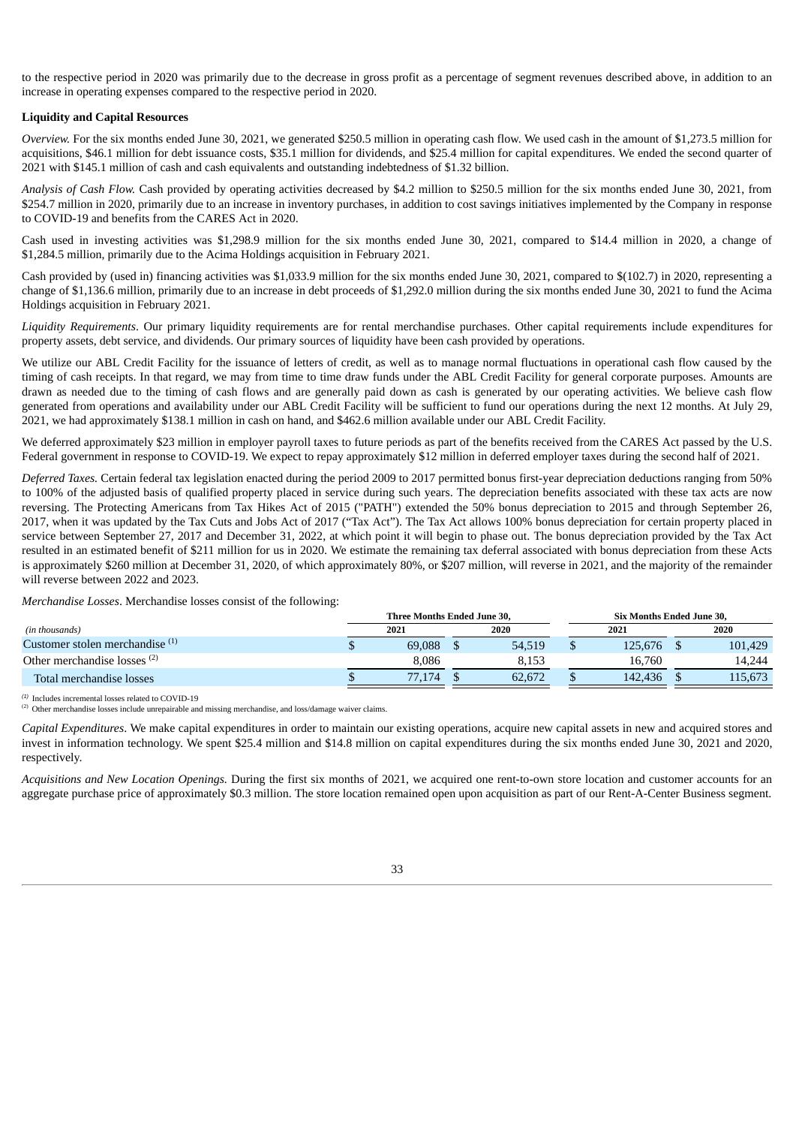to the respective period in 2020 was primarily due to the decrease in gross profit as a percentage of segment revenues described above, in addition to an increase in operating expenses compared to the respective period in 2020.

#### **Liquidity and Capital Resources**

*Overview.* For the six months ended June 30, 2021, we generated \$250.5 million in operating cash flow. We used cash in the amount of \$1,273.5 million for acquisitions, \$46.1 million for debt issuance costs, \$35.1 million for dividends, and \$25.4 million for capital expenditures. We ended the second quarter of 2021 with \$145.1 million of cash and cash equivalents and outstanding indebtedness of \$1.32 billion.

*Analysis of Cash Flow.* Cash provided by operating activities decreased by \$4.2 million to \$250.5 million for the six months ended June 30, 2021, from \$254.7 million in 2020, primarily due to an increase in inventory purchases, in addition to cost savings initiatives implemented by the Company in response to COVID-19 and benefits from the CARES Act in 2020.

Cash used in investing activities was \$1,298.9 million for the six months ended June 30, 2021, compared to \$14.4 million in 2020, a change of \$1,284.5 million, primarily due to the Acima Holdings acquisition in February 2021.

Cash provided by (used in) financing activities was \$1,033.9 million for the six months ended June 30, 2021, compared to \$(102.7) in 2020, representing a change of \$1,136.6 million, primarily due to an increase in debt proceeds of \$1,292.0 million during the six months ended June 30, 2021 to fund the Acima Holdings acquisition in February 2021.

*Liquidity Requirements*. Our primary liquidity requirements are for rental merchandise purchases. Other capital requirements include expenditures for property assets, debt service, and dividends. Our primary sources of liquidity have been cash provided by operations.

We utilize our ABL Credit Facility for the issuance of letters of credit, as well as to manage normal fluctuations in operational cash flow caused by the timing of cash receipts. In that regard, we may from time to time draw funds under the ABL Credit Facility for general corporate purposes. Amounts are drawn as needed due to the timing of cash flows and are generally paid down as cash is generated by our operating activities. We believe cash flow generated from operations and availability under our ABL Credit Facility will be sufficient to fund our operations during the next 12 months. At July 29, 2021, we had approximately \$138.1 million in cash on hand, and \$462.6 million available under our ABL Credit Facility.

We deferred approximately \$23 million in employer payroll taxes to future periods as part of the benefits received from the CARES Act passed by the U.S. Federal government in response to COVID-19. We expect to repay approximately \$12 million in deferred employer taxes during the second half of 2021.

*Deferred Taxes.* Certain federal tax legislation enacted during the period 2009 to 2017 permitted bonus first-year depreciation deductions ranging from 50% to 100% of the adjusted basis of qualified property placed in service during such years. The depreciation benefits associated with these tax acts are now reversing. The Protecting Americans from Tax Hikes Act of 2015 ("PATH") extended the 50% bonus depreciation to 2015 and through September 26, 2017, when it was updated by the Tax Cuts and Jobs Act of 2017 ("Tax Act"). The Tax Act allows 100% bonus depreciation for certain property placed in service between September 27, 2017 and December 31, 2022, at which point it will begin to phase out. The bonus depreciation provided by the Tax Act resulted in an estimated benefit of \$211 million for us in 2020. We estimate the remaining tax deferral associated with bonus depreciation from these Acts is approximately \$260 million at December 31, 2020, of which approximately 80%, or \$207 million, will reverse in 2021, and the majority of the remainder will reverse between 2022 and 2023.

*Merchandise Losses*. Merchandise losses consist of the following:

|                                            | Three Months Ended June 30.<br>Six Months Ended June 30. |        |  |        |      |         |  |         |  |  |
|--------------------------------------------|----------------------------------------------------------|--------|--|--------|------|---------|--|---------|--|--|
| (in thousands)                             | 2021                                                     |        |  | 2020   | 2021 |         |  | 2020    |  |  |
| Customer stolen merchandise <sup>(1)</sup> |                                                          | 69.088 |  | 54,519 |      | 125.676 |  | 101,429 |  |  |
| Other merchandise losses <sup>(2)</sup>    |                                                          | 8.086  |  | 8,153  |      | 16.760  |  | 14.244  |  |  |
| Total merchandise losses                   |                                                          | 77,174 |  | 62,672 |      | 142.436 |  | 115,673 |  |  |

<sup>(1)</sup> Includes incremental losses related to COVID-19

 $(2)$  Other merchandise losses include unrepairable and missing merchandise, and loss/damage waiver claims.

*Capital Expenditures*. We make capital expenditures in order to maintain our existing operations, acquire new capital assets in new and acquired stores and invest in information technology. We spent \$25.4 million and \$14.8 million on capital expenditures during the six months ended June 30, 2021 and 2020, respectively.

*Acquisitions and New Location Openings.* During the first six months of 2021, we acquired one rent-to-own store location and customer accounts for an aggregate purchase price of approximately \$0.3 million. The store location remained open upon acquisition as part of our Rent-A-Center Business segment.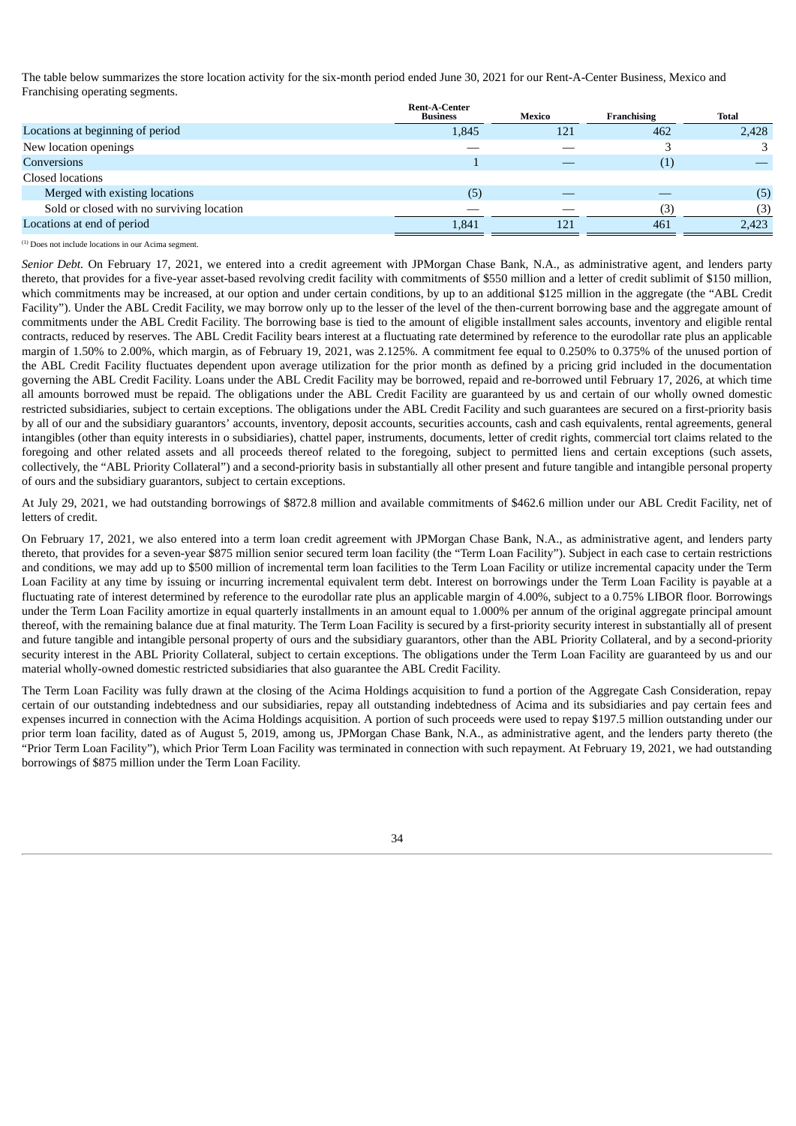The table below summarizes the store location activity for the six-month period ended June 30, 2021 for our Rent-A-Center Business, Mexico and Franchising operating segments.

| <b>Business</b> | Mexico               | Franchising       | <b>Total</b> |
|-----------------|----------------------|-------------------|--------------|
| 1,845           | 121                  | 462               | 2,428        |
|                 |                      |                   |              |
|                 |                      | $\left( 1\right)$ |              |
|                 |                      |                   |              |
| (5)             |                      |                   | (5)          |
|                 |                      | (3)               | (3)          |
| 1,841           | 121                  | 461               | 2,423        |
|                 | <b>Rent-A-Center</b> |                   |              |

 $<sup>(1)</sup>$  Does not include locations in our Acima segment.</sup>

*Senior Debt.* On February 17, 2021, we entered into a credit agreement with JPMorgan Chase Bank, N.A., as administrative agent, and lenders party thereto, that provides for a five-year asset-based revolving credit facility with commitments of \$550 million and a letter of credit sublimit of \$150 million, which commitments may be increased, at our option and under certain conditions, by up to an additional \$125 million in the aggregate (the "ABL Credit Facility"). Under the ABL Credit Facility, we may borrow only up to the lesser of the level of the then-current borrowing base and the aggregate amount of commitments under the ABL Credit Facility. The borrowing base is tied to the amount of eligible installment sales accounts, inventory and eligible rental contracts, reduced by reserves. The ABL Credit Facility bears interest at a fluctuating rate determined by reference to the eurodollar rate plus an applicable margin of 1.50% to 2.00%, which margin, as of February 19, 2021, was 2.125%. A commitment fee equal to 0.250% to 0.375% of the unused portion of the ABL Credit Facility fluctuates dependent upon average utilization for the prior month as defined by a pricing grid included in the documentation governing the ABL Credit Facility. Loans under the ABL Credit Facility may be borrowed, repaid and re-borrowed until February 17, 2026, at which time all amounts borrowed must be repaid. The obligations under the ABL Credit Facility are guaranteed by us and certain of our wholly owned domestic restricted subsidiaries, subject to certain exceptions. The obligations under the ABL Credit Facility and such guarantees are secured on a first-priority basis by all of our and the subsidiary guarantors' accounts, inventory, deposit accounts, securities accounts, cash and cash equivalents, rental agreements, general intangibles (other than equity interests in o subsidiaries), chattel paper, instruments, documents, letter of credit rights, commercial tort claims related to the foregoing and other related assets and all proceeds thereof related to the foregoing, subject to permitted liens and certain exceptions (such assets, collectively, the "ABL Priority Collateral") and a second-priority basis in substantially all other present and future tangible and intangible personal property of ours and the subsidiary guarantors, subject to certain exceptions.

At July 29, 2021, we had outstanding borrowings of \$872.8 million and available commitments of \$462.6 million under our ABL Credit Facility, net of letters of credit.

On February 17, 2021, we also entered into a term loan credit agreement with JPMorgan Chase Bank, N.A., as administrative agent, and lenders party thereto, that provides for a seven-year \$875 million senior secured term loan facility (the "Term Loan Facility"). Subject in each case to certain restrictions and conditions, we may add up to \$500 million of incremental term loan facilities to the Term Loan Facility or utilize incremental capacity under the Term Loan Facility at any time by issuing or incurring incremental equivalent term debt. Interest on borrowings under the Term Loan Facility is payable at a fluctuating rate of interest determined by reference to the eurodollar rate plus an applicable margin of 4.00%, subject to a 0.75% LIBOR floor. Borrowings under the Term Loan Facility amortize in equal quarterly installments in an amount equal to 1.000% per annum of the original aggregate principal amount thereof, with the remaining balance due at final maturity. The Term Loan Facility is secured by a first-priority security interest in substantially all of present and future tangible and intangible personal property of ours and the subsidiary guarantors, other than the ABL Priority Collateral, and by a second-priority security interest in the ABL Priority Collateral, subject to certain exceptions. The obligations under the Term Loan Facility are guaranteed by us and our material wholly-owned domestic restricted subsidiaries that also guarantee the ABL Credit Facility.

The Term Loan Facility was fully drawn at the closing of the Acima Holdings acquisition to fund a portion of the Aggregate Cash Consideration, repay certain of our outstanding indebtedness and our subsidiaries, repay all outstanding indebtedness of Acima and its subsidiaries and pay certain fees and expenses incurred in connection with the Acima Holdings acquisition. A portion of such proceeds were used to repay \$197.5 million outstanding under our prior term loan facility, dated as of August 5, 2019, among us, JPMorgan Chase Bank, N.A., as administrative agent, and the lenders party thereto (the "Prior Term Loan Facility"), which Prior Term Loan Facility was terminated in connection with such repayment. At February 19, 2021, we had outstanding borrowings of \$875 million under the Term Loan Facility.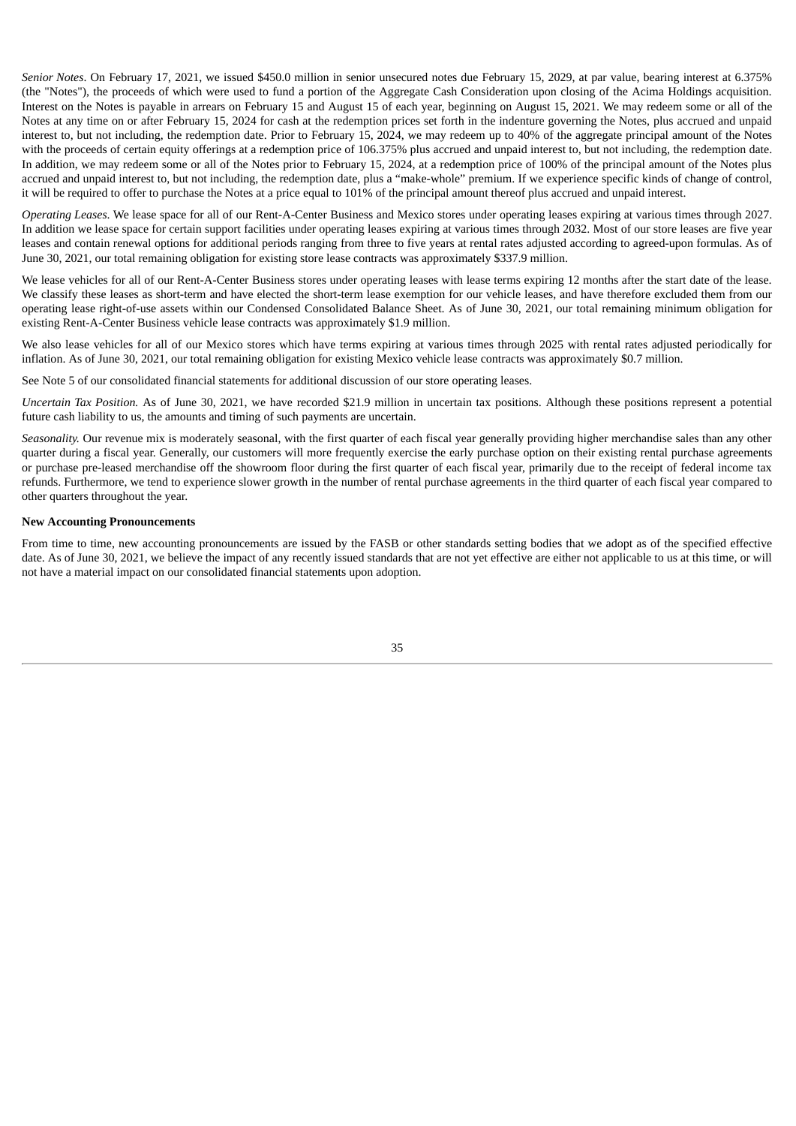*Senior Notes*. On February 17, 2021, we issued \$450.0 million in senior unsecured notes due February 15, 2029, at par value, bearing interest at 6.375% (the "Notes"), the proceeds of which were used to fund a portion of the Aggregate Cash Consideration upon closing of the Acima Holdings acquisition. Interest on the Notes is payable in arrears on February 15 and August 15 of each year, beginning on August 15, 2021. We may redeem some or all of the Notes at any time on or after February 15, 2024 for cash at the redemption prices set forth in the indenture governing the Notes, plus accrued and unpaid interest to, but not including, the redemption date. Prior to February 15, 2024, we may redeem up to 40% of the aggregate principal amount of the Notes with the proceeds of certain equity offerings at a redemption price of 106.375% plus accrued and unpaid interest to, but not including, the redemption date. In addition, we may redeem some or all of the Notes prior to February 15, 2024, at a redemption price of 100% of the principal amount of the Notes plus accrued and unpaid interest to, but not including, the redemption date, plus a "make-whole" premium. If we experience specific kinds of change of control, it will be required to offer to purchase the Notes at a price equal to 101% of the principal amount thereof plus accrued and unpaid interest.

*Operating Leases*. We lease space for all of our Rent-A-Center Business and Mexico stores under operating leases expiring at various times through 2027. In addition we lease space for certain support facilities under operating leases expiring at various times through 2032. Most of our store leases are five year leases and contain renewal options for additional periods ranging from three to five years at rental rates adjusted according to agreed-upon formulas. As of June 30, 2021, our total remaining obligation for existing store lease contracts was approximately \$337.9 million.

We lease vehicles for all of our Rent-A-Center Business stores under operating leases with lease terms expiring 12 months after the start date of the lease. We classify these leases as short-term and have elected the short-term lease exemption for our vehicle leases, and have therefore excluded them from our operating lease right-of-use assets within our Condensed Consolidated Balance Sheet. As of June 30, 2021, our total remaining minimum obligation for existing Rent-A-Center Business vehicle lease contracts was approximately \$1.9 million.

We also lease vehicles for all of our Mexico stores which have terms expiring at various times through 2025 with rental rates adjusted periodically for inflation. As of June 30, 2021, our total remaining obligation for existing Mexico vehicle lease contracts was approximately \$0.7 million.

See Note 5 of our consolidated financial statements for additional discussion of our store operating leases.

*Uncertain Tax Position.* As of June 30, 2021, we have recorded \$21.9 million in uncertain tax positions. Although these positions represent a potential future cash liability to us, the amounts and timing of such payments are uncertain.

*Seasonality.* Our revenue mix is moderately seasonal, with the first quarter of each fiscal year generally providing higher merchandise sales than any other quarter during a fiscal year. Generally, our customers will more frequently exercise the early purchase option on their existing rental purchase agreements or purchase pre-leased merchandise off the showroom floor during the first quarter of each fiscal year, primarily due to the receipt of federal income tax refunds. Furthermore, we tend to experience slower growth in the number of rental purchase agreements in the third quarter of each fiscal year compared to other quarters throughout the year.

#### **New Accounting Pronouncements**

<span id="page-36-0"></span>From time to time, new accounting pronouncements are issued by the FASB or other standards setting bodies that we adopt as of the specified effective date. As of June 30, 2021, we believe the impact of any recently issued standards that are not yet effective are either not applicable to us at this time, or will not have a material impact on our consolidated financial statements upon adoption.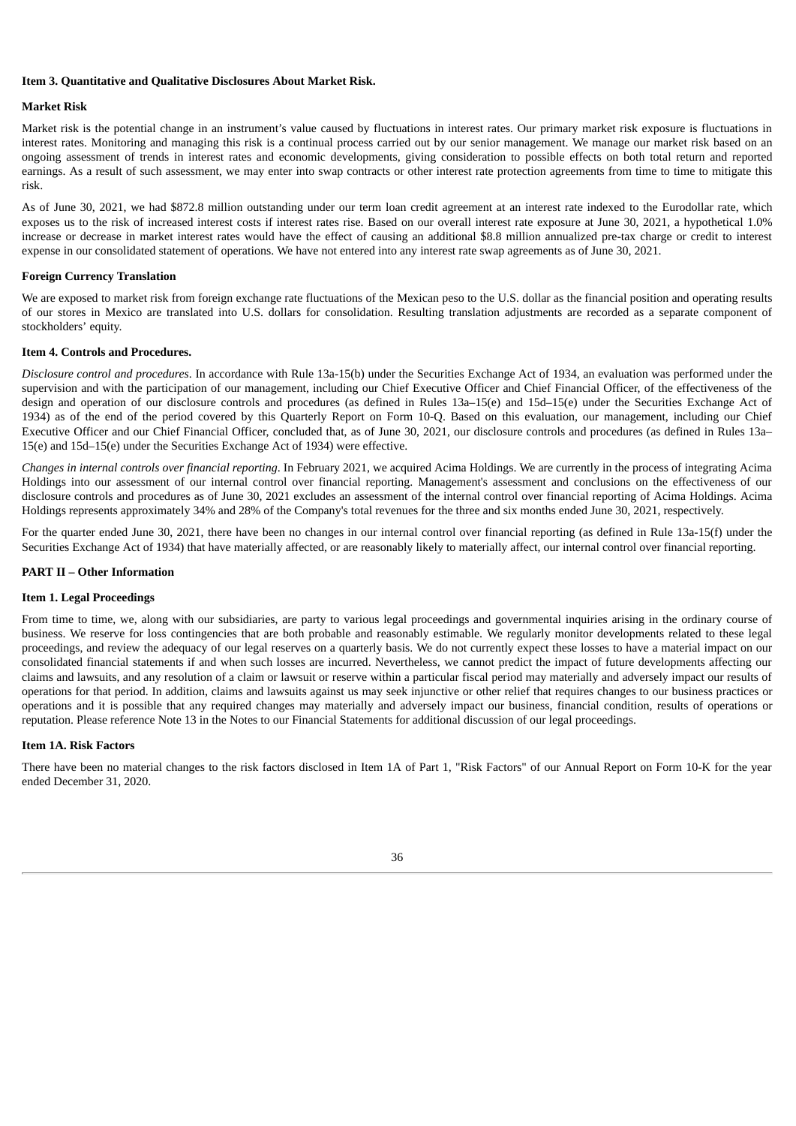#### **Item 3. Quantitative and Qualitative Disclosures About Market Risk.**

#### **Market Risk**

Market risk is the potential change in an instrument's value caused by fluctuations in interest rates. Our primary market risk exposure is fluctuations in interest rates. Monitoring and managing this risk is a continual process carried out by our senior management. We manage our market risk based on an ongoing assessment of trends in interest rates and economic developments, giving consideration to possible effects on both total return and reported earnings. As a result of such assessment, we may enter into swap contracts or other interest rate protection agreements from time to time to mitigate this risk.

As of June 30, 2021, we had \$872.8 million outstanding under our term loan credit agreement at an interest rate indexed to the Eurodollar rate, which exposes us to the risk of increased interest costs if interest rates rise. Based on our overall interest rate exposure at June 30, 2021, a hypothetical 1.0% increase or decrease in market interest rates would have the effect of causing an additional \$8.8 million annualized pre-tax charge or credit to interest expense in our consolidated statement of operations. We have not entered into any interest rate swap agreements as of June 30, 2021.

#### **Foreign Currency Translation**

We are exposed to market risk from foreign exchange rate fluctuations of the Mexican peso to the U.S. dollar as the financial position and operating results of our stores in Mexico are translated into U.S. dollars for consolidation. Resulting translation adjustments are recorded as a separate component of stockholders' equity.

#### <span id="page-37-0"></span>**Item 4. Controls and Procedures.**

*Disclosure control and procedures*. In accordance with Rule 13a-15(b) under the Securities Exchange Act of 1934, an evaluation was performed under the supervision and with the participation of our management, including our Chief Executive Officer and Chief Financial Officer, of the effectiveness of the design and operation of our disclosure controls and procedures (as defined in Rules 13a–15(e) and 15d–15(e) under the Securities Exchange Act of 1934) as of the end of the period covered by this Quarterly Report on Form 10-Q. Based on this evaluation, our management, including our Chief Executive Officer and our Chief Financial Officer, concluded that, as of June 30, 2021, our disclosure controls and procedures (as defined in Rules 13a– 15(e) and 15d–15(e) under the Securities Exchange Act of 1934) were effective.

*Changes in internal controls over financial reporting*. In February 2021, we acquired Acima Holdings. We are currently in the process of integrating Acima Holdings into our assessment of our internal control over financial reporting. Management's assessment and conclusions on the effectiveness of our disclosure controls and procedures as of June 30, 2021 excludes an assessment of the internal control over financial reporting of Acima Holdings. Acima Holdings represents approximately 34% and 28% of the Company's total revenues for the three and six months ended June 30, 2021, respectively.

For the quarter ended June 30, 2021, there have been no changes in our internal control over financial reporting (as defined in Rule 13a-15(f) under the Securities Exchange Act of 1934) that have materially affected, or are reasonably likely to materially affect, our internal control over financial reporting.

#### <span id="page-37-1"></span>**PART II – Other Information**

#### <span id="page-37-2"></span>**Item 1. Legal Proceedings**

From time to time, we, along with our subsidiaries, are party to various legal proceedings and governmental inquiries arising in the ordinary course of business. We reserve for loss contingencies that are both probable and reasonably estimable. We regularly monitor developments related to these legal proceedings, and review the adequacy of our legal reserves on a quarterly basis. We do not currently expect these losses to have a material impact on our consolidated financial statements if and when such losses are incurred. Nevertheless, we cannot predict the impact of future developments affecting our claims and lawsuits, and any resolution of a claim or lawsuit or reserve within a particular fiscal period may materially and adversely impact our results of operations for that period. In addition, claims and lawsuits against us may seek injunctive or other relief that requires changes to our business practices or operations and it is possible that any required changes may materially and adversely impact our business, financial condition, results of operations or reputation. Please reference Note 13 in the Notes to our Financial Statements for additional discussion of our legal proceedings.

#### <span id="page-37-3"></span>**Item 1A. Risk Factors**

<span id="page-37-4"></span>There have been no material changes to the risk factors disclosed in Item 1A of Part 1, "Risk Factors" of our Annual Report on Form 10-K for the year ended December 31, 2020.

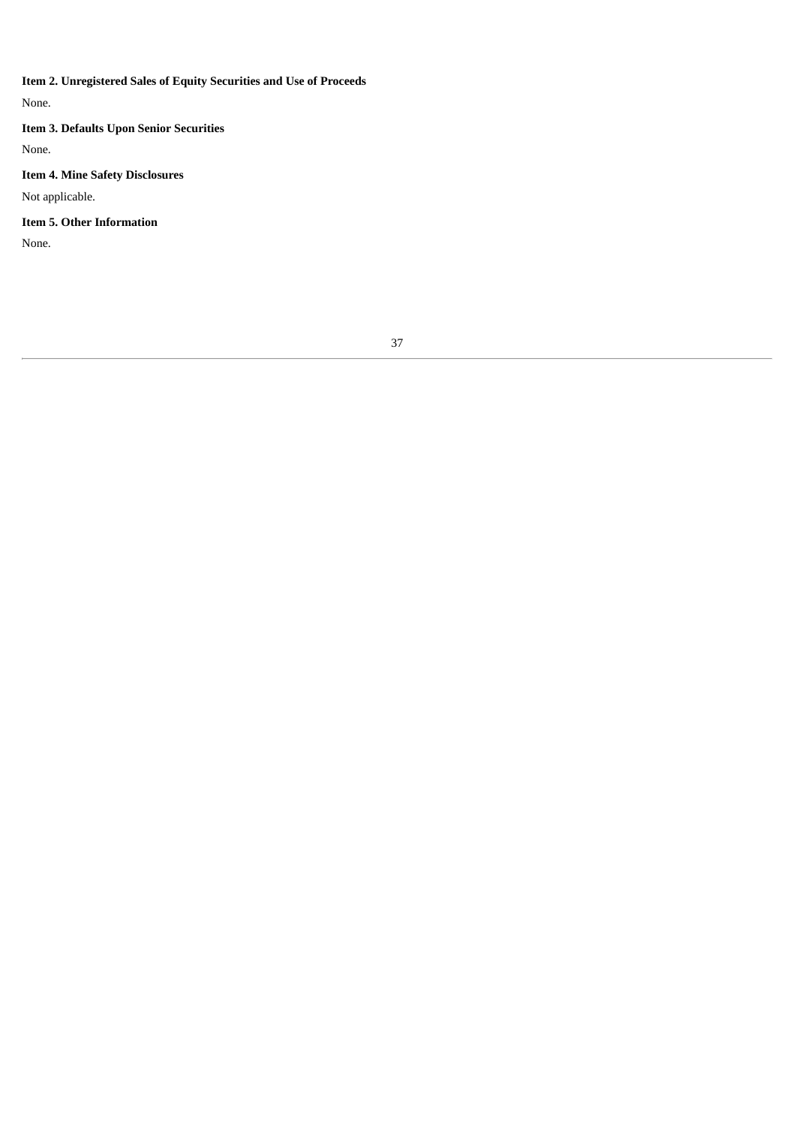## **Item 2. Unregistered Sales of Equity Securities and Use of Proceeds**

None.

## <span id="page-38-0"></span>**Item 3. Defaults Upon Senior Securities**

None.

## <span id="page-38-1"></span>**Item 4. Mine Safety Disclosures**

Not applicable.

## <span id="page-38-2"></span>**Item 5. Other Information**

<span id="page-38-3"></span>None.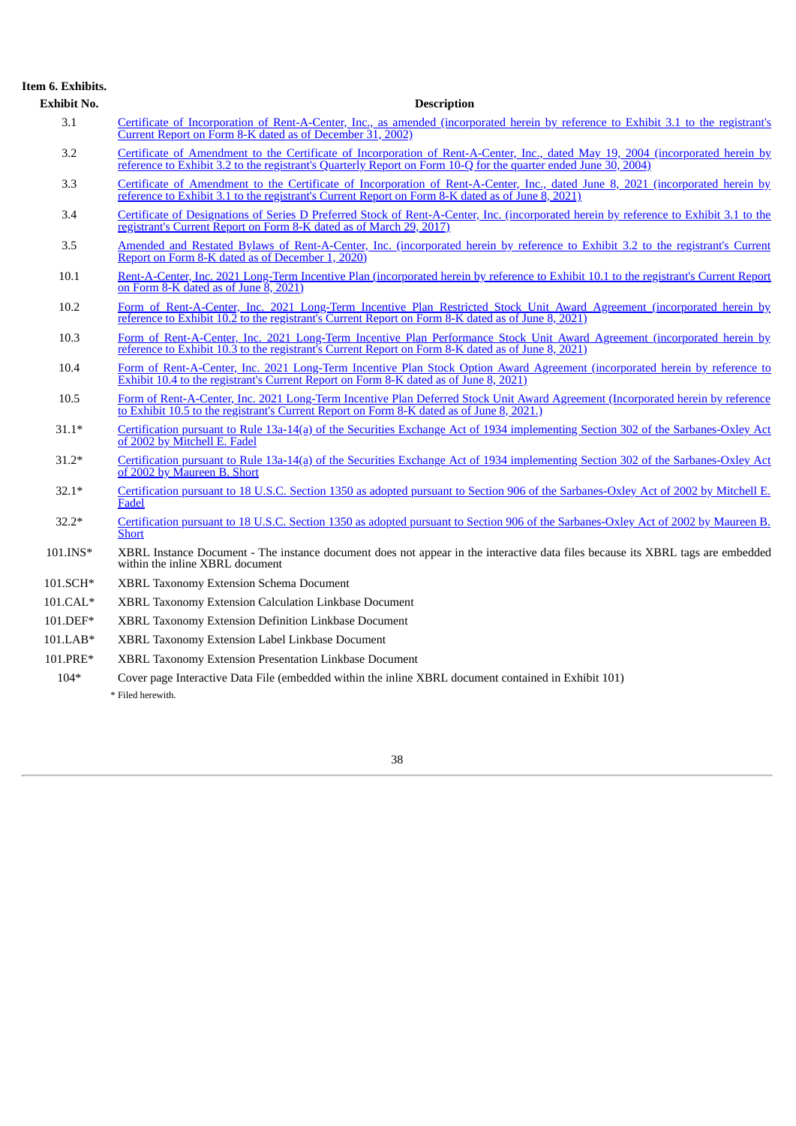#### **Item 6. Exhibits.**

#### **Exhibit No. Description**

#### 3.1 Certificate of Incorporation of [Rent-A-Center,](http://www.sec.gov/Archives/edgar/data/933036/000095013402016210/d02215exv3w1.txt) Inc., as amended (incorporated herein by reference to Exhibit 3.1 to the registrant's Current Report on Form 8-K dated as of December 31, 2002)

- 3.2 Certificate of Amendment to the Certificate of Incorporation of [Rent-A-Center,](http://www.sec.gov/Archives/edgar/data/933036/000095013404010948/d17068exv3w2.txt) Inc., dated May 19, 2004 (incorporated herein by reference to Exhibit 3.2 to the registrant's Quarterly Report on Form 10-Q for the quarter ended June 30, 2004)
- 3.3 Certificate of Amendment to the Certificate of Incorporation of [Rent-A-Center,](http://www.sec.gov/Archives/edgar/data/0000933036/000110465921078652/tm2119045d1_ex3-1.htm) Inc., dated June 8, [2021](http://www.sec.gov/Archives/edgar/data/0000933036/000110465921078652/tm2119045d1_ex3-1.htm) (incorporated herein by reference to Exhibit 3[.1](http://www.sec.gov/Archives/edgar/data/0000933036/000110465921078652/tm2119045d1_ex3-1.htm) to the [registrant's](http://www.sec.gov/Archives/edgar/data/0000933036/000110465921078652/tm2119045d1_ex3-1.htm) [Current](http://www.sec.gov/Archives/edgar/data/0000933036/000110465921078652/tm2119045d1_ex3-1.htm) Report on [Form](http://www.sec.gov/Archives/edgar/data/0000933036/000110465921078652/tm2119045d1_ex3-1.htm) [8-K](http://www.sec.gov/Archives/edgar/data/0000933036/000110465921078652/tm2119045d1_ex3-1.htm) [dated](http://www.sec.gov/Archives/edgar/data/0000933036/000110465921078652/tm2119045d1_ex3-1.htm) as of June 8, [2021\)](http://www.sec.gov/Archives/edgar/data/0000933036/000110465921078652/tm2119045d1_ex3-1.htm)
- 3.4 Certificate of Designations of Series D Preferred Stock of [Rent-A-Center,](http://www.sec.gov/Archives/edgar/data/933036/000093303617000022/exhibit31march282017america.htm) Inc. (incorporated herein by reference to Exhibit 3.1 to the registrant's Current Report on Form 8-K dated as of March 29, 2017)
- 3.5 Amended and Restated Bylaws of [Rent-A-Center,](http://www.sec.gov/Archives/edgar/data/933036/000093303620000119/ex-32amendedandrestate.htm) Inc. (incorporated herein by reference to Exhibit 3.2 to the registrant's Current Report on Form 8-K dated as of December 1, 2020[\)](http://www.sec.gov/Archives/edgar/data/933036/000093303620000119/ex-32amendedandrestate.htm)
- 10.1 [Rent-A-Center,](http://www.sec.gov/Archives/edgar/data/0000933036/000110465921078652/tm2119045d1_ex10-1.htm) Inc. 2021 Long-Term Incentive Plan [\(i](http://www.sec.gov/Archives/edgar/data/0000933036/000110465921078652/tm2119045d1_ex10-1.htm)ncorporated herein by reference to Exhibit 10.1 to the registrant's Current Report on Form 8-K dated as of June 8, 202[1\)](http://www.sec.gov/Archives/edgar/data/0000933036/000110465921078652/tm2119045d1_ex10-1.htm)
- 10.2 Form of [Rent-A-Center,](http://www.sec.gov/Archives/edgar/data/0000933036/000110465921078652/tm2119045d1_ex10-2.htm) Inc. 2021 Long-Term Incentive Plan Restricted Stock Unit Award Agreement [\(in](http://www.sec.gov/Archives/edgar/data/0000933036/000110465921078652/tm2119045d1_ex10-2.htm)corporated herein by reference to Exhibit 10[.2](http://www.sec.gov/Archives/edgar/data/0000933036/000110465921078652/tm2119045d1_ex10-2.htm) to the [registrant's](http://www.sec.gov/Archives/edgar/data/0000933036/000110465921078652/tm2119045d1_ex10-2.htm) Current Report on Form 8-K dated as of June 8, 202[1\)](http://www.sec.gov/Archives/edgar/data/0000933036/000110465921078652/tm2119045d1_ex10-2.htm)
- 10.3 Form of [Rent-A-Center,](http://www.sec.gov/Archives/edgar/data/0000933036/000110465921078652/tm2119045d1_ex10-3.htm) Inc. 2021 Long-Term Incent[i](http://www.sec.gov/Archives/edgar/data/0000933036/000110465921078652/tm2119045d1_ex10-3.htm)ve Plan Performance Stock Unit Award Agreement (incorporated herein by reference to Exhibit 10.3 to the registrant's Current Report on Form 8-K dated as of June 8, 202[1\)](http://www.sec.gov/Archives/edgar/data/0000933036/000110465921078652/tm2119045d1_ex10-3.htm)
- 10.4 Form of [Rent-A-Center,](http://www.sec.gov/Archives/edgar/data/0000933036/000110465921078652/tm2119045d1_ex10-4.htm) Inc. 2021 Long-Term Incentive Plan Stock Option Award Agreement ([i](http://www.sec.gov/Archives/edgar/data/0000933036/000110465921078652/tm2119045d1_ex10-4.htm)ncorporated herein by reference to Exhibit 10.4 to the registrant's Current Report on Form 8-K dated as of June 8, 2021[\)](http://www.sec.gov/Archives/edgar/data/0000933036/000110465921078652/tm2119045d1_ex10-4.htm)
- 10.5 Form of [Rent-A-Center,](http://www.sec.gov/Archives/edgar/data/0000933036/000110465921078652/tm2119045d1_ex10-5.htm) Inc. 2021 Long-Term Incentive Plan Deferred Stock Unit Award Agreement (Incorporated herein by reference to Exhibit 10.5 to the registrant's Current Report on Form 8-K dated as of June 8, 2021.)
- 31.1\* Certification pursuant to Rule 13a-14(a) of the Securities Exchange Act of 1934 implementing Section 302 of the [Sarbanes-Oxley](#page-41-0) Act of 2002 by Mitchell E. Fadel
- 31.2\* Certification pursuant to Rule 13a-14(a) of the Securities Exchange Act of 1934 implementing Section 302 of the [Sarbanes-Oxley](#page-42-0) Act of 2002 by Maureen B. Short
- 32.1\* Certification pursuant to 18 U.S.C. Section 1350 as adopted pursuant to Section 906 of the [Sarbanes-Oxley](#page-43-0) Act of 2002 by Mitchell E. Fadel
- 32.2\* Certification pursuant to 18 U.S.C. Section 1350 as adopted pursuant to Section 906 of the [Sarbanes-Oxley](#page-44-0) Act of 2002 by Maureen B. **Short**
- 101.INS\* XBRL Instance Document The instance document does not appear in the interactive data files because its XBRL tags are embedded within the inline XBRL document
- 101.SCH\* XBRL Taxonomy Extension Schema Document
- 101.CAL\* XBRL Taxonomy Extension Calculation Linkbase Document
- 101.DEF\* XBRL Taxonomy Extension Definition Linkbase Document
- 101.LAB\* XBRL Taxonomy Extension Label Linkbase Document
- <span id="page-39-0"></span>101.PRE\* XBRL Taxonomy Extension Presentation Linkbase Document
	- 104\* Cover page Interactive Data File (embedded within the inline XBRL document contained in Exhibit 101)
		- \* Filed herewith.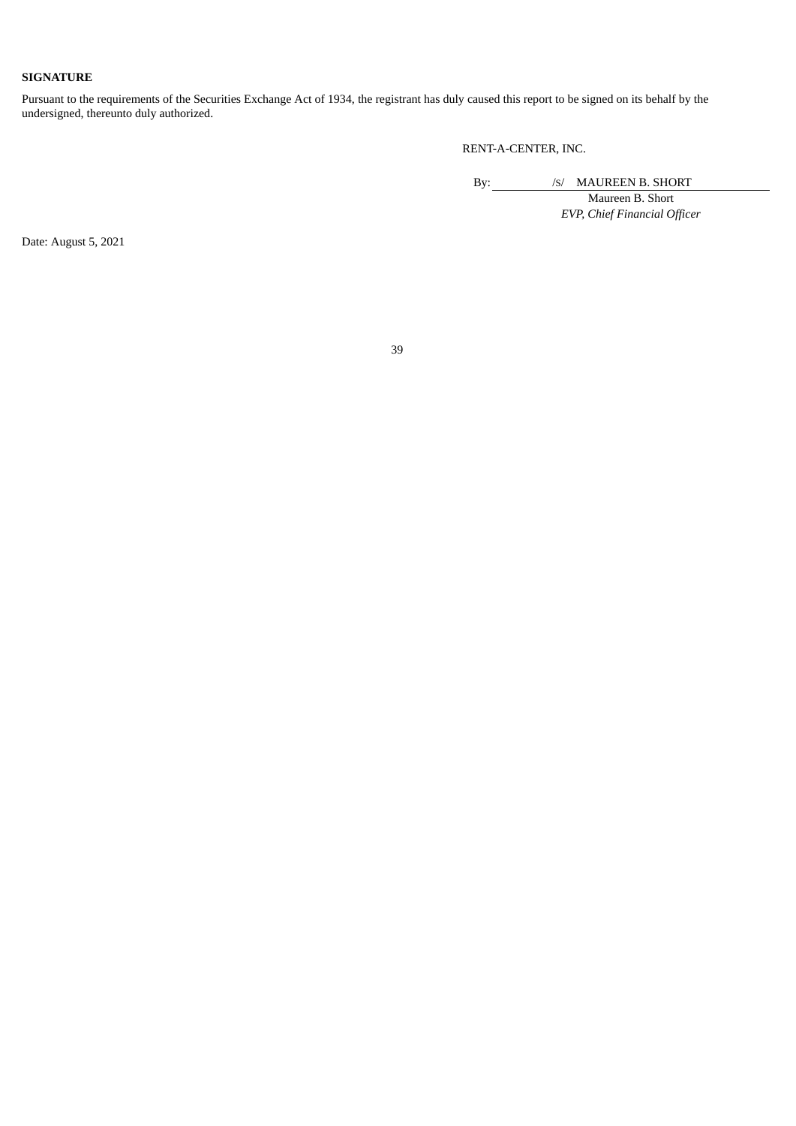#### **SIGNATURE**

Pursuant to the requirements of the Securities Exchange Act of 1934, the registrant has duly caused this report to be signed on its behalf by the undersigned, thereunto duly authorized.

RENT-A-CENTER, INC.

By: /S/ MAUREEN B. SHORT Maureen B. Short *EVP, Chief Financial Officer*

Date: August 5, 2021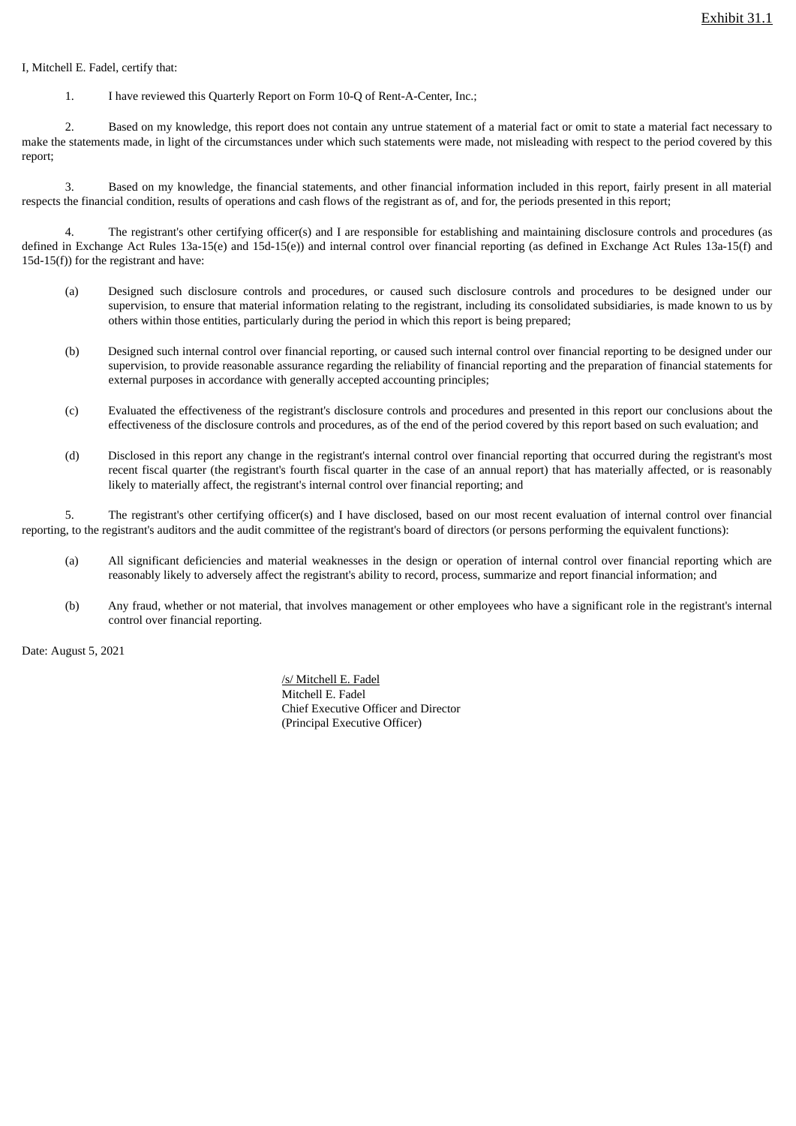#### <span id="page-41-0"></span>I, Mitchell E. Fadel, certify that:

1. I have reviewed this Quarterly Report on Form 10-Q of Rent-A-Center, Inc.;

2. Based on my knowledge, this report does not contain any untrue statement of a material fact or omit to state a material fact necessary to make the statements made, in light of the circumstances under which such statements were made, not misleading with respect to the period covered by this report;

3. Based on my knowledge, the financial statements, and other financial information included in this report, fairly present in all material respects the financial condition, results of operations and cash flows of the registrant as of, and for, the periods presented in this report;

4. The registrant's other certifying officer(s) and I are responsible for establishing and maintaining disclosure controls and procedures (as defined in Exchange Act Rules 13a-15(e) and 15d-15(e)) and internal control over financial reporting (as defined in Exchange Act Rules 13a-15(f) and 15d-15(f)) for the registrant and have:

- (a) Designed such disclosure controls and procedures, or caused such disclosure controls and procedures to be designed under our supervision, to ensure that material information relating to the registrant, including its consolidated subsidiaries, is made known to us by others within those entities, particularly during the period in which this report is being prepared;
- (b) Designed such internal control over financial reporting, or caused such internal control over financial reporting to be designed under our supervision, to provide reasonable assurance regarding the reliability of financial reporting and the preparation of financial statements for external purposes in accordance with generally accepted accounting principles;
- (c) Evaluated the effectiveness of the registrant's disclosure controls and procedures and presented in this report our conclusions about the effectiveness of the disclosure controls and procedures, as of the end of the period covered by this report based on such evaluation; and
- (d) Disclosed in this report any change in the registrant's internal control over financial reporting that occurred during the registrant's most recent fiscal quarter (the registrant's fourth fiscal quarter in the case of an annual report) that has materially affected, or is reasonably likely to materially affect, the registrant's internal control over financial reporting; and

5. The registrant's other certifying officer(s) and I have disclosed, based on our most recent evaluation of internal control over financial reporting, to the registrant's auditors and the audit committee of the registrant's board of directors (or persons performing the equivalent functions):

- (a) All significant deficiencies and material weaknesses in the design or operation of internal control over financial reporting which are reasonably likely to adversely affect the registrant's ability to record, process, summarize and report financial information; and
- (b) Any fraud, whether or not material, that involves management or other employees who have a significant role in the registrant's internal control over financial reporting.

Date: August 5, 2021

/s/ Mitchell E. Fadel Mitchell E. Fadel Chief Executive Officer and Director (Principal Executive Officer)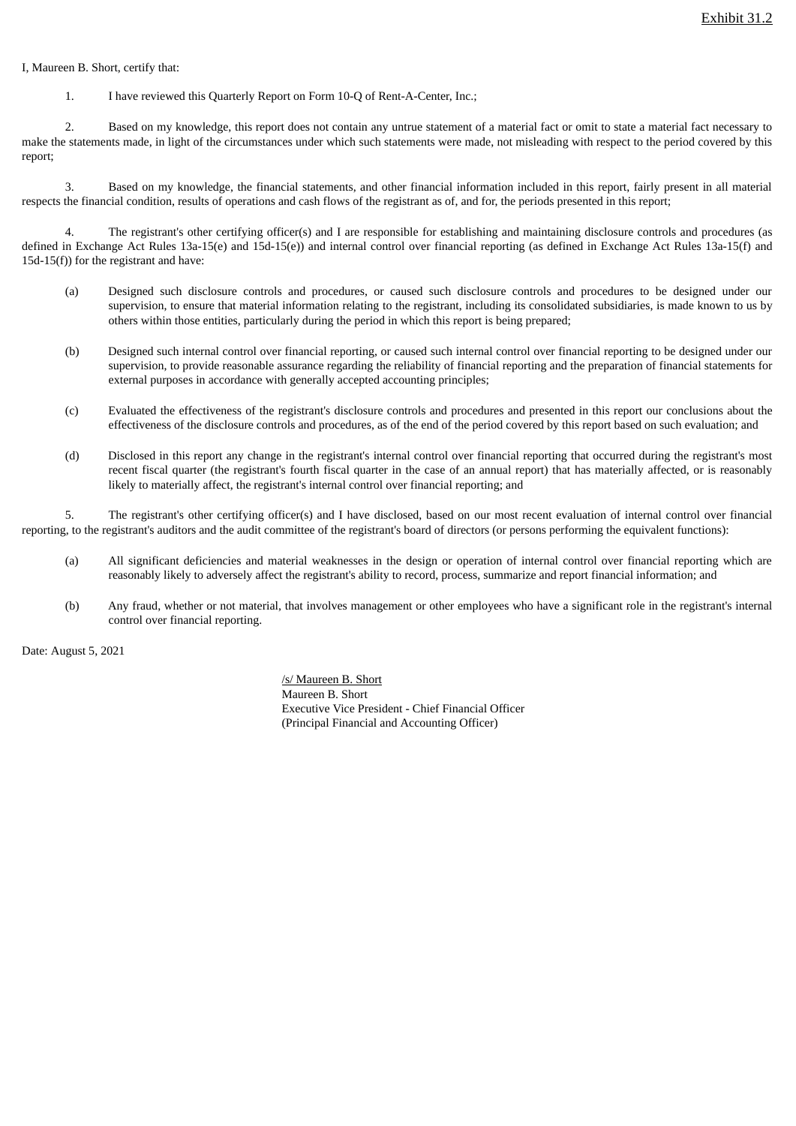#### <span id="page-42-0"></span>I, Maureen B. Short, certify that:

1. I have reviewed this Quarterly Report on Form 10-Q of Rent-A-Center, Inc.;

2. Based on my knowledge, this report does not contain any untrue statement of a material fact or omit to state a material fact necessary to make the statements made, in light of the circumstances under which such statements were made, not misleading with respect to the period covered by this report;

3. Based on my knowledge, the financial statements, and other financial information included in this report, fairly present in all material respects the financial condition, results of operations and cash flows of the registrant as of, and for, the periods presented in this report;

4. The registrant's other certifying officer(s) and I are responsible for establishing and maintaining disclosure controls and procedures (as defined in Exchange Act Rules 13a-15(e) and 15d-15(e)) and internal control over financial reporting (as defined in Exchange Act Rules 13a-15(f) and 15d-15(f)) for the registrant and have:

- (a) Designed such disclosure controls and procedures, or caused such disclosure controls and procedures to be designed under our supervision, to ensure that material information relating to the registrant, including its consolidated subsidiaries, is made known to us by others within those entities, particularly during the period in which this report is being prepared;
- (b) Designed such internal control over financial reporting, or caused such internal control over financial reporting to be designed under our supervision, to provide reasonable assurance regarding the reliability of financial reporting and the preparation of financial statements for external purposes in accordance with generally accepted accounting principles;
- (c) Evaluated the effectiveness of the registrant's disclosure controls and procedures and presented in this report our conclusions about the effectiveness of the disclosure controls and procedures, as of the end of the period covered by this report based on such evaluation; and
- (d) Disclosed in this report any change in the registrant's internal control over financial reporting that occurred during the registrant's most recent fiscal quarter (the registrant's fourth fiscal quarter in the case of an annual report) that has materially affected, or is reasonably likely to materially affect, the registrant's internal control over financial reporting; and

5. The registrant's other certifying officer(s) and I have disclosed, based on our most recent evaluation of internal control over financial reporting, to the registrant's auditors and the audit committee of the registrant's board of directors (or persons performing the equivalent functions):

- (a) All significant deficiencies and material weaknesses in the design or operation of internal control over financial reporting which are reasonably likely to adversely affect the registrant's ability to record, process, summarize and report financial information; and
- (b) Any fraud, whether or not material, that involves management or other employees who have a significant role in the registrant's internal control over financial reporting.

Date: August 5, 2021

/s/ Maureen B. Short Maureen B. Short Executive Vice President - Chief Financial Officer (Principal Financial and Accounting Officer)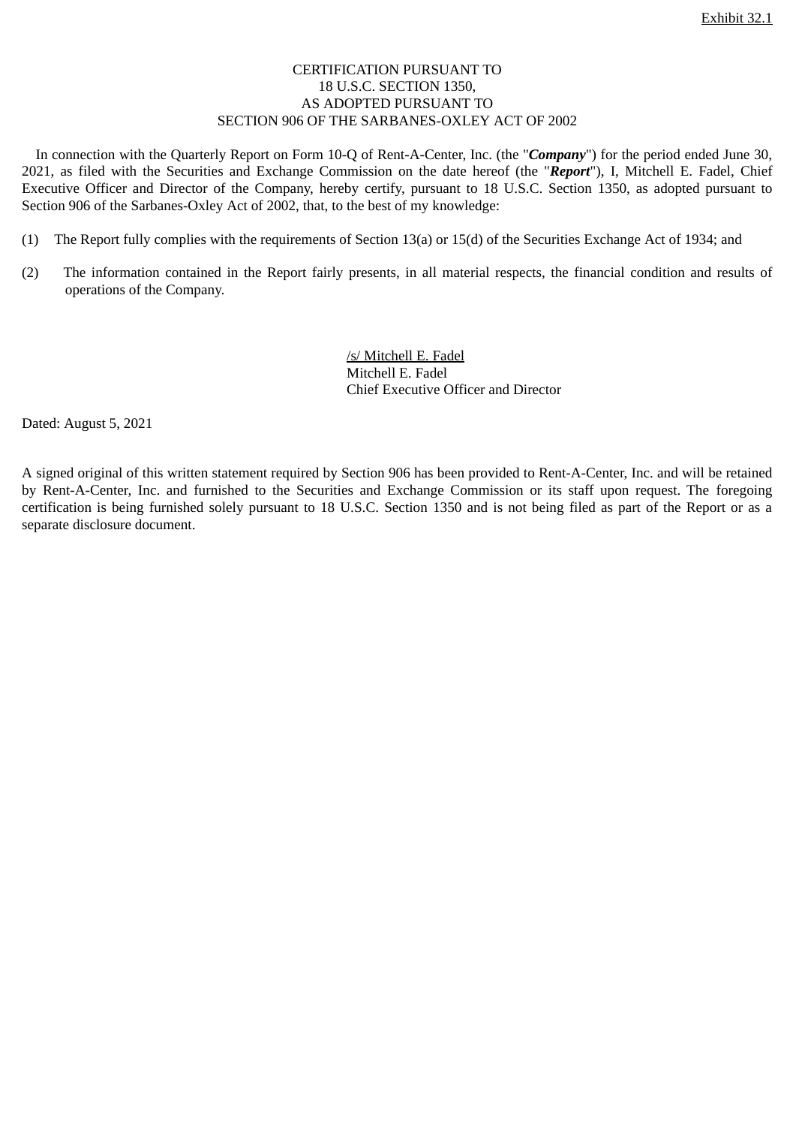## CERTIFICATION PURSUANT TO 18 U.S.C. SECTION 1350, AS ADOPTED PURSUANT TO SECTION 906 OF THE SARBANES-OXLEY ACT OF 2002

<span id="page-43-0"></span>In connection with the Quarterly Report on Form 10-Q of Rent-A-Center, Inc. (the "*Company*") for the period ended June 30, 2021, as filed with the Securities and Exchange Commission on the date hereof (the "*Report*"), I, Mitchell E. Fadel, Chief Executive Officer and Director of the Company, hereby certify, pursuant to 18 U.S.C. Section 1350, as adopted pursuant to Section 906 of the Sarbanes-Oxley Act of 2002, that, to the best of my knowledge:

- (1) The Report fully complies with the requirements of Section 13(a) or 15(d) of the Securities Exchange Act of 1934; and
- (2) The information contained in the Report fairly presents, in all material respects, the financial condition and results of operations of the Company.

/s/ Mitchell E. Fadel Mitchell E. Fadel Chief Executive Officer and Director

Dated: August 5, 2021

A signed original of this written statement required by Section 906 has been provided to Rent-A-Center, Inc. and will be retained by Rent-A-Center, Inc. and furnished to the Securities and Exchange Commission or its staff upon request. The foregoing certification is being furnished solely pursuant to 18 U.S.C. Section 1350 and is not being filed as part of the Report or as a separate disclosure document.